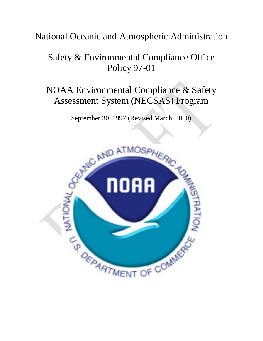## National Oceanic and Atmospheric Administration

## Safety & Environmental Compliance Office Policy 97-01

# NOAA Environmental Compliance & Safety Assessment System (NECSAS) Program

September 30, 1997 (Revised March, 2010)

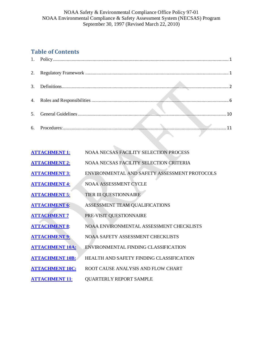### **Table of Contents**

| 3. |  |  |
|----|--|--|
|    |  |  |
|    |  |  |
| 6. |  |  |

**[ATTACHMENT 2](#page-18-0)**: NOAA NECSAS FACILITY SELECTION CRITERIA

- **[ATTACHMENT 3](#page-24-0)**: ENVIRONMENTAL AND SAFETY ASSESSMENT PROTOCOLS
- **[ATTACHMENT 4](#page-26-0):** NOAA ASSESSMENT CYCLE
- **[ATTACHMENT 5](#page-27-0):** TIER III QUESTIONNAIRE
- **[ATTACHMENT 6](#page-28-0)**: ASSESSMENT TEAM QUALIFICATIONS
- **[ATTACHMENT 7](#page-29-0)** PRE-VISIT QUESTIONNAIRE
- **[ATTACHMENT](#page-43-0) 8**: NOAA ENVIRONMENTAL ASSESSMENT CHECKLISTS
- **[ATTACHMENT](#page-55-0) 9**: NOAA SAFETY ASSESSMENT CHECKLISTS
- **[ATTACHMENT 10A:](#page-62-0)** ENVIRONMENTAL FINDING CLASSIFICATION
- **[ATTACHMENT 10B:](#page-63-0)** HEALTH AND SAFETY FINDING CLASSIFICATION
- **[ATTACHMENT 10C:](#page-68-0)** ROOT CAUSE ANALYSIS AND FLOW CHART
- **[ATTACHMENT](#page-70-0) 11**: QUARTERLY REPORT SAMPLE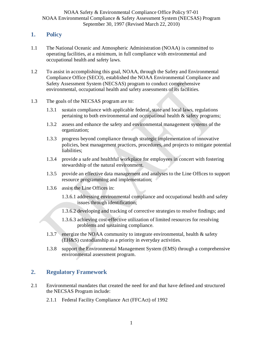### <span id="page-2-0"></span>**1. Policy**

- 1.1 The National Oceanic and Atmospheric Administration (NOAA) is committed to operating facilities, at a minimum, in full compliance with environmental and occupational health and safety laws.
- 1.2 To assist in accomplishing this goal, NOAA, through the Safety and Environmental Compliance Office (SECO), established the NOAA Environmental Compliance and Safety Assessment System (NECSAS) program to conduct comprehensive environmental, occupational health and safety assessments of its facilities.
- 1.3 The goals of the NECSAS program are to:
	- 1.3.1 sustain compliance with applicable federal, state and local laws, regulations pertaining to both environmental and occupational health  $\&$  safety programs;
	- 1.3.2 assess and enhance the safety and environmental management systems of the organization;
	- 1.3.3 progress beyond compliance through strategic implementation of innovative policies, best management practices, procedures, and projects to mitigate potential liabilities;
	- 1.3.4 provide a safe and healthful workplace for employees in concert with fostering stewardship of the natural environment.
	- 1.3.5 provide an effective data management and analyses to the Line Offices to support resource programming and implementation;
	- 1.3.6 assist the Line Offices in:
		- 1.3.6.1 addressing environmental compliance and occupational health and safety issues through identification;
		- 1.3.6.2 developing and tracking of corrective strategies to resolve findings; and
		- 1.3.6.3 achieving cost-effective utilization of limited resources for resolving problems and sustaining compliance.
	- 1.3.7 energize the NOAA community to integrate environmental, health & safety (EH&S) custodianship as a priority in everyday activities.
	- 1.3.8 support the Environmental Management System (EMS) through a comprehensive environmental assessment program.

### <span id="page-2-1"></span>**2. Regulatory Framework**

- 2.1 Environmental mandates that created the need for and that have defined and structured the NECSAS Program include:
	- 2.1.1 Federal Facility Compliance Act (FFCAct) of 1992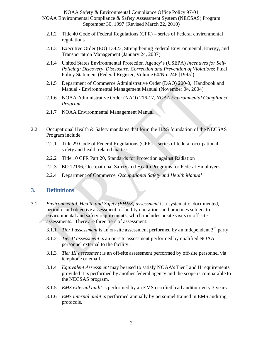- 2.1.2 Title 40 Code of Federal Regulations (CFR) series of Federal environmental regulations
- 2.1.3 Executive Order (EO) 13423, Strengthening Federal Environmental, Energy, and Transportation Management (January 24, 2007)
- 2.1.4 United States Environmental Protection Agency's (USEPA) *Incentives for Self-Policing: Discovery, Disclosure, Correction and Prevention of Violations*; Final Policy Statement (Federal Register, Volume 60/No. 246 [1995])
- 2.1.5 Department of Commerce Administrative Order (DAO) 200-0, Handbook and Manual - Environmental Management Manual (November 04, 2004)
- 2.1.6 NOAA Administrative Order (NAO) 216-17, *NOAA Environmental Compliance Program*
- 2.1.7 NOAA Environmental Management Manual
- 2.2 Occupational Health & Safety mandates that form the H&S foundation of the NECSAS Program include:
	- 2.2.1 Title 29 Code of Federal Regulations (CFR) series of federal occupational safety and health related matters
	- 2.2.2 Title 10 CFR Part 20, Standards for Protection against Radiation
	- 2.2.3 EO 12196, Occupational Safety and Health Programs for Federal Employees
	- 2.2.4 Department of Commerce*, Occupational Safety and Health Manual*

### <span id="page-3-0"></span>**3. Definitions**

- 3.1 *Environmental, Health and Safety (EH&S) assessment* is a systematic, documented, periodic and objective assessment of facility operations and practices subject to environmental and safety requirements, which includes onsite visits or off-site assessments. There are three tiers of assessment:
	- 3.1.1 *Tier I assessment* is an on-site assessment performed by an independent 3rd party.
	- 3.1.2 *Tier II assessment* is an on-site assessment performed by qualified NOAA personnel external to the facility.
	- 3.1.3 *Tier III assessment* is an off-site assessment performed by off-site personnel via telephone or email.
	- 3.1.4 *Equivalent Assessment* may be used to satisfy NOAA's Tier I and II requirements provided it is performed by another federal agency and the scope is comparable to the NECSAS program.
	- 3.1.5 *EMS external audit* is performed by an EMS certified lead auditor every 3 years.
	- 3.1.6 *EMS internal audit* is performed annually by personnel trained in EMS auditing protocols.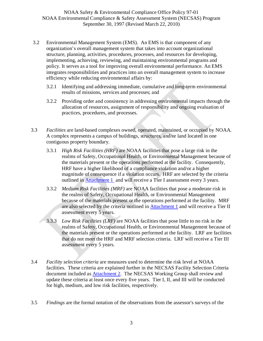- 3.2 Environmental Management System (EMS). An EMS is that component of any organization's overall management system that takes into account organizational structure, planning, activities, procedures, processes, and resources for developing, implementing, achieving, reviewing, and maintaining environmental programs and policy. It serves as a tool for improving overall environmental performance. An EMS integrates responsibilities and practices into an overall management system to increase efficiency while reducing environmental affairs by:
	- 3.2.1 Identifying and addressing immediate, cumulative and long-term environmental results of missions, services and processes; and
	- 3.2.2 Providing order and consistency in addressing environmental impacts through the allocation of resources, assignment of responsibility and ongoing evaluation of practices, procedures, and processes.
- 3.3 *Facilities* are land-based complexes owned, operated, maintained, or occupied by NOAA. A complex represents a campus of buildings, structures, and/or land located in one contiguous property boundary.
	- 3.3.1 *High Risk Facilities (HRF)* are NOAA facilities that pose a large risk in the realms of Safety, Occupational Health, or Environmental Management because of the materials present or the operations performed at the facility. Consequently, HRF have a higher likelihood of a compliance violation and/or a higher magnitude of consequence if a violation occurs. HRF are selected by the criteria outlined in [Attachment 1](#page-16-0) and will receive a Tier I assessment every 3 years.
	- 3.3.2 *Medium Risk Facilities (MRF)* are NOAA facilities that pose a moderate risk in the realms of Safety, Occupational Health, or Environmental Management because of the materials present or the operations performed at the facility. MRF are also selected by the criteria outlined in [Attachment 1](#page-16-0) and will receive a Tier II assessment every 5 years.
	- 3.3.3 *Low Risk Facilities (LRF)* are NOAA facilities that pose little to no risk in the realms of Safety, Occupational Health, or Environmental Management because of the materials present or the operations performed at the facility. LRF are facilities that do not meet the HRF and MRF selection criteria. LRF will receive a Tier III assessment every 5 years.
- 3.4 *Facility selection criteria* are measures used to determine the risk level at NOAA facilities. These criteria are explained further in the NECSAS Facility Selection Criteria document included as [Attachment 2.](#page-18-0) The NECSAS Working Group shall review and update these criteria at least once every five years. Tier I, II, and III will be conducted for high, medium, and low risk facilities, respectively.
- 3.5 *Findings* are the formal notation of the observations from the assessor's surveys of the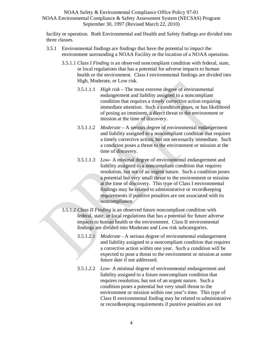facility or operation. Both Environmental and Health and Safety findings are divided into three classes.

- 3.5.1 Environmental findings are findings that have the potential to impact the environment surrounding a NOAA Facility or the location of a NOAA operation.
	- 3.5.1.1 *Class I Finding* is an observed noncompliant condition with federal, state, or local regulations that has a potential for adverse impacts to human health or the environment. Class I environmental findings are divided into High, Moderate, or Low risk.
		- 3.5.1.1.1 *High risk* The most extreme degree of environmental endangerment and liability assigned to a noncompliant condition that requires a timely corrective action requiring immediate attention. Such a condition poses, or has likelihood of posing an imminent, a direct threat to the environment or mission at the time of discovery.
		- 3.5.1.1.2 *Moderate* A serious degree of environmental endangerment and liability assigned to a noncompliant condition that requires a timely corrective action, but not necessarily immediate. Such a condition poses a threat to the environment or mission at the time of discovery.
		- 3.5.1.1.3 *Low* A minimal degree of environmental endangerment and liability assigned to a noncompliant condition that requires resolution, but not of an urgent nature. Such a condition poses a potential but very small threat to the environment or mission at the time of discovery. This type of Class I environmental findings may be related to administrative or recordkeeping requirements if punitive penalties are not associated with its noncompliance.
	- 3.5.1.2 *Class II Finding* is an observed future noncompliant condition with federal, state, or local regulations that has a potential for future adverse impacts to human health or the environment. Class II environmental findings are divided into Moderate and Low risk subcategories.
		- 3.5.1.2.1 *Moderate* A serious degree of environmental endangerment and liability assigned to a noncompliant condition that requires a corrective action within one year. Such a condition will be expected to pose a threat to the environment or mission at some future date if not addressed.
		- 3.5.1.2.2 *Low* A minimal degree of environmental endangerment and liability assigned to a future noncompliant condition that requires resolution, but not of an urgent nature. Such a condition poses a potential but very small threat to the environment or mission within one year's time. This type of Class II environmental finding may be related to administrative or recordkeeping requirements if punitive penalties are not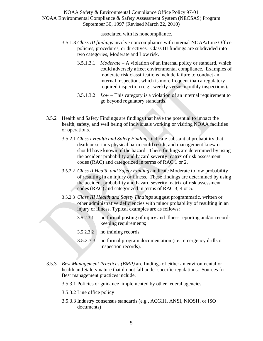associated with its noncompliance.

- 3.5.1.3 *Class III findings* involve noncompliance with internal NOAA/Line Office policies, procedures, or directives. Class III findings are subdivided into two categories, Moderate and Low risk.
	- 3.5.1.3.1 *Moderate* A violation of an internal policy or standard, which could adversely affect environmental compliance. Examples of moderate risk classifications include failure to conduct an internal inspection, which is more frequent than a regulatory required inspection (e.g., weekly versus monthly inspections).
	- 3.5.1.3.2 *Low* This category is a violation of an internal requirement to go beyond regulatory standards.
- 3.5.2 Health and Safety Findings are findings that have the potential to impact the health, safety, and well being of individuals working or visiting NOAA facilities or operations.
	- 3.5.2.1 *Class I Health and Safety Findings* indicate substantial probability that death or serious physical harm could result, and management knew or should have known of the hazard. These findings are determined by using the accident probability and hazard severity matrix of risk assessment codes (RAC) and categorized in terms of RAC 1 or 2.
	- 3.5.2.2 *Class II Health and Safety Findings* indicate Moderate to low probability of resulting in an injury or illness. These findings are determined by using the accident probability and hazard severity matrix of risk assessment codes (RAC) and categorized in terms of RAC 3, 4 or 5.
	- 3.5.2.3 *Class III Health and Safety Findings* suggest programmatic, written or other administrative deficiencies with minor probability of resulting in an injury or illness. Typical examples are as follows:
		- 3.5.2.3.1 no formal posting of injury and illness reporting and/or recordkeeping requirements;
		- 3.5.2.3.2 no training records;
		- 3.5.2.3.3 no formal program documentation (i.e., emergency drills or inspection records).
- 3.5.3 *Best Management Practices (BMP)* are findings of either an environmental or health and Safety nature that do not fall under specific regulations. Sources for Best management practices include:
	- 3.5.3.1 Policies or guidance implemented by other federal agencies
	- 3.5.3.2 Line office policy
	- 3.5.3.3 Industry consensus standards (e.g., ACGIH, ANSI, NIOSH, or ISO documents)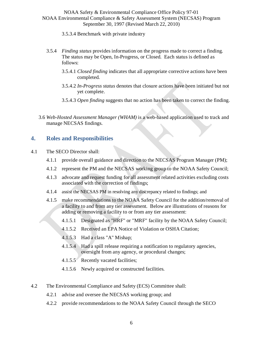#### 3.5.3.4 Benchmark with private industry

- 3.5.4 *Finding status* provides information on the progress made to correct a finding. The status may be Open, In-Progress, or Closed. Each status is defined as follows:
	- 3.5.4.1 *Closed finding* indicates that all appropriate corrective actions have been completed.
	- 3.5.4.2 *In-Progress status* denotes that closure actions have been initiated but not yet complete.
	- 3.5.4.3 *Open finding* suggests that no action has been taken to correct the finding.
- 3.6 *Web-Hosted Assessment Manager (WHAM)* is a web-based application used to track and manage NECSAS findings*.*

### <span id="page-7-0"></span>**4. Roles and Responsibilities**

- 4.1 The SECO Director shall:
	- 4.1.1 provide overall guidance and direction to the NECSAS Program Manager (PM);
	- 4.1.2 represent the PM and the NECSAS working group to the NOAA Safety Council;
	- 4.1.3 advocate and request funding for all assessment related activities excluding costs associated with the correction of findings;
	- 4.1.4 assist the NECSAS PM in resolving any discrepancy related to findings; and
	- 4.1.5 make recommendations to the NOAA Safety Council for the addition/removal of a facility to and from any tier assessment. Below are illustrations of reasons for adding or removing a facility to or from any tier assessment:
		- 4.1.5.1 Designated as "HRF" or "MRF" facility by the NOAA Safety Council;
		- 4.1.5.2 Received an EPA Notice of Violation or OSHA Citation;
		- 4.1.5.3 Had a class "A" Mishap;
		- 4.1.5.4 Had a spill release requiring a notification to regulatory agencies, oversight from any agency, or procedural changes;
		- 4.1.5.5 Recently vacated facilities;
		- 4.1.5.6 Newly acquired or constructed facilities.
- 4.2 The Environmental Compliance and Safety (ECS) Committee shall:
	- 4.2.1 advise and oversee the NECSAS working group; and
	- 4.2.2 provide recommendations to the NOAA Safety Council through the SECO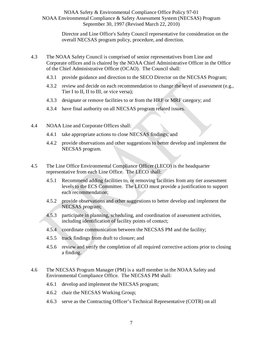> Director and Line Office's Safety Council representative for consideration on the overall NECSAS program policy, procedure, and direction.

- 4.3 The NOAA Safety Council is comprised of senior representatives from Line and Corporate offices and is chaired by the NOAA Chief Administrative Officer in the Office of the Chief Administrative Officer (OCAO). The Council shall:
	- 4.3.1 provide guidance and direction to the SECO Director on the NECSAS Program;
	- 4.3.2 review and decide on each recommendation to change the level of assessment (e.g., Tier I to II, II to III, or vice versa);
	- 4.3.3 designate or remove facilities to or from the HRF or MRF category; and
	- 4.3.4 have final authority on all NECSAS program related issues.
- 4.4 NOAA Line and Corporate Offices shall:
	- 4.4.1 take appropriate actions to close NECSAS findings; and
	- 4.4.2 provide observations and other suggestions to better develop and implement the NECSAS program.
- 4.5 The Line Office Environmental Compliance Officer (LECO) is the headquarter representative from each Line Office. The LECO shall:
	- 4.5.1 Recommend adding facilities to, or removing facilities from any tier assessment levels to the ECS Committee. The LECO must provide a justification to support each recommendation;
	- 4.5.2 provide observations and other suggestions to better develop and implement the NECSAS program;
	- 4.5.3 participate in planning, scheduling, and coordination of assessment activities, including identification of facility points of contact;
	- 4.5.4 coordinate communication between the NECSAS PM and the facility;
	- 4.5.5 track findings from draft to closure; and
	- 4.5.6 review and verify the completion of all required corrective actions prior to closing a finding.
- 4.6 The NECSAS Program Manager (PM) is a staff member in the NOAA Safety and Environmental Compliance Office. The NECSAS PM shall:
	- 4.6.1 develop and implement the NECSAS program;
	- 4.6.2 chair the NECSAS Working Group;
	- 4.6.3 serve as the Contracting Officer's Technical Representative (COTR) on all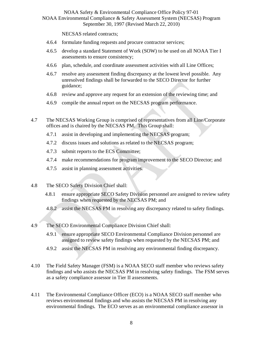NECSAS related contracts;

- 4.6.4 formulate funding requests and procure contractor services;
- 4.6.5 develop a standard Statement of Work (SOW) to be used on all NOAA Tier I assessments to ensure consistency;
- 4.6.6 plan, schedule, and coordinate assessment activities with all Line Offices;
- 4.6.7 resolve any assessment finding discrepancy at the lowest level possible. Any unresolved findings shall be forwarded to the SECO Director for further guidance;
- 4.6.8 review and approve any request for an extension of the reviewing time; and
- 4.6.9 compile the annual report on the NECSAS program performance.
- 4.7 The NECSAS Working Group is comprised of representatives from all Line/Corporate offices and is chaired by the NECSAS PM. This Group shall:
	- 4.7.1 assist in developing and implementing the NECSAS program;
	- 4.7.2 discuss issues and solutions as related to the NECSAS program;
	- 4.7.3 submit reports to the ECS Committee;
	- 4.7.4 make recommendations for program improvement to the SECO Director; and
	- 4.7.5 assist in planning assessment activities.
- 4.8 The SECO Safety Division Chief shall:
	- 4.8.1 ensure appropriate SECO Safety Division personnel are assigned to review safety findings when requested by the NECSAS PM; and
	- 4.8.2 assist the NECSAS PM in resolving any discrepancy related to safety findings.
- 4.9 The SECO Environmental Compliance Division Chief shall:
	- 4.9.1 ensure appropriate SECO Environmental Compliance Division personnel are assigned to review safety findings when requested by the NECSAS PM; and
	- 4.9.2 assist the NECSAS PM in resolving any environmental finding discrepancy.
- 4.10 The Field Safety Manager (FSM) is a NOAA SECO staff member who reviews safety findings and who assists the NECSAS PM in resolving safety findings. The FSM serves as a safety compliance assessor in Tier II assessments.
- 4.11 The Environmental Compliance Officer (ECO) is a NOAA SECO staff member who reviews environmental findings and who assists the NECSAS PM in resolving any environmental findings. The ECO serves as an environmental compliance assessor in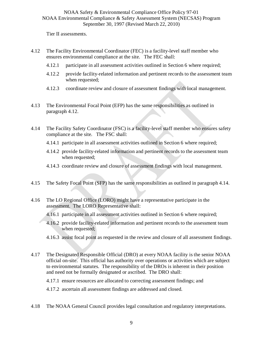Tier II assessments.

- 4.12 The Facility Environmental Coordinator (FEC) is a facility-level staff member who ensures environmental compliance at the site. The FEC shall:
	- 4.12.1 participate in all assessment activities outlined in Section 6 where required;
	- 4.12.2 provide facility-related information and pertinent records to the assessment team when requested;
	- 4.12.3 coordinate review and closure of assessment findings with local management.
- 4.13 The Environmental Focal Point (EFP) has the same responsibilities as outlined in paragraph 4.12.
- 4.14 The Facility Safety Coordinator (FSC) is a facility-level staff member who ensures safety compliance at the site. The FSC shall:
	- 4.14.1 participate in all assessment activities outlined in Section 6 where required;
	- 4.14.2 provide facility-related information and pertinent records to the assessment team when requested;
	- 4.14.3 coordinate review and closure of assessment findings with local management.
- 4.15 The Safety Focal Point (SFP) has the same responsibilities as outlined in paragraph 4.14.
- 4.16 The LO Regional Office (LORO) might have a representative participate in the assessment. The LORO Representative shall:
	- 4.16.1 participate in all assessment activities outlined in Section 6 where required;
	- 4.16.2 provide facility-related information and pertinent records to the assessment team when requested;
	- 4.16.3 assist focal point as requested in the review and closure of all assessment findings.
- 4.17 The Designated Responsible Official (DRO) at every NOAA facility is the senior NOAA official on-site. This official has authority over operations or activities which are subject to environmental statutes. The responsibility of the DROs is inherent in their position and need not be formally designated or ascribed. The DRO shall:
	- 4.17.1 ensure resources are allocated to correcting assessment findings; and

4.17.2 ascertain all assessment findings are addressed and closed.

4.18 The NOAA General Council provides legal consultation and regulatory interpretations.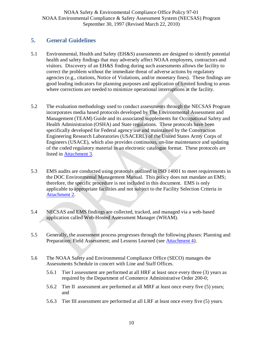### <span id="page-11-0"></span>**5. General Guidelines**

- 5.1 Environmental, Health and Safety (EH&S) assessments are designed to identify potential health and safety findings that may adversely affect NOAA employees, contractors and visitors. Discovery of an EH&S finding during such assessments allows the facility to correct the problem without the immediate threat of adverse actions by regulatory agencies (e.g., citations, Notice of Violations, and/or monetary fines). These findings are good leading indicators for planning purposes and application of limited funding to areas where corrections are needed to minimize operational interruptions at the facility.
- 5.2 The evaluation methodology used to conduct assessments through the NECSAS Program incorporates media based protocols developed by The Environmental Assessment and Management (TEAM) Guide and its associated supplements for Occupational Safety and Health Administration (OSHA) and State regulations. These protocols have been specifically developed for Federal agency use and maintained by the Construction Engineering Research Laboratories (USACERL) of the United States Army Corps of Engineers (USACE), which also provides continuous, on-line maintenance and updating of the coded regulatory material in an electronic catalogue format. These protocols are listed in [Attachment 3.](#page-24-0)
- 5.3 EMS audits are conducted using protocols outlined in ISO 14001 to meet requirements in the DOC Environmental Management Manual. This policy does not mandate an EMS; therefore, the specific procedure is not included in this document. EMS is only applicable to appropriate facilities and not subject to the Facility Selection Criteria in [Attachment 2.](#page-18-0)
- 5.4 NECSAS and EMS findings are collected, tracked, and managed via a web-based application called Web-Hosted Assessment Manager (WHAM).
- 5.5 Generally, the assessment process progresses through the following phases: Planning and Preparation; Field Assessment; and Lessons Learned (see [Attachment 4\)](#page-26-0).
- 5.6 The NOAA Safety and Environmental Compliance Office (SECO) manages the Assessments Schedule in concert with Line and Staff Offices.
	- 5.6.1 Tier I assessment are performed at all HRF at least once every three (3) years as required by the Department of Commerce Administrative Order 200-0;
	- 5.6.2 Tier II assessment are performed at all MRF at least once every five (5) years; and
	- 5.6.3 Tier III assessment are performed at all LRF at least once every five (5) years.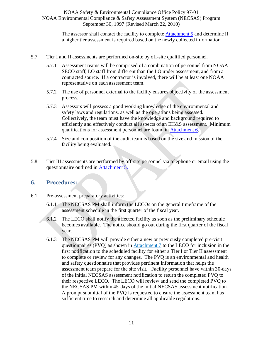> The assessor shall contact the facility to complete [Attachment 5](#page-27-0) and determine if a higher tier assessment is required based on the newly collected information.

- 5.7 Tier I and II assessments are performed on-site by off-site qualified personnel.
	- 5.7.1 Assessment teams will be comprised of a combination of personnel from NOAA SECO staff, LO staff from different than the LO under assessment, and from a contracted source. If a contractor is involved, there will be at least one NOAA representative on each assessment team.
	- 5.7.2 The use of personnel external to the facility ensures objectivity of the assessment process.
	- 5.7.3 Assessors will possess a good working knowledge of the environmental and safety laws and regulations, as well as the operations being assessed. Collectively, the team must have the knowledge and background required to efficiently and effectively conduct all aspects of an EH&S assessment. Minimum qualifications for assessment personnel are found in [Attachment 6.](#page-28-0)
	- 5.7.4 Size and composition of the audit team is based on the size and mission of the facility being evaluated.
- 5.8 Tier III assessments are performed by off-site personnel via telephone or email using the questionnaire outlined in [Attachment 5.](#page-27-0)

### <span id="page-12-0"></span>**6. Procedures:**

- 6.1 Pre-assessment preparatory activities:
	- 6.1.1 The NECSAS PM shall inform the LECOs on the general timeframe of the assessment schedule in the first quarter of the fiscal year.
	- 6.1.2 The LECO shall notify the affected facility as soon as the preliminary schedule becomes available. The notice should go out during the first quarter of the fiscal year.
	- 6.1.3 The NECSAS PM will provide either a new or previously completed pre-visit questionnaires (PVQ) as shown in [Attachment 7](#page-29-0) to the LECO for inclusion in the first notification to the scheduled facility for either a Tier I or Tier II assessment to complete or review for any changes. The PVQ is an environmental and health and safety questionnaire that provides pertinent information that helps the assessment team prepare for the site visit. Facility personnel have within 30-days of the initial NECSAS assessment notification to return the completed PVQ to their respective LECO. The LECO will review and send the completed PVQ to the NECSAS PM within 45-days of the initial NECSAS assessment notification. A prompt submittal of the PVQ is requested to ensure the assessment team has sufficient time to research and determine all applicable regulations.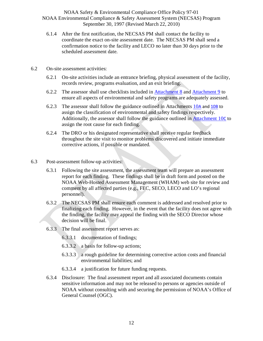- 6.1.4 After the first notification, the NECSAS PM shall contact the facility to coordinate the exact on-site assessment date. The NECSAS PM shall send a confirmation notice to the facility and LECO no later than 30 days prior to the scheduled assessment date.
- 6.2 On-site assessment activities:
	- 6.2.1 On-site activities include an entrance briefing, physical assessment of the facility, records review, programs evaluation, and an exit briefing.
	- 6.2.2 The assessor shall use checklists included in [Attachment 8](#page-43-0) and [Attachment 9](#page-55-0) to ensure all aspects of environmental and safety programs are adequately assessed.
	- 6.2.3 The assessor shall follow the guidance outlined in Attachments [10](#page-62-0)A an[d 10B](#page-63-0) to assign the classification of environmental and safety findings respectively. Additionally, the assessor shall follow the guidance outlined in [Attachment 10](#page-68-0)C to assign the root cause for each finding.
	- 6.2.4 The DRO or his designated representative shall receive regular feedback throughout the site visit to monitor problems discovered and initiate immediate corrective actions, if possible or mandated.
- 6.3 Post-assessment follow-up activities:
	- 6.3.1 Following the site assessment, the assessment team will prepare an assessment report for each finding. These findings shall be in draft form and posted on the NOAA Web-Hosted Assessment Management (WHAM) web site for review and comment by all affected parties (e.g., FEC, SECO, LECO and LO's regional personnel).
	- 6.3.2 The NECSAS PM shall ensure each comment is addressed and resolved prior to finalizing each finding. However, in the event that the facility does not agree with the finding, the facility may appeal the finding with the SECO Director whose decision will be final.
	- 6.3.3 The final assessment report serves as:
		- 6.3.3.1 documentation of findings;
		- 6.3.3.2 a basis for follow-up actions;
		- 6.3.3.3 a rough guideline for determining corrective action costs and financial environmental liabilities; and
		- 6.3.3.4 a justification for future funding requests.
	- 6.3.4 Disclosure: The final assessment report and all associated documents contain sensitive information and may not be released to persons or agencies outside of NOAA without consulting with and securing the permission of NOAA's Office of General Counsel (OGC).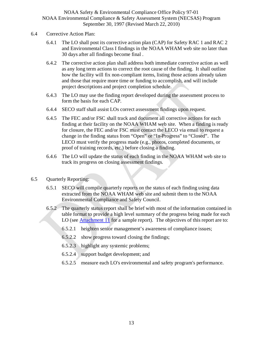- 6.4 Corrective Action Plan:
	- 6.4.1 The LO shall post its corrective action plan (CAP) for Safety RAC 1 and RAC 2 and Environmental Class I findings in the NOAA WHAM web site no later than 30 days after all findings become final .
	- 6.4.2 The corrective action plan shall address both immediate corrective action as well as any long term actions to correct the root cause of the finding. It shall outline how the facility will fix non-compliant items, listing those actions already taken and those that require more time or funding to accomplish, and will include project descriptions and project completion schedule.
	- 6.4.3 The LO may use the finding report developed during the assessment process to form the basis for each CAP.
	- 6.4.4 SECO staff shall assist LOs correct assessment findings upon request.
	- 6.4.5 The FEC and/or FSC shall track and document all corrective actions for each finding at their facility on the NOAA WHAM web site. When a finding is ready for closure, the FEC and/or FSC must contact the LECO via email to request a change in the finding status from "Open" or "In-Progress" to "Closed". The LECO must verify the progress made (e.g., photos, completed documents, or proof of training records, etc.) before closing a finding.
	- 6.4.6 The LO will update the status of each finding in the NOAA WHAM web site to track its progress on closing assessment findings.
- 6.5 Quarterly Reporting:
	- 6.5.1 SECO will compile quarterly reports on the status of each finding using data extracted from the NOAA WHAM web site and submit them to the NOAA Environmental Compliance and Safety Council.
	- 6.5.2 The quarterly status report shall be brief with most of the information contained in table format to provide a high level summary of the progress being made for each LO (see [Attachment 11](#page-70-0) for a sample report). The objectives of this report are to:
		- 6.5.2.1 heighten senior management's awareness of compliance issues;
		- 6.5.2.2 show progress toward closing the findings;
		- 6.5.2.3 highlight any systemic problems;
		- 6.5.2.4 support budget development; and
		- 6.5.2.5 measure each LO's environmental and safety program's performance.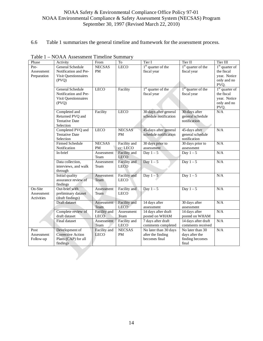#### 6.6 Table 1 summarizes the general timeline and framework for the assessment process.

| Phase       | Activity                                   | From          | To            | Tier I                                         | Tier II                          | Tier III         |
|-------------|--------------------------------------------|---------------|---------------|------------------------------------------------|----------------------------------|------------------|
| Pre-        | <b>General Schedule</b>                    | <b>NECSAS</b> | <b>LECO</b>   | $1st$ quarter of the                           | $1st$ quarter of the             | $1st$ quarter of |
| Assessment  | Notification and Pre-                      | PM            |               | fiscal year                                    | fiscal year                      | the fiscal       |
| Preparation | Visit Questionnaires                       |               |               |                                                |                                  | year. Notice     |
|             | (PVQ)                                      |               |               |                                                |                                  | only and no      |
|             |                                            |               |               |                                                |                                  | PVQ.             |
|             | General Schedule                           | <b>LECO</b>   | Facility      | $1st$ quarter of the                           | $1st$ quarter of the             | $1st$ quarter of |
|             | Notification and Pre-                      |               |               | fiscal year                                    | fiscal year                      | the fiscal       |
|             | Visit Questionnaires                       |               |               |                                                |                                  | year. Notice     |
|             | (PVQ)                                      |               |               |                                                |                                  | only and no      |
|             |                                            |               |               |                                                |                                  | PVQ.             |
|             | Completed and                              | Facility      | <b>LECO</b>   | 30-days after general                          | 30-days after                    | N/A              |
|             | Returned PVQ and                           |               |               | schedule notification                          | general schedule                 |                  |
|             | <b>Tentative Date</b>                      |               |               |                                                | notification                     |                  |
|             | Selection                                  |               |               |                                                |                                  | N/A              |
|             | Completed PVQ and<br><b>Tentative Date</b> | <b>LECO</b>   | <b>NECSAS</b> | 45-days after general<br>schedule notification | 45-days after                    |                  |
|             | Selection                                  |               | <b>PM</b>     |                                                | general schedule<br>notification |                  |
|             | <b>Firmed Schedule</b>                     | <b>NECSAS</b> | Facility and  | 30 days prior to                               | 30 days prior to                 | N/A              |
|             | Notification                               | PM            | cc: LECO      | assessment                                     | assessment                       |                  |
|             | In-brief                                   | Assessment    | Facility and  | Day $1-5$                                      | Day $1-5$                        | N/A              |
|             |                                            | Team          | <b>LECO</b>   |                                                |                                  |                  |
|             | Data collection,                           | Assessment    | Facility and  | Day $1-5$                                      | Day $1-5$                        | N/A              |
|             | interviews, and walk                       | Team          | <b>LECO</b>   |                                                |                                  |                  |
|             | through                                    |               |               |                                                |                                  |                  |
|             | Initial quality                            | Assessment    | Facility and  | Day $1-5$                                      | Day $1-5$                        | N/A              |
|             | assurance review of                        | Team          | <b>LECO</b>   |                                                |                                  |                  |
|             | findings                                   |               |               |                                                |                                  |                  |
| On-Site     | Out-brief with                             | Assessment    | Facility and  | Day $1-5$                                      | Day $1-5$                        | N/A              |
| Assessment  | preliminary dataset                        | Team          | <b>LECO</b>   |                                                |                                  |                  |
| Activities  | (draft findings)                           |               |               |                                                |                                  |                  |
|             | Draft dataset                              | Assessment    | Facility and  | 14 days after                                  | 30 days after                    | N/A              |
|             |                                            | Team          | <b>LECO</b>   | assessment                                     | assessment                       |                  |
|             | Complete review of                         | Facility and  | Assessment    | 14 days after draft                            | 14 days after                    | N/A              |
|             | draft dataset                              | <b>LECO</b>   | Team          | posted on WHAM                                 | posted on WHAM                   |                  |
|             | Final dataset                              | Assessment    | Facility and  | 7 days after draft                             | 14 days after draft              | $\rm N/A$        |
|             |                                            | Team          | $LECO$        | comments completed                             | comments received                |                  |
| Post        | Development of                             | Facility and  | <b>NECSAS</b> | No later than 30 days                          | No later than 30                 | N/A              |
| Assessment  | <b>Corrective Action</b>                   | <b>LECO</b>   | PM            | after the finding                              | days after the                   |                  |
| Follow-up   | Plans (CAP) for all                        |               |               | becomes final                                  | finding becomes                  |                  |
|             | findings                                   |               |               |                                                | final                            |                  |
|             |                                            |               |               |                                                |                                  |                  |
|             |                                            |               |               |                                                |                                  |                  |

Table 1 – NOAA Assessment Timeline Summary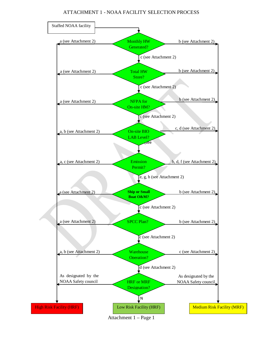#### ATTACHMENT 1 - NOAA FACILITY SELECTION PROCESS

<span id="page-16-0"></span>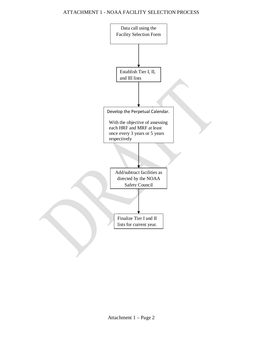#### ATTACHMENT 1 - NOAA FACILITY SELECTION PROCESS

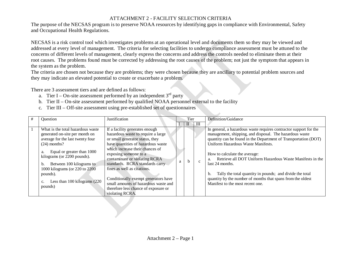The purpose of the NECSAS program is to preserve NOAA resources by identifying gaps in compliance with Environmental, Safety and Occupational Health Regulations.

NECSAS is a risk control tool which investigates problems at an operational level and documents them so they may be viewed and addressed at every level of management. The criteria for selecting facilities to undergo compliance assessment must be attuned to the concerns of different levels of management, clearly express the concerns and address the controls needed to eliminate them at their root causes. The problems found must be corrected by addressing the root causes of the problem; not just the symptom that appears in the system as the problem.

The criteria are chosen not because they are problems; they were chosen because they are ancillary to potential problem sources and they may indicate an elevated potential to create or exacerbate a problem.

There are 3 assessment tiers and are defined as follows:

- a. Tier I On-site assessment performed by an independent  $3^{rd}$  party
- <span id="page-18-0"></span>b. Tier II – On-site assessment performed by qualified NOAA personnel external to the facility
- c. Tier III Off-site assessment using pre-established set of questionnaires

| Question                                                                                                                                                                                                                                                                                                                 | Justification                                                                                                                                                                                                                                                                                                                                                                                                                                           |   | Tier |  |              | Definition/Guidance                                                                                                                                                                                                                                                                                                                                                                                                                                                                                                               |
|--------------------------------------------------------------------------------------------------------------------------------------------------------------------------------------------------------------------------------------------------------------------------------------------------------------------------|---------------------------------------------------------------------------------------------------------------------------------------------------------------------------------------------------------------------------------------------------------------------------------------------------------------------------------------------------------------------------------------------------------------------------------------------------------|---|------|--|--------------|-----------------------------------------------------------------------------------------------------------------------------------------------------------------------------------------------------------------------------------------------------------------------------------------------------------------------------------------------------------------------------------------------------------------------------------------------------------------------------------------------------------------------------------|
|                                                                                                                                                                                                                                                                                                                          |                                                                                                                                                                                                                                                                                                                                                                                                                                                         |   | П    |  | ЛI           |                                                                                                                                                                                                                                                                                                                                                                                                                                                                                                                                   |
| What is the total hazardous waste<br>generated on-site per month on<br>average for the last twenty four<br>$(24)$ months?<br>Equal or greater than 1000<br>a.<br>kilograms (or 2200 pounds).<br>Between 100 kilograms to<br>b.<br>1000 kilograms (or 220 to 2200<br>pounds).<br>Less than 100 kilograms (220)<br>pounds) | If a facility generates enough<br>hazardous waste to require a large<br>or small generator status, they<br>have quantities of hazardous waste<br>which increase their chances of<br>exposing someone to a<br>contaminant or violating RCRA<br>standards. RCRA standards carry<br>fines as well as citations.<br>Conditionally exempt generators have<br>small amounts of hazardous waste and<br>therefore less chance of exposure or<br>violating RCRA. | a | h    |  | $\mathbf{c}$ | In general, a hazardous waste requires contractor support for the<br>management, shipping, and disposal. The hazardous waste<br>quantity can be found in the Department of Transportation (DOT)<br>Uniform Hazardous Waste Manifests.<br>How to calculate the average:<br>Retrieve all DOT Uniform Hazardous Waste Manifests in the<br>a.<br>last 24 months.<br>Tally the total quantity in pounds; and divide the total<br>b.<br>quantity by the number of months that spans from the oldest<br>Manifest to the most recent one. |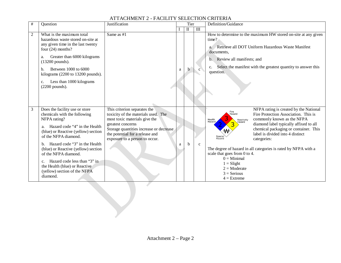|              |                                                                                                                                                                                                                                                                                         |                                                                                                                                                                                                                                           |   |               |                           | Definition/Guidance                                                                                                                                                                                                                                                                                                                                                                                     |  |  |
|--------------|-----------------------------------------------------------------------------------------------------------------------------------------------------------------------------------------------------------------------------------------------------------------------------------------|-------------------------------------------------------------------------------------------------------------------------------------------------------------------------------------------------------------------------------------------|---|---------------|---------------------------|---------------------------------------------------------------------------------------------------------------------------------------------------------------------------------------------------------------------------------------------------------------------------------------------------------------------------------------------------------------------------------------------------------|--|--|
| $\#$         | Question                                                                                                                                                                                                                                                                                | Justification                                                                                                                                                                                                                             |   | Tier          |                           |                                                                                                                                                                                                                                                                                                                                                                                                         |  |  |
| $\mathbf{2}$ | What is the maximum total<br>hazardous waste stored on-site at<br>any given time in the last twenty<br>four $(24)$ months?<br>Greater than 6000 kilograms<br>a.<br>(13200 pounds).<br>Between 1000 to 6000<br>b.<br>kilograms (2200 to 13200 pounds).<br>Less than 1000 kilograms<br>c. | Same as #1                                                                                                                                                                                                                                | a | $\rm II$<br>b | $\rm III$<br>$\mathbf{c}$ | How to determine to the maximum HW stored on-site at any given<br>time?<br>a. Retrieve all DOT Uniform Hazardous Waste Manifest<br>documents,<br>b. Review all manifests; and<br>Select the manifest with the greatest quantity to answer this<br>$C_{\bullet}$<br>question.                                                                                                                            |  |  |
|              | $(2200$ pounds).                                                                                                                                                                                                                                                                        |                                                                                                                                                                                                                                           |   |               |                           |                                                                                                                                                                                                                                                                                                                                                                                                         |  |  |
| 3            | Does the facility use or store<br>chemicals with the following<br>NFPA rating?<br>Hazard code "4" in the Health<br>(blue) or Reactive (yellow) section<br>of the NFPA diamond.<br>b. Hazard code "3" in the Health<br>(blue) or Reactive (yellow) section                               | This criterion separates the<br>toxicity of the materials used. The<br>most toxic materials give the<br>greatest concerns<br>Storage quantities increase or decrease<br>the potential for a release and<br>exposure to a person to occur. | a | $\mathbf b$   | $\mathbf{C}$              | NFPA rating is created by the National<br>Fire<br>Hazard<br>Fire Protection Association. This is<br>commonly known as the NFPA<br>Health<br>Reactivity<br>Hazard<br>Hazard<br>diamond label typically affixed to all<br>chemical packaging or container. This<br>label is divided into 4 distinct<br>Special<br>Hazard<br>categories:<br>The degree of hazard in all categories is rated by NFPA with a |  |  |
|              | of the NFPA diamond.<br>Hazard code less than "3" in<br>$\mathbf{c}$ .<br>the Health (blue) or Reactive<br>(yellow) section of the NFPA<br>diamond.                                                                                                                                     |                                                                                                                                                                                                                                           |   |               |                           | scale that goes from 0 to 4.<br>$0 =$ Minimal<br>$1 = S$ light<br>$2 = \text{Moderate}$<br>$3 =$ Serious<br>$4 =$ Extreme                                                                                                                                                                                                                                                                               |  |  |
|              |                                                                                                                                                                                                                                                                                         |                                                                                                                                                                                                                                           |   |               |                           |                                                                                                                                                                                                                                                                                                                                                                                                         |  |  |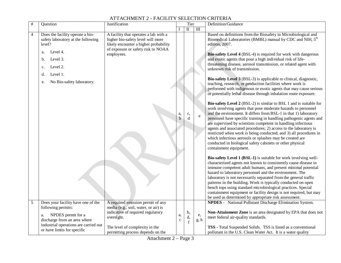#### # Question Justification Tier Definition/Guidance  $I \parallel II \parallel III$ 4 Does the facility operate a biosafety laboratory at the following level? a. Level 4. b. Level 3. c. Level 2. d. Level 1. e. No Bio-safety laboratory. A facility that operates a lab with a higher bio-safety level will more likely encounter a higher probability of exposure or safety risk to NOAA employees. a, b c,  $\begin{array}{c} \mathsf{c}, \\ \mathsf{d} \end{array}$  e Based on definitions from the Biosafety in Microbiological and Biomedical Laboratories (BMBL) manual by CDC and NIH,  $5<sup>th</sup>$ edition, 2007. **Bio-safety Level 4** (BSL-4) is required for work with dangerous and exotic agents that pose a high individual risk of lifethreatening disease, aerosol transmission, or related agent with unknown risk of transmission. **Bio-safety Level 3** (BSL-3) is applicable to clinical, diagnostic, teaching, research, or production facilities where work is performed with indigenous or exotic agents that may cause serious or potentially lethal disease through inhalation route exposure. **Bio-safety Level 2** (BSL-2) is similar to BSL 1 and is suitable for work involving agents that pose moderate hazards to personnel and the environment. It differs from BSL-1 in that 1) laboratory personnel have specific training in handling pathogenic agents and are supervised by scientists competent in handling infectious agents and associated procedures; 2) access to the laboratory is restricted when work is being conducted; and 3) all procedures in which infectious aerosols or splashes may be created are conducted in biological safety cabinets or other physical containment equipment. **Bio-safety Level 1 (BSL-1)** is suitable for work involving wellcharacterized agents not known to consistently cause disease in immune competent adult humans, and present minimal potential hazard to laboratory personnel and the environment. The laboratory is not necessarily separated from the general traffic patterns in the building. Work is typically conducted on open bench tops using standard microbiological practices. Special containment equipment or facility design is not required, but may be used as determined by appropriate risk assessment. 5 Does your facility have one of the following permits: a. NPDES permit for a discharge from an area where industrial operations are carried out or have limits for specific A required emission permit of any media (e.g., soil, water, or air) is indicative of required regulatory oversight. The level of complexity in the permitting process depends on the a, c b, d, f e, g, h **NPDES -** National Pollutant Discharge Elimination System. **Non-Attainment Zone** is an area designated by EPA that does not meet federal air-quality standards. **TSS** - Total Suspended Solids. TSS is listed as [a conventional](http://en.wikipedia.org/wiki/Conventional_pollutant)  [pollutant](http://en.wikipedia.org/wiki/Conventional_pollutant) in the U.S[. Clean Water Act.](http://en.wikipedia.org/wiki/Clean_Water_Act) It is a [water quality](http://en.wikipedia.org/wiki/Water_quality)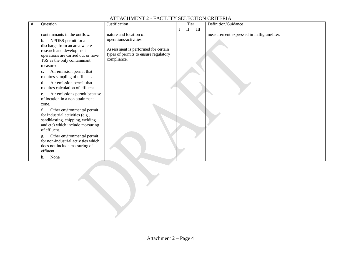| # | Question                                                                                                                                                                                                                                                                                                     | Justification                                                                                                                                   | Tier         |           | Definition/Guidance                       |
|---|--------------------------------------------------------------------------------------------------------------------------------------------------------------------------------------------------------------------------------------------------------------------------------------------------------------|-------------------------------------------------------------------------------------------------------------------------------------------------|--------------|-----------|-------------------------------------------|
|   |                                                                                                                                                                                                                                                                                                              |                                                                                                                                                 | $\mathbf{I}$ | $\rm III$ |                                           |
|   | contaminants in the outflow.<br>NPDES permit for a<br>b.<br>discharge from an area where<br>research and development<br>operations are carried out or have<br>TSS as the only contaminant<br>measured.<br>Air emission permit that<br>c.<br>requires sampling of effluent.<br>Air emission permit that<br>d. | nature and location of<br>operations/activities.<br>Assessment is performed for certain<br>types of permits to ensure regulatory<br>compliance. |              |           | measurement expressed in milligram/liter. |
|   | requires calculation of effluent.<br>Air emissions permit because<br>e.<br>of location in a non attainment<br>zone.                                                                                                                                                                                          |                                                                                                                                                 |              |           |                                           |
|   | Other environmental permit<br>for industrial activities (e.g.,<br>sandblasting, chipping, welding,<br>and etc) which include measuring<br>of effluent.                                                                                                                                                       |                                                                                                                                                 |              |           |                                           |
|   | Other environmental permit<br>g.<br>for non-industrial activities which<br>does not include measuring of<br>effluent.<br>None<br>h.                                                                                                                                                                          |                                                                                                                                                 |              |           |                                           |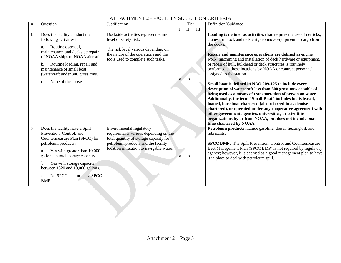|   |                                                                                                                                                                                                                                                                                                                          |                                                                                                                                                                                                |   |                            |                                  | Definition/Guidance                                                                                                                                                                                                                                                                                                                                                                                                                                                                                                                                                                                                                                                                                                                                                                                                                                                                                                                                                             |
|---|--------------------------------------------------------------------------------------------------------------------------------------------------------------------------------------------------------------------------------------------------------------------------------------------------------------------------|------------------------------------------------------------------------------------------------------------------------------------------------------------------------------------------------|---|----------------------------|----------------------------------|---------------------------------------------------------------------------------------------------------------------------------------------------------------------------------------------------------------------------------------------------------------------------------------------------------------------------------------------------------------------------------------------------------------------------------------------------------------------------------------------------------------------------------------------------------------------------------------------------------------------------------------------------------------------------------------------------------------------------------------------------------------------------------------------------------------------------------------------------------------------------------------------------------------------------------------------------------------------------------|
| # | Question                                                                                                                                                                                                                                                                                                                 | Justification                                                                                                                                                                                  |   | Tier                       |                                  |                                                                                                                                                                                                                                                                                                                                                                                                                                                                                                                                                                                                                                                                                                                                                                                                                                                                                                                                                                                 |
|   |                                                                                                                                                                                                                                                                                                                          |                                                                                                                                                                                                |   | $\mathop{\rm II}\nolimits$ | $\mathop{\mathrm{III}}\nolimits$ |                                                                                                                                                                                                                                                                                                                                                                                                                                                                                                                                                                                                                                                                                                                                                                                                                                                                                                                                                                                 |
| 6 | Does the facility conduct the<br>following activities?<br>Routine overhaul,<br>a.<br>maintenance, and dockside repair<br>of NOAA ships or NOAA aircraft.<br>Routine loading, repair and<br>b.<br>maintenance of small boat<br>(watercraft under 300 gross tons).<br>None of the above.<br>c.                             | Dockside activities represent some<br>level of safety risk.<br>The risk level various depending on<br>the nature of the operations and the<br>tools used to complete such tasks.               |   | h                          |                                  | Loading is defined as activities that require the use of derricks,<br>cranes, or block and tackle rigs to move equipment or cargo from<br>the docks.<br>Repair and maintenance operations are defined as engine<br>work, machining and installation of deck hardware or equipment,<br>or repair of hull, bulkhead or deck structures is routinely<br>performed at these locations by NOAA or contract personnel<br>assigned to the station.<br>Small boat is defined in NAO 209-125 to include every<br>description of watercraft less than 300 gross tons capable of<br>being used as a means of transportation of person on water.<br>Additionally, the term "Small Boat" includes boats leased,<br>loaned, bare boat chartered (also referred to as demise<br>chartered), or operated under any cooperative agreement with<br>other government agencies, universities, or scientific<br>organizations by or from NOAA, but does not include boats<br>time chartered by NOAA. |
|   | Does the facility have a Spill<br>Prevention, Control, and<br>Countermeasure Plan (SPCC) for<br>petroleum products?<br>Yes with greater than 10,000<br>a.<br>gallons in total storage capacity.<br>Yes with storage capacity<br>b.<br>between 1320 and 10,000 gallons.<br>No SPCC plan or has a SPCC<br>c.<br><b>BMP</b> | Environmental regulatory<br>requirements various depending on the<br>total quantity of storage capacity for<br>petroleum products and the facility<br>location in relation to navigable water. | a | <sub>b</sub>               | $\mathbf{c}$                     | Petroleum products include gasoline, diesel, heating oil, and<br>lubricants.<br>SPCC BMP. The Spill Prevention, Control and Countermeasure<br>Best Management Plan (SPCC BMP) is not required by regulatory<br>agency; however, it is deemed as a good management plan to have<br>it in place to deal with petroleum spill.                                                                                                                                                                                                                                                                                                                                                                                                                                                                                                                                                                                                                                                     |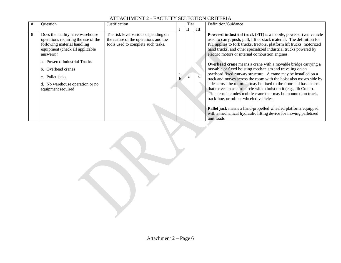|   | Question                                                                                                                                               | Justification                                                                                                     |    | Tier |   | Definition/Guidance                                                                                                                                                                                                                                                                                                                             |
|---|--------------------------------------------------------------------------------------------------------------------------------------------------------|-------------------------------------------------------------------------------------------------------------------|----|------|---|-------------------------------------------------------------------------------------------------------------------------------------------------------------------------------------------------------------------------------------------------------------------------------------------------------------------------------------------------|
|   |                                                                                                                                                        |                                                                                                                   |    |      | Ш |                                                                                                                                                                                                                                                                                                                                                 |
| 8 | Does the facility have warehouse<br>operations requiring the use of the<br>following material handling<br>equipment (check all applicable<br>answers)? | The risk level various depending on<br>the nature of the operations and the<br>tools used to complete such tasks. |    |      |   | <b>Powered industrial truck</b> (PIT) is a mobile, power-driven vehicle<br>used to carry, push, pull, lift or stack material. The definition for<br>PIT applies to fork trucks, tractors, platform lift trucks, motorized<br>hand trucks, and other specialized industrial trucks powered by<br>electric motors or internal combustion engines. |
|   | a. Powered Industrial Trucks<br>b. Overhead cranes<br>c. Pallet jacks<br>d. No warehouse operation or no                                               |                                                                                                                   | a. |      |   | <b>Overhead crane</b> means a crane with a movable bridge carrying a<br>movable or fixed hoisting mechanism and traveling on an<br>overhead fixed runway structure. A crane may be installed on a<br>track and moves across the room with the hoist also moves side by<br>side across the room. It may be fixed to the floor and has an arm     |
|   | equipment required                                                                                                                                     |                                                                                                                   |    |      |   | that moves in a semi-circle with a hoist on it (e.g., Jib Crane).<br>This term includes mobile crane that may be mounted on truck,<br>track-hoe, or rubber wheeled vehicles.<br>Pallet jack means a hand-propelled wheeled platform, equipped<br>with a mechanical hydraulic lifting device for moving palletized                               |
|   |                                                                                                                                                        |                                                                                                                   |    |      |   | unit loads                                                                                                                                                                                                                                                                                                                                      |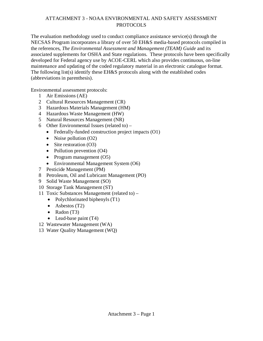### ATTACHMENT 3 - NOAA ENVIRONMENTAL AND SAFETY ASSESSMENT PROTOCOLS

<span id="page-24-0"></span>The evaluation methodology used to conduct compliance assistance service(s) through the NECSAS Program incorporates a library of over 50 EH&S media-based protocols compiled in the references, *The Environmental Assessment and Management (TEAM) Guide* and its associated supplements for OSHA and State regulations. These protocols have been specifically developed for Federal agency use by ACOE-CERL which also provides continuous, on-line maintenance and updating of the coded regulatory material in an electronic catalogue format. The following list(s) identify these EH&S protocols along with the established codes (abbreviations in parenthesis).

Environmental assessment protocols:

- 1 Air Emissions (AE)
- 2 Cultural Resources Management (CR)
- 3 Hazardous Materials Management (HM)
- 4 Hazardous Waste Management (HW)
- 5 Natural Resources Management (NR)
- 6 Other Environmental Issues (related to)
	- Federally-funded construction project impacts (O1)
	- Noise pollution (O2)
	- Site restoration (O3)
	- Pollution prevention (O4)
	- Program management (O5)
	- Environmental Management System (O6)
- 7 Pesticide Management (PM)
- 8 Petroleum, Oil and Lubricant Management (PO)
- 9 Solid Waste Management (SO)
- 10 Storage Tank Management (ST)
- 11 Toxic Substances Management (related to)
	- Polychlorinated biphenyls (T1)
	- Asbestos (T2)
	- Radon (T3)
	- Lead-base paint (T4)
- 12 Wastewater Management (WA)
- 13 Water Quality Management (WQ)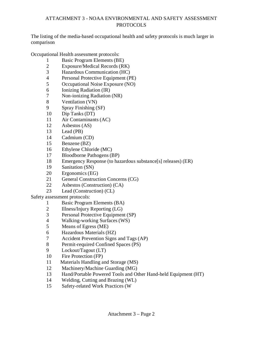### ATTACHMENT 3 - NOAA ENVIRONMENTAL AND SAFETY ASSESSMENT **PROTOCOLS**

The listing of the media-based occupational health and safety protocols is much larger in comparison

Occupational Health assessment protocols:

- 1 Basic Program Elements (BE)<br>2 Exposure/Medical Records (R
- Exposure/Medical Records (RK)
- 3 Hazardous Communication (HC)
- 4 Personal Protective Equipment (PE)
- 5 Occupational Noise Exposure (NO)
- 6 Ionizing Radiation (IR)
- 7 Non-ionizing Radiation (NR)
- 8 Ventilation (VN)
- 9 Spray Finishing (SF)
- 10 Dip Tanks (DT)
- 11 Air Contaminants (AC)
- 12 Asbestos (AS)
- 13 Lead (PB)
- 14 Cadmium (CD)
- 15 Benzene (BZ)
- 16 Ethylene Chloride (MC)
- 17 Bloodborne Pathogens (BP)
- 18 Emergency Response (to hazardous substance[s] releases) (ER)
- 19 Sanitation (SN)
- 20 Ergonomics (EG)
- 21 General Construction Concerns (CG)
- 22 Asbestos (Construction) (CA)
- 23 Lead (Construction) (CL)

Safety assessment protocols:

- 1 Basic Program Elements (BA)
- 2 Illness/Injury Reporting (LG)
- 3 Personal Protective Equipment (SP)
- 4 Walking-working Surfaces (WS)
- 5 Means of Egress (ME)
- 6 Hazardous Materials (HZ)
- 7 Accident Prevention Signs and Tags (AP)<br>8 Permit-required Confined Spaces (PS)
- 8 Permit-required Confined Spaces (PS)
- 9 Lockout/Tagout (LT)
- 10 Fire Protection (FP)
- 11 Materials Handling and Storage (MS)
- 12 Machinery/Machine Guarding (MG)
- 13 Hand/Portable Powered Tools and Other Hand-held Equipment (HT)
- 14 Welding, Cutting and Brazing (WL)
- 15 Safety-related Work Practices (W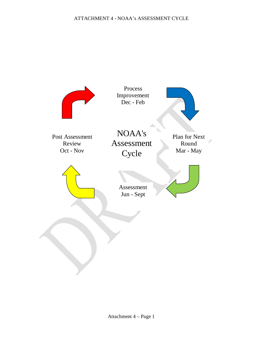<span id="page-26-0"></span>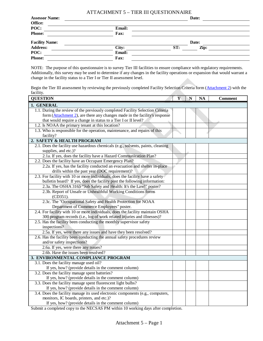#### ATTACHMENT 5 – TIER III QUESTIONNAIRE

<span id="page-27-0"></span>

| <b>Assessor Name:</b> |        |     | Date: |  |
|-----------------------|--------|-----|-------|--|
| Office:               |        |     |       |  |
| POC:                  | Email: |     |       |  |
| <b>Phone:</b>         | Fax:   |     |       |  |
| <b>Facility Name:</b> |        |     | Date: |  |
| <b>Address:</b>       | City:  | ST: | Zip:  |  |
| POC:                  | Email: |     |       |  |
| <b>Phone:</b>         | Fax:   |     |       |  |

NOTE: The purpose of this questionnaire is to survey Tier III facilities to ensure compliance with regulatory requirements. Additionally, this survey may be used to determine if any changes in the facility operations or expansion that would warrant a change in the facility status to a Tier I or Tier II assessment level.

Begin the Tier III assessment by reviewing the previously completed Facility Selection Criteria form [\(Attachment 2\)](#page-18-0) with the facility.

| <b>QUESTION</b>                                                                  | Y | $\mathbf N$ | <b>NA</b> | <b>Comment</b> |
|----------------------------------------------------------------------------------|---|-------------|-----------|----------------|
| 1. GENERAL                                                                       |   |             |           |                |
| 1.1. During the review of the previously completed Facility Selection Criteria   |   |             |           |                |
| form (Attachment 2), are there any changes made in the facility's response       |   |             |           |                |
| that would require a change in status to a Tier I or II level?                   |   |             |           |                |
| 1.2. Is NOAA the primary tenant at this location?                                |   |             |           |                |
| 1.3. Who is responsible for the operation, maintenance, and repairs of this      |   |             |           |                |
| facility?                                                                        |   |             |           |                |
| 2. SAFETY & HEALTH PROGRAM                                                       |   |             |           |                |
| 2.1. Does the facility use hazardous chemicals (e.g., solvents, paints, cleaning |   |             |           |                |
| supplies, and etc.)?                                                             |   |             |           |                |
| 2.1a. If yes, does the facility have a Hazard Communication Plan?                |   |             |           |                |
| 2.2. Does the facility have an Occupant Emergency Plan?                          |   |             |           |                |
| 2.2a. If yes, has the facility conducted an evacuation and shelter in-place      |   |             |           |                |
| drills within the past year (DOC requirement)?                                   |   |             |           |                |
| 2.3. For facility with 10 or more individuals, does the facility have a safety   |   |             |           |                |
| bulletin board? If yes, does the facility post the following information:        |   |             |           |                |
| 2.3a. The OSHA 3165 "Job Safety and Health: It's the Law!" poster?               |   |             |           |                |
| 2.3b. Report of Unsafe or Unhealthful Working Conditions forms                   |   |             |           |                |
| (CD351).                                                                         |   |             |           |                |
| 2.3c. The "Occupational Safety and Health Protection for NOAA                    |   |             |           |                |
| Department of Commerce Employees" poster.                                        |   |             |           |                |
| 2.4. For facility with 10 or more individuals, does the facility maintain OSHA   |   |             |           |                |
| 300 program records (i.e., log of work related injuries and illnesses)?          |   |             |           |                |
| 2.5. Has the facility been conducting the monthly supervisor safety              |   |             |           |                |
| inspections?                                                                     |   |             |           |                |
| 2.5a. If yes, were there any issues and have they been resolved?                 |   |             |           |                |
| 2.6. Has the facility been conducting the annual safety procedures review        |   |             |           |                |
| and/or safety inspections?                                                       |   |             |           |                |
| 2.6a. If yes, were there any issues?                                             |   |             |           |                |
| 2.6b. Have the issues been resolved?                                             |   |             |           |                |
| 3. ENVIRONMENTAL COMPLIANCE PROGRAM                                              |   |             |           |                |
| 3.1. Does the facility manage used oil?                                          |   |             |           |                |
| If yes, how? (provide details in the comment column)                             |   |             |           |                |
| 3.2. Does the facility manage spent batteries?                                   |   |             |           |                |
| If yes, how? (provide details in the comment column)                             |   |             |           |                |
| 3.3. Does the facility manage spent fluorescent light bulbs?                     |   |             |           |                |
| If yes, how? (provide details in the comment column)                             |   |             |           |                |
| 3.4. Does the facility manage its used electronic components (e.g., computers,   |   |             |           |                |
| monitors, IC boards, printers, and etc.)?                                        |   |             |           |                |
| If yes, how? (provide details in the comment column)                             |   |             |           |                |

Submit a completed copy to the NECSAS PM within 10 working days after completion.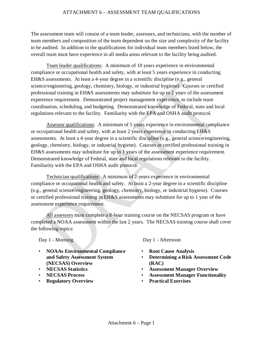#### ATTACHMENT 6 – ASSESSMENT TEAM QUALIFICATIONS

<span id="page-28-0"></span>The assessment team will consist of a team leader, assessors, and technicians, with the number of team members and composition of the team dependent on the size and complexity of the facility to be audited. In addition to the qualifications for individual team members listed below, the overall team must have experience in all media areas relevant to the facility being audited.

Team leader qualifications: A minimum of 10 years experience in environmental compliance or occupational health and safety, with at least 5 years experience in conducting EH&S assessments. At least a 4-year degree in a scientific discipline (e.g., general science/engineering, geology, chemistry, biology, or industrial hygiene). Courses or certified professional training in EH&S assessments may substitute for up to 2 years of the assessment experience requirement. Demonstrated project management experience, to include team coordination, scheduling, and budgeting. Demonstrated knowledge of Federal, state and local regulations relevant to the facility. Familiarity with the EPA and OSHA audit protocol.

Assessor qualifications: A minimum of 5 years experience in environmental compliance or occupational health and safety, with at least 2 years experience in conducting EH&S assessments. At least a 4-year degree in a scientific discipline (e.g., general science/engineering, geology, chemistry, biology, or industrial hygiene). Courses or certified professional training in EH&S assessments may substitute for up to 1 years of the assessment experience requirement. Demonstrated knowledge of Federal, state and local regulations relevant to the facility. Familiarity with the EPA and OSHA audit protocol.

Technician qualifications: A minimum of 2-years experience in environmental compliance or occupational health and safety. At least a 2-year degree in a scientific discipline (e.g., general science/engineering, geology, chemistry, biology, or industrial hygiene). Courses or certified professional training in EH&S assessments may substitute for up to 1 year of the assessment experience requirement.

All assessors must complete a 8-hour training course on the NECSAS program or have completed a NOAA assessment within the last 2 years. The NECSAS training course shall cover the following topics:

- **NOAAs Environmental Compliance and Safety Assessment System (NECSAS) Overview**
- **NECSAS Statistics**
- **NECSAS Process**
- **Regulatory Overview**

Day 1 - Morning Day 1 - Afternoon

- **Root Cause Analysis**
- **Determining a Risk Assessment Code (RAC)**
- **Assessment Manager Overview**
- **Assessment Manager Functionality**
- **Practical Exercises**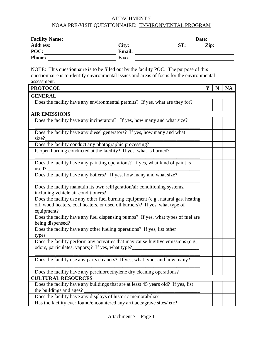### ATTACHMENT 7 NOAA PRE-VISIT QUESTIONNAIRE: ENVIRONMENTAL PROGRAM

<span id="page-29-0"></span>

| <b>Facility Name:</b>                                                                                                                                                                                                                                                                                                                                                                                                                   |             | Date: |   |             |           |  |  |
|-----------------------------------------------------------------------------------------------------------------------------------------------------------------------------------------------------------------------------------------------------------------------------------------------------------------------------------------------------------------------------------------------------------------------------------------|-------------|-------|---|-------------|-----------|--|--|
|                                                                                                                                                                                                                                                                                                                                                                                                                                         | $City:$ ST: |       |   |             | Zip:      |  |  |
| $\text{POC:}\n\qquad \qquad \qquad \text{N.}\n\qquad \qquad \text{N.}\n\qquad \qquad \text{N.}\n\qquad \qquad \text{N.}\n\qquad \qquad \text{N.}\n\qquad \qquad \text{N.}\n\qquad \qquad \text{N.}\n\qquad \qquad \text{N.}\n\qquad \qquad \text{N.}\n\qquad \qquad \text{N.}\n\qquad \qquad \text{N.}\n\qquad \qquad \text{N.}\n\qquad \qquad \text{N.}\n\qquad \qquad \text{N.}\n\qquad \qquad \text{N.}\n\qquad \qquad \text{N.}\n\$ | Email:      |       |   |             |           |  |  |
| <b>Phone:</b> The contract of the contract of the contract of the contract of the contract of the contract of the contract of the contract of the contract of the contract of the contract of the contract of the contract of the c                                                                                                                                                                                                     | Fax:        |       |   |             |           |  |  |
| NOTE: This questionnaire is to be filled out by the facility POC. The purpose of this                                                                                                                                                                                                                                                                                                                                                   |             |       |   |             |           |  |  |
| questionnaire is to identify environmental issues and areas of focus for the environmental                                                                                                                                                                                                                                                                                                                                              |             |       |   |             |           |  |  |
| assessment.                                                                                                                                                                                                                                                                                                                                                                                                                             |             |       |   |             |           |  |  |
| <b>PROTOCOL</b>                                                                                                                                                                                                                                                                                                                                                                                                                         |             |       | Y | $\mathbf N$ | <b>NA</b> |  |  |
| <b>GENERAL</b>                                                                                                                                                                                                                                                                                                                                                                                                                          |             |       |   |             |           |  |  |
| Does the facility have any environmental permits? If yes, what are they for?                                                                                                                                                                                                                                                                                                                                                            |             |       |   |             |           |  |  |
| <b>AIR EMISSIONS</b>                                                                                                                                                                                                                                                                                                                                                                                                                    |             |       |   |             |           |  |  |
| Does the facility have any incinerators? If yes, how many and what size?                                                                                                                                                                                                                                                                                                                                                                |             |       |   |             |           |  |  |
| Does the facility have any diesel generators? If yes, how many and what<br>size?                                                                                                                                                                                                                                                                                                                                                        |             |       |   |             |           |  |  |
| Does the facility conduct any photographic processing?                                                                                                                                                                                                                                                                                                                                                                                  |             |       |   |             |           |  |  |
| Is open burning conducted at the facility? If yes, what is burned?                                                                                                                                                                                                                                                                                                                                                                      |             |       |   |             |           |  |  |
| Does the facility have any painting operations? If yes, what kind of paint is<br>used?                                                                                                                                                                                                                                                                                                                                                  |             |       |   |             |           |  |  |
| Does the facility have any boilers? If yes, how many and what size?                                                                                                                                                                                                                                                                                                                                                                     |             |       |   |             |           |  |  |
| Does the facility maintain its own refrigeration/air conditioning systems,<br>including vehicle air conditioners?                                                                                                                                                                                                                                                                                                                       |             |       |   |             |           |  |  |
| Does the facility use any other fuel burning equipment (e.g., natural gas, heating<br>oil, wood heaters, coal heaters, or used oil burners)? If yes, what type of<br>equipment?                                                                                                                                                                                                                                                         |             |       |   |             |           |  |  |
| Does the facility have any fuel dispensing pumps? If yes, what types of fuel are<br>being dispensed?                                                                                                                                                                                                                                                                                                                                    |             |       |   |             |           |  |  |
| Does the facility have any other fueling operations? If yes, list other<br>types_                                                                                                                                                                                                                                                                                                                                                       |             |       |   |             |           |  |  |
| Does the facility perform any activities that may cause fugitive emissions (e.g.,<br>odors, particulates, vapors)? If yes, what type?_                                                                                                                                                                                                                                                                                                  |             |       |   |             |           |  |  |
| Does the facility use any parts cleaners? If yes, what types and how many?                                                                                                                                                                                                                                                                                                                                                              |             |       |   |             |           |  |  |
| Does the facility have any perchloroethylene dry cleaning operations?                                                                                                                                                                                                                                                                                                                                                                   |             |       |   |             |           |  |  |
| <b>CULTURAL RESOURCES</b>                                                                                                                                                                                                                                                                                                                                                                                                               |             |       |   |             |           |  |  |
| Does the facility have any buildings that are at least 45 years old? If yes, list<br>the buildings and ages?                                                                                                                                                                                                                                                                                                                            |             |       |   |             |           |  |  |
| Does the facility have any displays of historic memorabilia?                                                                                                                                                                                                                                                                                                                                                                            |             |       |   |             |           |  |  |
| Has the facility ever found/encountered any artifacts/grave sites/ etc?                                                                                                                                                                                                                                                                                                                                                                 |             |       |   |             |           |  |  |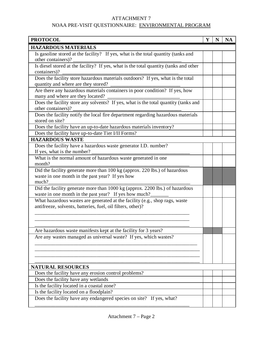| <b>PROTOCOL</b>                                                                                                                            | Y | N | <b>NA</b> |
|--------------------------------------------------------------------------------------------------------------------------------------------|---|---|-----------|
| <b>HAZARDOUS MATERIALS</b>                                                                                                                 |   |   |           |
| Is gasoline stored at the facility? If yes, what is the total quantity (tanks and<br>other containers)? $\frac{ }{ }$                      |   |   |           |
| Is diesel stored at the facility? If yes, what is the total quantity (tanks and other<br>containers)?                                      |   |   |           |
| Does the facility store hazardous materials outdoors? If yes, what is the total<br>quantity and where are they stored?                     |   |   |           |
| Are there any hazardous materials containers in poor condition? If yes, how<br>many and where are they located?                            |   |   |           |
| Does the facility store any solvents? If yes, what is the total quantity (tanks and<br>other containers)?                                  |   |   |           |
| Does the facility notify the local fire department regarding hazardous materials<br>stored on site?                                        |   |   |           |
| Does the facility have an up-to-date hazardous materials inventory?                                                                        |   |   |           |
| Does the facility have up-to-date Tier I/II Forms?                                                                                         |   |   |           |
| <b>HAZARDOUS WASTE</b>                                                                                                                     |   |   |           |
| Does the facility have a hazardous waste generator I.D. number?<br>If yes, what is the number?                                             |   |   |           |
| What is the normal amount of hazardous waste generated in one                                                                              |   |   |           |
| month?                                                                                                                                     |   |   |           |
| Did the facility generate more than 100 kg (approx. 220 lbs.) of hazardous<br>waste in one month in the past year? If yes how<br>much?     |   |   |           |
| Did the facility generate more than 1000 kg (approx. 2200 lbs.) of hazardous<br>waste in one month in the past year? If yes how much?      |   |   |           |
| What hazardous wastes are generated at the facility (e.g., shop rags, waste<br>antifreeze, solvents, batteries, fuel, oil filters, other)? |   |   |           |
|                                                                                                                                            |   |   |           |
| Are hazardous waste manifests kept at the facility for 3 years?                                                                            |   |   |           |
| Are any wastes managed as universal waste? If yes, which wastes?                                                                           |   |   |           |
|                                                                                                                                            |   |   |           |
| <b>NATURAL RESOURCES</b>                                                                                                                   |   |   |           |
| Does the facility have any erosion control problems?                                                                                       |   |   |           |
| Does the facility have any wetlands                                                                                                        |   |   |           |
| Is the facility located in a coastal zone?                                                                                                 |   |   |           |
| Is the facility located on a floodplain?                                                                                                   |   |   |           |
| Does the facility have any endangered species on site? If yes, what?                                                                       |   |   |           |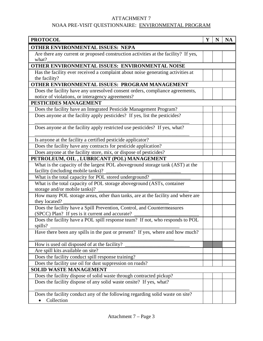| <b>PROTOCOL</b>                                                                                                                  | Y | N | <b>NA</b> |
|----------------------------------------------------------------------------------------------------------------------------------|---|---|-----------|
| <b>OTHER ENVIRONMENTAL ISSUES: NEPA</b>                                                                                          |   |   |           |
| Are there any current or proposed construction activities at the facility? If yes,<br>what?                                      |   |   |           |
| OTHER ENVIRONMENTAL ISSUES: ENVIRONMENTAL NOISE                                                                                  |   |   |           |
| Has the facility ever received a complaint about noise generating activities at<br>the facility?                                 |   |   |           |
| OTHER ENVIRONMENTAL ISSUES: PROGRAM MANAGEMENT                                                                                   |   |   |           |
| Does the facility have any unresolved consent orders, compliance agreements,<br>notice of violations, or interagency agreements? |   |   |           |
| PESTICIDES MANAGEMENT                                                                                                            |   |   |           |
| Does the facility have an Integrated Pesticide Management Program?                                                               |   |   |           |
| Does anyone at the facility apply pesticides? If yes, list the pesticides?                                                       |   |   |           |
| Does anyone at the facility apply restricted use pesticides? If yes, what?                                                       |   |   |           |
| Is anyone at the facility a certified pesticide applicator?                                                                      |   |   |           |
| Does the facility have any contracts for pesticide application?                                                                  |   |   |           |
| Does anyone at the facility store, mix, or dispose of pesticides?                                                                |   |   |           |
| PETROLEUM, OIL, LUBRICANT (POL) MANAGEMENT                                                                                       |   |   |           |
| What is the capacity of the largest POL aboveground storage tank (AST) at the<br>facility (including mobile tanks)?              |   |   |           |
| What is the total capacity for POL stored underground?                                                                           |   |   |           |
| What is the total capacity of POL storage aboveground (ASTs, container<br>storage and/or mobile tanks)?                          |   |   |           |
| How many POL storage areas, other than tanks, are at the facility and where are<br>they located?                                 |   |   |           |
| Does the facility have a Spill Prevention, Control, and Countermeasures<br>(SPCC) Plan? If yes is it current and accurate?       |   |   |           |
| Does the facility have a POL spill response team? If not, who responds to POL<br>spills?                                         |   |   |           |
| Have there been any spills in the past or present? If yes, where and how much?                                                   |   |   |           |
| How is used oil disposed of at the facility?                                                                                     |   |   |           |
| Are spill kits available on site?                                                                                                |   |   |           |
| Does the facility conduct spill response training?                                                                               |   |   |           |
| Does the facility use oil for dust suppression on roads?                                                                         |   |   |           |
| <b>SOLID WASTE MANAGEMENT</b>                                                                                                    |   |   |           |
| Does the facility dispose of solid waste through contracted pickup?                                                              |   |   |           |
| Does the facility dispose of any solid waste onsite? If yes, what?                                                               |   |   |           |
| Does the facility conduct any of the following regarding solid waste on site?<br>Collection                                      |   |   |           |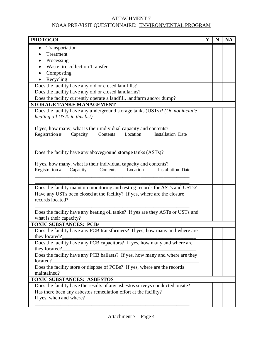| <b>PROTOCOL</b>                                                                          | Y | N | <b>NA</b> |
|------------------------------------------------------------------------------------------|---|---|-----------|
| Transportation<br>$\bullet$                                                              |   |   |           |
| Treatment                                                                                |   |   |           |
| Processing                                                                               |   |   |           |
| Waste tire collection Transfer                                                           |   |   |           |
| Composting                                                                               |   |   |           |
| Recycling                                                                                |   |   |           |
| Does the facility have any old or closed landfills?                                      |   |   |           |
| Does the facility have any old or closed landfarms?                                      |   |   |           |
| Does the facility currently operate a landfill, landfarm and/or dump?                    |   |   |           |
| <b>STORAGE TANKE MANAGEMENT</b>                                                          |   |   |           |
| Does the facility have any underground storage tanks (USTs)? (Do not include             |   |   |           |
| heating oil USTs in this list)                                                           |   |   |           |
| If yes, how many, what is their individual capacity and contents?                        |   |   |           |
| Registration #<br>Capacity<br>Contents<br>Location<br><b>Installation Date</b>           |   |   |           |
|                                                                                          |   |   |           |
|                                                                                          |   |   |           |
| Does the facility have any above ground storage tanks (ASTs)?                            |   |   |           |
|                                                                                          |   |   |           |
| If yes, how many, what is their individual capacity and contents?                        |   |   |           |
| Registration#<br>Contents<br>Location<br>Capacity<br><b>Installation Date</b>            |   |   |           |
|                                                                                          |   |   |           |
|                                                                                          |   |   |           |
| Does the facility maintain monitoring and testing records for ASTs and USTs?             |   |   |           |
| Have any USTs been closed at the facility? If yes, where are the closure                 |   |   |           |
| records located?                                                                         |   |   |           |
|                                                                                          |   |   |           |
| Does the facility have any heating oil tanks? If yes are they ASTs or USTs and           |   |   |           |
| what is their capacity?                                                                  |   |   |           |
| <b>TOXIC SUBSTANCES: PCBs</b>                                                            |   |   |           |
| Does the facility have any PCB transformers? If yes, how many and where are              |   |   |           |
| they located?                                                                            |   |   |           |
| Does the facility have any PCB capacitors? If yes, how many and where are                |   |   |           |
| they located?                                                                            |   |   |           |
| Does the facility have any PCB ballasts? If yes, how many and where are they             |   |   |           |
| located?                                                                                 |   |   |           |
| Does the facility store or dispose of PCBs? If yes, where are the records<br>maintained? |   |   |           |
|                                                                                          |   |   |           |
| <b>TOXIC SUBSTANCES: ASBESTOS</b>                                                        |   |   |           |
| Does the facility have the results of any asbestos surveys conducted onsite?             |   |   |           |
| Has there been any asbestos remediation effort at the facility?                          |   |   |           |
|                                                                                          |   |   |           |
|                                                                                          |   |   |           |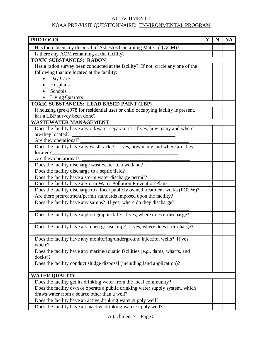| <b>PROTOCOL</b>                                                                   | Y | N | <b>NA</b> |
|-----------------------------------------------------------------------------------|---|---|-----------|
| Has there been any disposal of Asbestos Containing Material (ACM)?                |   |   |           |
| Is there any ACM remaining at the facility?                                       |   |   |           |
| <b>TOXIC SUBSTANCES: RADON</b>                                                    |   |   |           |
| Has a radon survey been conducted at the facility? If not, circle any one of the  |   |   |           |
| following that are located at the facility:                                       |   |   |           |
| Day Care                                                                          |   |   |           |
| Hospitals                                                                         |   |   |           |
| Schools                                                                           |   |   |           |
| <b>Living Quarters</b>                                                            |   |   |           |
| TOXIC SUBSTANCES: LEAD BASED PAINT (LBP)                                          |   |   |           |
| If housing (pre-1978 for residential use) or child occupying facility is present, |   |   |           |
| has a LBP survey been done?                                                       |   |   |           |
| <b>WASTEWATER MANAGEMENT</b>                                                      |   |   |           |
| Does the facility have any oil/water separators? If yes, how many and where       |   |   |           |
| are they located?                                                                 |   |   |           |
| Are they operational? _                                                           |   |   |           |
| Does the facility have any wash racks? If yes, how many and where are they        |   |   |           |
| located?                                                                          |   |   |           |
| Are they operational?                                                             |   |   |           |
| Does the facility discharge wastewater to a wetland?                              |   |   |           |
| Does the facility discharge to a septic field?                                    |   |   |           |
| Does the facility have a storm water discharge permit?                            |   |   |           |
| Does the facility have a Storm Water Pollution Prevention Plan?                   |   |   |           |
| Does the facility discharge to a local publicly owned treatment works (POTW)?     |   |   |           |
| Are there pretreatment/permit standards imposed upon the facility?                |   |   |           |
| Does the facility have any sumps? If yes, where do they discharge?                |   |   |           |
|                                                                                   |   |   |           |
| Does the facility have a photographic lab? If yes, where does it discharge?       |   |   |           |
|                                                                                   |   |   |           |
| Does the facility have a kitchen grease trap? If yes, where does it discharge?    |   |   |           |
| Does the facility have any monitoring/underground injection wells? If yes,        |   |   |           |
| where?                                                                            |   |   |           |
| Does the facility have any marine/aquatic facilities (e.g., dams, wharfs, and     |   |   |           |
| docks)?                                                                           |   |   |           |
| Does the facility conduct sludge disposal (including land application)?           |   |   |           |
|                                                                                   |   |   |           |
| <b>WATER QUALITY</b>                                                              |   |   |           |
| Does the facility get its drinking water from the local community?                |   |   |           |
| Does the facility own or operate a public drinking water supply system, which     |   |   |           |
| draws water from a source other than a well?                                      |   |   |           |
| Does the facility have an active drinking water supply well?                      |   |   |           |
| Does the facility have an inactive drinking water supply well?                    |   |   |           |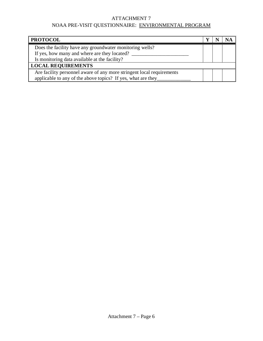| <b>PROTOCOL</b>                                                       |  |  |
|-----------------------------------------------------------------------|--|--|
| Does the facility have any groundwater monitoring wells?              |  |  |
| If yes, how many and where are they located?                          |  |  |
| Is monitoring data available at the facility?                         |  |  |
| <b>LOCAL REQUIREMENTS</b>                                             |  |  |
| Are facility personnel aware of any more stringent local requirements |  |  |
| applicable to any of the above topics? If yes, what are they_         |  |  |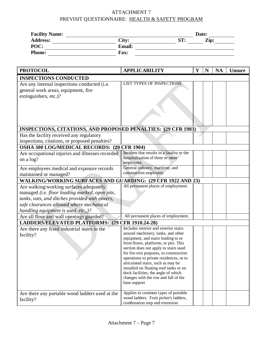| <b>Facility Name:</b> |               | Date: |      |  |
|-----------------------|---------------|-------|------|--|
| <b>Address:</b>       | City:         | ST:   | Zip: |  |
| POC:                  | <b>Email:</b> |       |      |  |
| <b>Phone:</b>         | <b>Fax:</b>   |       |      |  |

| <b>PROTOCOL</b>                                                                                                                                                                                                                | <b>APPLICABILITY</b>                                                                                                                                                                                                                                                                                                                                                                                                                                                       | Y | N | <b>NA</b> | <b>Unsure</b> |
|--------------------------------------------------------------------------------------------------------------------------------------------------------------------------------------------------------------------------------|----------------------------------------------------------------------------------------------------------------------------------------------------------------------------------------------------------------------------------------------------------------------------------------------------------------------------------------------------------------------------------------------------------------------------------------------------------------------------|---|---|-----------|---------------|
| <b>INSPECTIONS CONDUCTED</b>                                                                                                                                                                                                   |                                                                                                                                                                                                                                                                                                                                                                                                                                                                            |   |   |           |               |
| Are any internal inspections conducted (i.e.<br>general work areas, equipment, fire<br>extinguishers, etc.)?                                                                                                                   | <b>LIST TYPES OF INSPECTIONS</b>                                                                                                                                                                                                                                                                                                                                                                                                                                           |   |   |           |               |
| <b>INSPECTIONS, CITATIONS, AND PROPOSED PENALTIES: (29 CFR 1903)</b>                                                                                                                                                           |                                                                                                                                                                                                                                                                                                                                                                                                                                                                            |   |   |           |               |
| Has the facility received any regulatory<br>inspections, citations, or proposed penalties?                                                                                                                                     |                                                                                                                                                                                                                                                                                                                                                                                                                                                                            |   |   |           |               |
| OSHA 300 LOG/MEDICAL RECORDS: (29 CFR 1904)                                                                                                                                                                                    |                                                                                                                                                                                                                                                                                                                                                                                                                                                                            |   |   |           |               |
| Are occupational injuries and illnesses recorded<br>on a log?                                                                                                                                                                  | Incident that results in a fatality or the<br>hospitalization of three or more<br>employees.                                                                                                                                                                                                                                                                                                                                                                               |   |   |           |               |
| Are employees medical and exposure records<br>maintained or managed?                                                                                                                                                           | General industry, maritime, and<br>construction employers                                                                                                                                                                                                                                                                                                                                                                                                                  |   |   |           |               |
| WALKING/WORKING SURFACES AND GUARDING: (29 CFR 1922 AND 23)                                                                                                                                                                    |                                                                                                                                                                                                                                                                                                                                                                                                                                                                            |   |   |           |               |
| Are walking/working surfaces adequately<br>managed (i.e. floor loading marked, open pits,<br>tanks, vats, and ditches provided with covers,<br>safe clearances allowed where mechanical<br>handling equipment is used, etc,.)? | All permanent places of employment.                                                                                                                                                                                                                                                                                                                                                                                                                                        |   |   |           |               |
| Are all floor and wall openings guarded?                                                                                                                                                                                       | All permanent places of employment.                                                                                                                                                                                                                                                                                                                                                                                                                                        |   |   |           |               |
| <b>LADDERS/ELEVATED PLATFORMS:</b>                                                                                                                                                                                             | $(29$ CFR 1910.24-28)                                                                                                                                                                                                                                                                                                                                                                                                                                                      |   |   |           |               |
| Are there any fixed industrial stairs in the<br>facility?                                                                                                                                                                      | Includes interior and exterior stairs<br>around machinery, tanks, and other<br>equipment, and stairs leading to or<br>from floors, platforms, or pits. This<br>section does not apply to stairs used<br>for fire exit purposes, to construction<br>operations to private residences, or to<br>articulated stairs, such as may be<br>installed on floating roof tanks or on<br>dock facilities, the angle of which<br>changes with the rise and fall of the<br>base support |   |   |           |               |
| Are there any portable wood ladders used at the<br>facility?                                                                                                                                                                   | Applies to common types of portable<br>wood ladders. Fruit picker's ladders,<br>combination step and extension                                                                                                                                                                                                                                                                                                                                                             |   |   |           |               |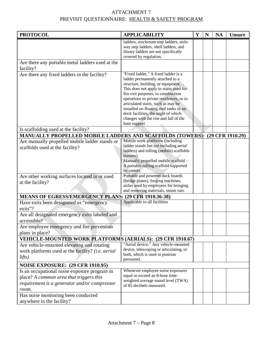| <b>PROTOCOL</b>                                                                                                                                                 | <b>APPLICABILITY</b>                                                                                                                                                                                                                                                                                                                                                                                                     | $\mathbf{Y}$ | N | <b>NA</b> | <b>Unsure</b> |
|-----------------------------------------------------------------------------------------------------------------------------------------------------------------|--------------------------------------------------------------------------------------------------------------------------------------------------------------------------------------------------------------------------------------------------------------------------------------------------------------------------------------------------------------------------------------------------------------------------|--------------|---|-----------|---------------|
|                                                                                                                                                                 | ladders, stockroom step ladders, aisle-<br>way step ladders, shelf ladders, and<br>library ladders are not specifically<br>covered by regulation.                                                                                                                                                                                                                                                                        |              |   |           |               |
| Are there any portable metal ladders used at the                                                                                                                |                                                                                                                                                                                                                                                                                                                                                                                                                          |              |   |           |               |
| facility?                                                                                                                                                       |                                                                                                                                                                                                                                                                                                                                                                                                                          |              |   |           |               |
| Are there any fixed ladders in the facility?                                                                                                                    | "Fixed ladder." A fixed ladder is a<br>ladder permanently attached to a<br>structure, building, or equipment<br>This does not apply to stairs used for<br>fire exit purposes, to construction<br>operations to private residences, or to<br>articulated stairs, such as may be<br>installed on floating roof tanks or on<br>dock facilities, the angle of which<br>changes with the rise and fall of the<br>base support |              |   |           |               |
| Is scaffolding used at the facility?                                                                                                                            |                                                                                                                                                                                                                                                                                                                                                                                                                          |              |   |           |               |
| MANUALLY PROPELLED MOBILE LADDERS AND SCAFFOLDS (TOWERS): (29 CFR 1910.29)<br>Are manually propelled mobile ladder stands or<br>scaffolds used at the facility? | Mobile work platforms (including<br>ladder stands but not including aerial<br>ladders) and rolling (mobile) scaffolds<br>(towers)<br>Manually propelled mobile scaffold -<br>A portable rolling scaffold supported<br>by casters                                                                                                                                                                                         |              |   |           |               |
| Are other working surfaces located in or used<br>at the facility?                                                                                               | Portable and powered dock boards<br>(bridge plates), forging machines,<br>aisles used by employees for bringing<br>and removing materials, steam vats.                                                                                                                                                                                                                                                                   |              |   |           |               |
| <b>MEANS OF EGRESS/EMERGENCY PLANS: (29 CFR 1910.36-38)</b>                                                                                                     |                                                                                                                                                                                                                                                                                                                                                                                                                          |              |   |           |               |
| Have exits been designated as "emergency<br>exits"?                                                                                                             | Applicable to all facilities                                                                                                                                                                                                                                                                                                                                                                                             |              |   |           |               |
| Are all designated emergency exits labeled and<br>accessible?                                                                                                   |                                                                                                                                                                                                                                                                                                                                                                                                                          |              |   |           |               |
| Are employee emergency and fire prevention<br>plans in place?                                                                                                   |                                                                                                                                                                                                                                                                                                                                                                                                                          |              |   |           |               |
| <b>VEHICLE-MOUNTED WORK PLATFORMS (AERIALS): (29 CFR 1910.67)</b>                                                                                               |                                                                                                                                                                                                                                                                                                                                                                                                                          |              |   |           |               |
| Are vehicle-mounted elevating and rotating<br>work platforms used at the facility? (i.e. aerial<br>lifts)                                                       | "Aerial device." Any vehicle-mounted<br>device, telescoping or articulating, or<br>both, which is used to position<br>personnel.                                                                                                                                                                                                                                                                                         |              |   |           |               |
| <b>NOISE EXPOSURE: (29 CFR 1910.95)</b>                                                                                                                         |                                                                                                                                                                                                                                                                                                                                                                                                                          |              |   |           |               |
| Is an occupational noise exposure program in<br>place? A common area that triggers this<br>requirement is a generator and/or compressor<br>room.                | Whenever employee noise exposures<br>equal or exceed an 8-hour time-<br>weighted average sound level (TWA)<br>of 85 decibels measured.                                                                                                                                                                                                                                                                                   |              |   |           |               |
| Has noise monitoring been conducted<br>anywhere in the facility?                                                                                                |                                                                                                                                                                                                                                                                                                                                                                                                                          |              |   |           |               |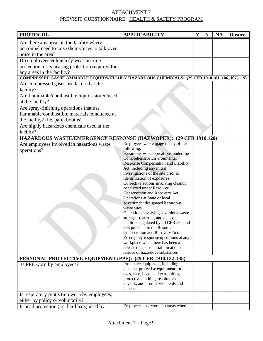| <b>PROTOCOL</b>                                                                                      | <b>APPLICABILITY</b>                                                       | Y | N | <b>NA</b> | <b>Unsure</b> |
|------------------------------------------------------------------------------------------------------|----------------------------------------------------------------------------|---|---|-----------|---------------|
| Are there any areas in the facility where                                                            |                                                                            |   |   |           |               |
| personnel need to raise their voices to talk over                                                    |                                                                            |   |   |           |               |
| noise in the area?                                                                                   |                                                                            |   |   |           |               |
| Do employees voluntarily wear hearing                                                                |                                                                            |   |   |           |               |
| protection, or is hearing protection required for                                                    |                                                                            |   |   |           |               |
| any areas in the facility?                                                                           |                                                                            |   |   |           |               |
| <b>COMPRESSED GAS/FLAMMABLE LIQUIDS/HIGHLY HAZARDOUS CHEMICALS: (29 CFR 1910.101, 106, 107, 119)</b> |                                                                            |   |   |           |               |
| Are compressed gases used/stored at the                                                              |                                                                            |   |   |           |               |
| facility?                                                                                            |                                                                            |   |   |           |               |
| Are flammable/combustible liquids stored/used                                                        |                                                                            |   |   |           |               |
| at the facility?                                                                                     |                                                                            |   |   |           |               |
| Are spray-finishing operations that use                                                              |                                                                            |   |   |           |               |
| flammable/combustible materials conducted at                                                         |                                                                            |   |   |           |               |
| the facility? (i.e. paint booths)                                                                    |                                                                            |   |   |           |               |
| Are highly hazardous chemicals used at the                                                           |                                                                            |   |   |           |               |
| facility?                                                                                            |                                                                            |   |   |           |               |
| HAZARDOUS WASTE/EMERGENCY RESPONSE (HAZWOPER): (29 CFR 1910.120)                                     |                                                                            |   |   |           |               |
|                                                                                                      | Employees who engage in any of the                                         |   |   |           |               |
| Are employees involved in hazardous waste                                                            | following:                                                                 |   |   |           |               |
| operations?                                                                                          | Hazardous waste operations under the                                       |   |   |           |               |
|                                                                                                      | Comprehensive Environmental                                                |   |   |           |               |
|                                                                                                      | Response Compensation and Liability                                        |   |   |           |               |
|                                                                                                      | Act, including any initial                                                 |   |   |           |               |
|                                                                                                      | investigations of the site prior to                                        |   |   |           |               |
|                                                                                                      | identification of exposures.<br>Corrective actions involving cleanup       |   |   |           |               |
|                                                                                                      | conducted under Resource                                                   |   |   |           |               |
|                                                                                                      | Conservation and Recovery Act.                                             |   |   |           |               |
|                                                                                                      | Operations at State or local                                               |   |   |           |               |
|                                                                                                      | government designated hazardous                                            |   |   |           |               |
|                                                                                                      | waste sites                                                                |   |   |           |               |
|                                                                                                      | Operations involving hazardous waste                                       |   |   |           |               |
|                                                                                                      | storage, treatment, and disposal<br>facilities regulated by 40 CFR 264 and |   |   |           |               |
|                                                                                                      | 265 pursuant to the Resource                                               |   |   |           |               |
|                                                                                                      | Conservation and Recovery Act.                                             |   |   |           |               |
|                                                                                                      | Emergency response operations at any                                       |   |   |           |               |
|                                                                                                      | workplace when there has been a                                            |   |   |           |               |
|                                                                                                      | release or a substantial threat of a                                       |   |   |           |               |
|                                                                                                      | release of hazardous substances                                            |   |   |           |               |
| PERSONAL PROTECTIVE EQUIPMENT (PPE): (29 CFR 1910.132-138)                                           |                                                                            |   |   |           |               |
| Is PPE worn by employees?                                                                            | Protective equipment, including                                            |   |   |           |               |
|                                                                                                      | personal protective equipment for                                          |   |   |           |               |
|                                                                                                      | eyes, face, head, and extremities,<br>protective clothing, respiratory     |   |   |           |               |
|                                                                                                      | devices, and protective shields and                                        |   |   |           |               |
|                                                                                                      | barriers                                                                   |   |   |           |               |
| Is respiratory protection worn by employees,                                                         |                                                                            |   |   |           |               |
| either by policy or voluntarily?                                                                     |                                                                            |   |   |           |               |
| Is head protection (i.e. hard hats) used by                                                          | Employees that works in areas where                                        |   |   |           |               |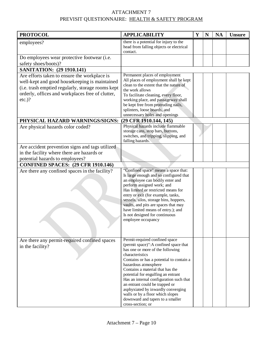| <b>PROTOCOL</b>                                                     | <b>APPLICABILITY</b>                                                                                                                                                                                                                                                                                                                                                                                                                                                                          | Y | N | <b>NA</b> | <b>Unsure</b> |
|---------------------------------------------------------------------|-----------------------------------------------------------------------------------------------------------------------------------------------------------------------------------------------------------------------------------------------------------------------------------------------------------------------------------------------------------------------------------------------------------------------------------------------------------------------------------------------|---|---|-----------|---------------|
| employees?                                                          | there is a potential for injury to the<br>head from falling objects or electrical<br>contact.                                                                                                                                                                                                                                                                                                                                                                                                 |   |   |           |               |
| Do employees wear protective footwear (i.e.<br>safety shoes/boots)? |                                                                                                                                                                                                                                                                                                                                                                                                                                                                                               |   |   |           |               |
| <b>SANITATION: (29 1910.141)</b>                                    |                                                                                                                                                                                                                                                                                                                                                                                                                                                                                               |   |   |           |               |
| Are efforts taken to ensure the workplace is                        | Permanent places of employment                                                                                                                                                                                                                                                                                                                                                                                                                                                                |   |   |           |               |
| well-kept and good housekeeping is maintained                       | All places of employment shall be kept                                                                                                                                                                                                                                                                                                                                                                                                                                                        |   |   |           |               |
| (i.e. trash emptied regularly, storage rooms kept                   | clean to the extent that the nature of<br>the work allows                                                                                                                                                                                                                                                                                                                                                                                                                                     |   |   |           |               |
| orderly, offices and workplaces free of clutter,                    | To facilitate cleaning, every floor,                                                                                                                                                                                                                                                                                                                                                                                                                                                          |   |   |           |               |
| $etc.$ )?                                                           | working place, and passageway shall                                                                                                                                                                                                                                                                                                                                                                                                                                                           |   |   |           |               |
|                                                                     | be kept free from protruding nails,                                                                                                                                                                                                                                                                                                                                                                                                                                                           |   |   |           |               |
|                                                                     | splinters, loose boards, and                                                                                                                                                                                                                                                                                                                                                                                                                                                                  |   |   |           |               |
|                                                                     | unnecessary holes and openings                                                                                                                                                                                                                                                                                                                                                                                                                                                                |   |   |           |               |
| PHYSICAL HAZARD WARNINGS/SIGNS:                                     | (29 CFR 1910.144, 145)                                                                                                                                                                                                                                                                                                                                                                                                                                                                        |   |   |           |               |
| Are physical hazards color coded?                                   | Physical hazards include flammable<br>storage cans, stop bars, buttons,                                                                                                                                                                                                                                                                                                                                                                                                                       |   |   |           |               |
|                                                                     | switches, and tripping, slipping, and                                                                                                                                                                                                                                                                                                                                                                                                                                                         |   |   |           |               |
|                                                                     | falling hazards.                                                                                                                                                                                                                                                                                                                                                                                                                                                                              |   |   |           |               |
| Are accident prevention signs and tags utilized                     |                                                                                                                                                                                                                                                                                                                                                                                                                                                                                               |   |   |           |               |
| in the facility where there are hazards or                          |                                                                                                                                                                                                                                                                                                                                                                                                                                                                                               |   |   |           |               |
| potential hazards to employees?                                     |                                                                                                                                                                                                                                                                                                                                                                                                                                                                                               |   |   |           |               |
| <b>CONFINED SPACES: (29 CFR 1910.146)</b>                           |                                                                                                                                                                                                                                                                                                                                                                                                                                                                                               |   |   |           |               |
| Are there any confined spaces in the facility?                      | "Confined space" means a space that:<br>Is large enough and so configured that<br>an employee can bodily enter and<br>perform assigned work; and<br>Has limited or restricted means for<br>entry or exit (for example, tanks,<br>vessels, silos, storage bins, hoppers,<br>vaults, and pits are spaces that may<br>have limited means of entry.); and<br>Is not designed for continuous<br>employee occupancy                                                                                 |   |   |           |               |
| Are there any permit-required confined spaces<br>in the facility?   | Permit-required confined space<br>(permit space)": A confined space that<br>has one or more of the following<br>characteristics<br>Contains or has a potential to contain a<br>hazardous atmosphere<br>Contains a material that has the<br>potential for engulfing an entrant<br>Has an internal configuration such that<br>an entrant could be trapped or<br>asphyxiated by inwardly converging<br>walls or by a floor which slopes<br>downward and tapers to a smaller<br>cross-section; or |   |   |           |               |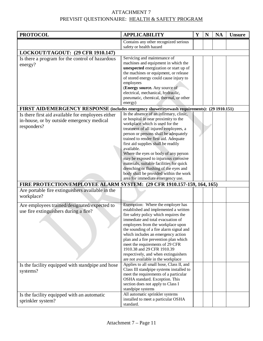| <b>PROTOCOL</b>                                                                                                                                       | <b>APPLICABILITY</b>                                                                                                                                                                                                                                                                                                                                                                                                                                                                                                                                                                                                                                                                                | Y | N | <b>NA</b> | <b>Unsure</b> |
|-------------------------------------------------------------------------------------------------------------------------------------------------------|-----------------------------------------------------------------------------------------------------------------------------------------------------------------------------------------------------------------------------------------------------------------------------------------------------------------------------------------------------------------------------------------------------------------------------------------------------------------------------------------------------------------------------------------------------------------------------------------------------------------------------------------------------------------------------------------------------|---|---|-----------|---------------|
|                                                                                                                                                       | Contains any other recognized serious<br>safety or health hazard                                                                                                                                                                                                                                                                                                                                                                                                                                                                                                                                                                                                                                    |   |   |           |               |
| LOCKOUT/TAGOUT: (29 CFR 1910.147)                                                                                                                     |                                                                                                                                                                                                                                                                                                                                                                                                                                                                                                                                                                                                                                                                                                     |   |   |           |               |
| Is there a program for the control of hazardous<br>energy?                                                                                            | Servicing and maintenance of<br>machines and equipment in which the<br>unexpected energization or start up of<br>the machines or equipment, or release<br>of stored energy could cause injury to<br>employees<br>(Energy source. Any source of<br>electrical, mechanical, hydraulic,<br>pneumatic, chemical, thermal, or other<br>energy)                                                                                                                                                                                                                                                                                                                                                           |   |   |           |               |
| FIRST AID/EMERGENCY RESPONSE (includes emergency shower/eyewash requirements): (29 1910.151)                                                          |                                                                                                                                                                                                                                                                                                                                                                                                                                                                                                                                                                                                                                                                                                     |   |   |           |               |
| Is there first aid available for employees either<br>in-house, or by outside emergency medical<br>responders?                                         | In the absence of an infirmary, clinic,<br>or hospital in near proximity to the<br>workplace which is used for the<br>treatment of all injured employees, a<br>person or persons shall be adequately<br>trained to render first aid. Adequate<br>first aid supplies shall be readily<br>available.<br>Where the eyes or body of any person<br>may be exposed to injurious corrosive<br>materials, suitable facilities for quick<br>drenching or flushing of the eyes and<br>body shall be provided within the work<br>area for immediate emergency use.                                                                                                                                             |   |   |           |               |
| FIRE PROTECTION/EMPLOYEE ALARM SYSTEM: (29 CFR 1910.157-159, 164, 165)                                                                                |                                                                                                                                                                                                                                                                                                                                                                                                                                                                                                                                                                                                                                                                                                     |   |   |           |               |
| Are portable fire extinguishers available in the<br>workplace?                                                                                        |                                                                                                                                                                                                                                                                                                                                                                                                                                                                                                                                                                                                                                                                                                     |   |   |           |               |
| Are employees trained/designated/expected to<br>use fire extinguishers during a fire?<br>Is the facility equipped with standpipe and hose<br>systems? | Exemption: Where the employer has<br>established and implemented a written<br>fire safety policy which requires the<br>immediate and total evacuation of<br>employees from the workplace upon<br>the sounding of a fire alarm signal and<br>which includes an emergency action<br>plan and a fire prevention plan which<br>meet the requirements of 29 CFR<br>1910.38 and 29 CFR 1910.39<br>respectively, and when extinguishers<br>are not available in the workplace<br>Applies to all small hose, Class II, and<br>Class III standpipe systems installed to<br>meet the requirements of a particular<br>OSHA standard. Exception. This<br>section does not apply to Class I<br>standpipe systems |   |   |           |               |
| Is the facility equipped with an automatic<br>sprinkler system?                                                                                       | All automatic sprinkler systems<br>installed to meet a particular OSHA<br>standard.                                                                                                                                                                                                                                                                                                                                                                                                                                                                                                                                                                                                                 |   |   |           |               |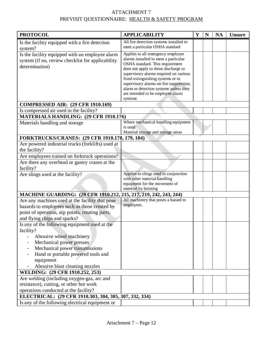| <b>PROTOCOL</b>                                                                                                                                                                     | <b>APPLICABILITY</b>                                                                                                                                                                                                                                                                                                                                                      | Y | N | <b>NA</b> | <b>Unsure</b> |
|-------------------------------------------------------------------------------------------------------------------------------------------------------------------------------------|---------------------------------------------------------------------------------------------------------------------------------------------------------------------------------------------------------------------------------------------------------------------------------------------------------------------------------------------------------------------------|---|---|-----------|---------------|
| Is the facility equipped with a fire detection<br>system?                                                                                                                           | All fire detection systems installed to<br>meet a particular OSHA standard                                                                                                                                                                                                                                                                                                |   |   |           |               |
| Is the facility equipped with an employee alarm<br>system (if no, review checklist for applicability<br>determination)                                                              | Applies to all emergency employee<br>alarms installed to meet a particular<br>OSHA standard. This requirement<br>does not apply to those discharge or<br>supervisory alarms required on various<br>fixed extinguishing systems or to<br>supervisory alarms on fire suppression,<br>alarm or detection systems unless they<br>are intended to be employee alarm<br>systems |   |   |           |               |
| <b>COMPRESSED AIR: (29 CFR 1910.169)</b>                                                                                                                                            |                                                                                                                                                                                                                                                                                                                                                                           |   |   |           |               |
| Is compressed air used in the facility?                                                                                                                                             |                                                                                                                                                                                                                                                                                                                                                                           |   |   |           |               |
| <b>MATERIALS HANDLING: (29 CFR 1910.176)</b>                                                                                                                                        |                                                                                                                                                                                                                                                                                                                                                                           |   |   |           |               |
| Materials handling and storage                                                                                                                                                      | Where mechanical handling equipment<br>is used<br>Material storage and storage areas                                                                                                                                                                                                                                                                                      |   |   |           |               |
| FORKTRUCKS/CRANES: (29 CFR 1910.178, 179, 184)                                                                                                                                      |                                                                                                                                                                                                                                                                                                                                                                           |   |   |           |               |
| Are powered industrial trucks (forklifts) used at<br>the facility?                                                                                                                  |                                                                                                                                                                                                                                                                                                                                                                           |   |   |           |               |
| Are employees trained on forktruck operations?                                                                                                                                      |                                                                                                                                                                                                                                                                                                                                                                           |   |   |           |               |
| Are there any overhead or gantry cranes at the<br>facility?                                                                                                                         |                                                                                                                                                                                                                                                                                                                                                                           |   |   |           |               |
| Are slings used at the facility?                                                                                                                                                    | Applies to slings used in conjunction<br>with other material handling<br>equipment for the movement of<br>material by hoisting                                                                                                                                                                                                                                            |   |   |           |               |
| MACHINE GUARDING: (29 CFR 1910.212, 215, 217, 219, 242, 243, 244)                                                                                                                   |                                                                                                                                                                                                                                                                                                                                                                           |   |   |           |               |
| Are any machines used at the facility that pose<br>hazards to employees such as those created by<br>point of operation, nip points, rotating parts,<br>and flying chips and sparks? | All machinery that poses a hazard to<br>employees.                                                                                                                                                                                                                                                                                                                        |   |   |           |               |
| Is any of the following equipment used at the<br>facility?<br>Abrasive wheel machinery                                                                                              |                                                                                                                                                                                                                                                                                                                                                                           |   |   |           |               |
| Mechanical power presses<br>Mechanical power transmissions                                                                                                                          |                                                                                                                                                                                                                                                                                                                                                                           |   |   |           |               |
| Hand or portable powered tools and<br>equipment<br>Abrasive blast cleaning nozzles                                                                                                  |                                                                                                                                                                                                                                                                                                                                                                           |   |   |           |               |
| WELDING: (29 CFR 1910.252, 253)                                                                                                                                                     |                                                                                                                                                                                                                                                                                                                                                                           |   |   |           |               |
| Are welding (including oxygen-gas, arc and<br>resistance), cutting, or other hot work                                                                                               |                                                                                                                                                                                                                                                                                                                                                                           |   |   |           |               |
| operations conducted at the facility?                                                                                                                                               |                                                                                                                                                                                                                                                                                                                                                                           |   |   |           |               |
| ELECTRICAL: (29 CFR 1910.303, 304, 305, 307, 332, 334)<br>Is any of the following electrical equipment or                                                                           |                                                                                                                                                                                                                                                                                                                                                                           |   |   |           |               |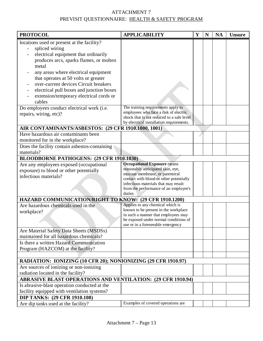| <b>PROTOCOL</b>                                                                                                                                                                                                                                                                                                                                                                    | <b>APPLICABILITY</b>                                                                                                                                                                                                                            | Y | N | <b>NA</b> | <b>Unsure</b> |
|------------------------------------------------------------------------------------------------------------------------------------------------------------------------------------------------------------------------------------------------------------------------------------------------------------------------------------------------------------------------------------|-------------------------------------------------------------------------------------------------------------------------------------------------------------------------------------------------------------------------------------------------|---|---|-----------|---------------|
| locations used or present at the facility?<br>spliced wiring<br>electrical equipment that ordinarily<br>produces arcs, sparks flames, or molten<br>metal<br>any areas where electrical equipment<br>that operates at 50 volts or greater<br>over-current devices Circuit breakers<br>electrical pull boxes and junction boxes<br>extension/temporary electrical cords or<br>cables |                                                                                                                                                                                                                                                 |   |   |           |               |
| Do employees conduct electrical work (i.e.<br>repairs, wiring, etc)?                                                                                                                                                                                                                                                                                                               | The training requirements apply to<br>employees who face a risk of electric<br>shock that is not reduced to a safe level<br>by electrical installation requirements.                                                                            |   |   |           |               |
| AIR CONTAMINANTS/ASBESTOS: (29 CFR 1910.1000, 1001)                                                                                                                                                                                                                                                                                                                                |                                                                                                                                                                                                                                                 |   |   |           |               |
| Have hazardous air contaminants been<br>monitored for in the workplace?<br>Does the facility contain asbestos-containing                                                                                                                                                                                                                                                           |                                                                                                                                                                                                                                                 |   |   |           |               |
| materials?                                                                                                                                                                                                                                                                                                                                                                         |                                                                                                                                                                                                                                                 |   |   |           |               |
| <b>BLOODBORNE PATHOGENS: (29 CFR 1910.1030)</b>                                                                                                                                                                                                                                                                                                                                    |                                                                                                                                                                                                                                                 |   |   |           |               |
| Are any employees exposed (occupational<br>exposure) to blood or other potentially<br>infectious materials?                                                                                                                                                                                                                                                                        | <b>Occupational Exposure means</b><br>reasonably anticipated skin, eye,<br>mucous membrane, or parenteral<br>contact with blood or other potentially<br>infectious materials that may result<br>from the performance of an employee's<br>duties |   |   |           |               |
| HAZARD COMMUNICATION/RIGHT TO KNOW: (29 CFR 1910.1200)                                                                                                                                                                                                                                                                                                                             |                                                                                                                                                                                                                                                 |   |   |           |               |
| Are hazardous chemicals used in the<br>workplace?                                                                                                                                                                                                                                                                                                                                  | Applies to any chemical which is<br>known to be present in the workplace<br>in such a manner that employees may<br>be exposed under normal conditions of<br>use or in a foreseeable emergency                                                   |   |   |           |               |
| Are Material Safety Data Sheets (MSDSs)<br>maintained for all hazardous chemicals?                                                                                                                                                                                                                                                                                                 |                                                                                                                                                                                                                                                 |   |   |           |               |
| Is there a written Hazard Communication<br>Program (HAZCOM) at the facility?                                                                                                                                                                                                                                                                                                       |                                                                                                                                                                                                                                                 |   |   |           |               |
|                                                                                                                                                                                                                                                                                                                                                                                    |                                                                                                                                                                                                                                                 |   |   |           |               |
| RADIATION: IONIZING (10 CFR 20); NONIONIZING (29 CFR 1910.97)                                                                                                                                                                                                                                                                                                                      |                                                                                                                                                                                                                                                 |   |   |           |               |
| Are sources of ionizing or non-ionizing<br>radiation located in the facility?                                                                                                                                                                                                                                                                                                      |                                                                                                                                                                                                                                                 |   |   |           |               |
| <b>ABRASIVE BLAST OPERATIONS AND VENTILATION: (29 CFR 1910.94)</b><br>Is abrasive-blast operation conducted at the<br>facility equipped with ventilation systems?                                                                                                                                                                                                                  |                                                                                                                                                                                                                                                 |   |   |           |               |
| <b>DIP TANKS: (29 CFR 1910.108)</b>                                                                                                                                                                                                                                                                                                                                                |                                                                                                                                                                                                                                                 |   |   |           |               |
| Are dip tanks used at the facility?                                                                                                                                                                                                                                                                                                                                                | Examples of covered operations are                                                                                                                                                                                                              |   |   |           |               |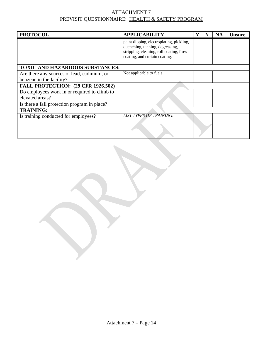| <b>PROTOCOL</b>                              | <b>APPLICABILITY</b>                                                                                                                                    | Y | NA | <b>Unsure</b> |
|----------------------------------------------|---------------------------------------------------------------------------------------------------------------------------------------------------------|---|----|---------------|
|                                              | paint dipping, electroplating, pickling,<br>quenching, tanning, degreasing,<br>stripping, cleaning, roll coating, flow<br>coating, and curtain coating. |   |    |               |
| <b>TOXIC AND HAZARDOUS SUBSTANCES:</b>       |                                                                                                                                                         |   |    |               |
| Are there any sources of lead, cadmium, or   | Not applicable to fuels                                                                                                                                 |   |    |               |
| benzene in the facility?                     |                                                                                                                                                         |   |    |               |
| <b>FALL PROTECTION: (29 CFR 1926.502)</b>    |                                                                                                                                                         |   |    |               |
| Do employees work in or required to climb to |                                                                                                                                                         |   |    |               |
| elevated areas?                              |                                                                                                                                                         |   |    |               |
| Is there a fall protection program in place? |                                                                                                                                                         |   |    |               |
| <b>TRAINING:</b>                             |                                                                                                                                                         |   |    |               |
| Is training conducted for employees?         | <b>LIST TYPES OF TRAINING:</b>                                                                                                                          |   |    |               |
|                                              |                                                                                                                                                         |   |    |               |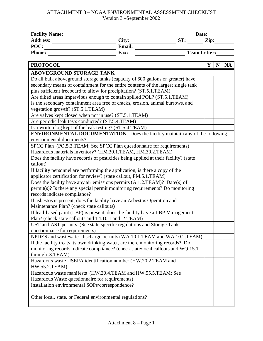<span id="page-43-0"></span>

| <b>Facility Name:</b> |               | Date:               |  |  |
|-----------------------|---------------|---------------------|--|--|
| <b>Address:</b>       | Citv:         | ST:<br>Zip:         |  |  |
| POC:                  | <b>Email:</b> |                     |  |  |
| <b>Phone:</b>         | <b>Fax:</b>   | <b>Team Letter:</b> |  |  |

| <b>PROTOCOL</b>                                                                      | $\mathbf{Y}$ | $\mathbf N$ | <b>NA</b> |
|--------------------------------------------------------------------------------------|--------------|-------------|-----------|
| <b>ABOVEGROUND STORAGE TANK</b>                                                      |              |             |           |
| Do all bulk aboveground storage tanks (capacity of 600 gallons or greater) have      |              |             |           |
| secondary means of containment for the entire contents of the largest single tank    |              |             |           |
| plus sufficient freeboard to allow for precipitation? (ST.5.1.TEAM)                  |              |             |           |
| Are diked areas impervious enough to contain spilled POL? (ST.5.1.TEAM)              |              |             |           |
| Is the secondary containment area free of cracks, erosion, animal burrows, and       |              |             |           |
| vegetation growth? (ST.5.1.TEAM)                                                     |              |             |           |
| Are valves kept closed when not in use? (ST.5.1.TEAM)                                |              |             |           |
| Are periodic leak tests conducted? (ST.5.4.TEAM)                                     |              |             |           |
| Is a written log kept of the leak testing? (ST.5.4.TEAM)                             |              |             |           |
| <b>ENVIRONMENTAL DOCUMENTATION.</b> Does the facility maintain any of the following  |              |             |           |
| environmental documents?                                                             |              |             |           |
| SPCC Plan (PO.5.2.TEAM; See SPCC Plan questionnaire for requirements)                |              |             |           |
| Hazardous materials inventory? (HM.30.1.TEAM, HM.30.2.TEAM)                          |              |             |           |
| Does the facility have records of pesticides being applied at their facility? (state |              |             |           |
| callout)                                                                             |              |             |           |
| If facility personnel are performing the application, is there a copy of the         |              |             |           |
| applicator certification for review? (state callout, PM.5.1.TEAM)                    |              |             |           |
| Does the facility have any air emissions permits (A.1.2.TEAM)? Date(s) of            |              |             |           |
| permit(s)? Is there any special permit monitoring requirements? Do monitoring        |              |             |           |
| records indicate compliance?                                                         |              |             |           |
| If asbestos is present, does the facility have an Asbestos Operation and             |              |             |           |
| Maintenance Plan? (check state callouts)                                             |              |             |           |
| If lead-based paint (LBP) is present, does the facility have a LBP Management        |              |             |           |
| Plan? (check state callouts and T4.10.1 and .2.TEAM)                                 |              |             |           |
| UST and AST permits (See state specific regulations and Storage Tank                 |              |             |           |
| questionnaire for requirements)                                                      |              |             |           |
| NPDES and wastewater discharge permits (WA.10.1.TEAM and WA.10.2.TEAM)               |              |             |           |
| If the facility treats its own drinking water, are there monitoring records? Do      |              |             |           |
| monitoring records indicate compliance? (check state/local callouts and WQ.15.1)     |              |             |           |
| through .3.TEAM)                                                                     |              |             |           |
| Hazardous waste USEPA identification number (HW.20.2.TEAM and                        |              |             |           |
| <b>HW.55.2.TEAM)</b>                                                                 |              |             |           |
| Hazardous waste manifests (HW.20.4.TEAM and HW.55.5.TEAM; See                        |              |             |           |
| Hazardous Waste questionnaire for requirements)                                      |              |             |           |
| Installation environmental SOPs/correspondence?                                      |              |             |           |
| Other local, state, or Federal environmental regulations?                            |              |             |           |
|                                                                                      |              |             |           |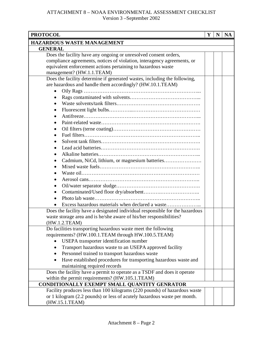| <b>PROTOCOL</b>                                                              | Y | N | <b>NA</b> |
|------------------------------------------------------------------------------|---|---|-----------|
| <b>HAZARDOUS WASTE MANAGEMENT</b>                                            |   |   |           |
| <b>GENERAL</b>                                                               |   |   |           |
| Does the facility have any ongoing or unresolved consent orders,             |   |   |           |
| compliance agreements, notices of violation, interagency agreements, or      |   |   |           |
| equivalent enforcement actions pertaining to hazardous waste                 |   |   |           |
| management? (HW.1.1.TEAM)                                                    |   |   |           |
| Does the facility determine if generated wastes, including the following,    |   |   |           |
| are hazardous and handle them accordingly? (HW.10.1.TEAM)                    |   |   |           |
|                                                                              |   |   |           |
|                                                                              |   |   |           |
|                                                                              |   |   |           |
|                                                                              |   |   |           |
| $\bullet$                                                                    |   |   |           |
|                                                                              |   |   |           |
|                                                                              |   |   |           |
|                                                                              |   |   |           |
|                                                                              |   |   |           |
|                                                                              |   |   |           |
|                                                                              |   |   |           |
| Cadmium, NiCd, lithium, or magnesium batteries                               |   |   |           |
|                                                                              |   |   |           |
|                                                                              |   |   |           |
|                                                                              |   |   |           |
|                                                                              |   |   |           |
|                                                                              |   |   |           |
|                                                                              |   |   |           |
|                                                                              |   |   |           |
| Does the facility have a designated individual responsible for the hazardous |   |   |           |
| waste storage area and is he/she aware of his/her responsibilities?          |   |   |           |
| (HW.1.2.TEAM)                                                                |   |   |           |
| Do facilities transporting hazardous waste meet the following                |   |   |           |
| requirements? (HW.100.1.TEAM through HW.100.5.TEAM)                          |   |   |           |
| USEPA transporter identification number                                      |   |   |           |
| Transport hazardous waste to an USEPA approved facility<br>$\bullet$         |   |   |           |
| Personnel trained to transport hazardous waste                               |   |   |           |
| Have established procedures for transporting hazardous waste and             |   |   |           |
| maintaining required records                                                 |   |   |           |
| Does the facility have a permit to operate as a TSDF and does it operate     |   |   |           |
| within the permit requirements? (HW.105.1.TEAM)                              |   |   |           |
| CONDITIONALLY EXEMPT SMALL QUANTITY GENRATOR                                 |   |   |           |
| Facility produces less than 100 kilograms (220 pounds) of hazardous waste    |   |   |           |
| or 1 kilogram (2.2 pounds) or less of acutely hazardous waste per month.     |   |   |           |
| (HW.15.1.TEAM)                                                               |   |   |           |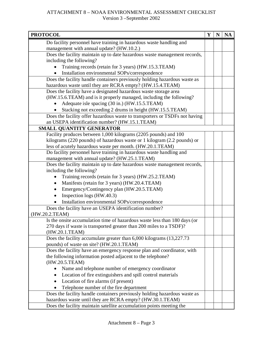| <b>PROTOCOL</b>                                                                                                                        | Y | N | <b>NA</b> |
|----------------------------------------------------------------------------------------------------------------------------------------|---|---|-----------|
| Do facility personnel have training in hazardous waste handling and                                                                    |   |   |           |
| management with annual update? (HW.10.2.)                                                                                              |   |   |           |
| Does the facility maintain up to date hazardous waste management records,                                                              |   |   |           |
| including the following?                                                                                                               |   |   |           |
| Training records (retain for 3 years) (HW.15.3.TEAM)                                                                                   |   |   |           |
| Installation environmental SOPs/correspondence                                                                                         |   |   |           |
| Does the facility handle containers previously holding hazardous waste as<br>hazardous waste until they are RCRA empty? (HW.15.4.TEAM) |   |   |           |
| Does the facility have a designated hazardous waste storage area                                                                       |   |   |           |
| (HW.15.6.TEAM) and is it properly managed, including the following?                                                                    |   |   |           |
| Adequate isle spacing (30 in.) (HW.15.5.TEAM)                                                                                          |   |   |           |
| Stacking not exceeding 2 drums in height (HW.15.5.TEAM)                                                                                |   |   |           |
| Does the facility offer hazardous waste to transporters or TSDFs not having                                                            |   |   |           |
| an USEPA identification number? (HW.15.1.TEAM)                                                                                         |   |   |           |
| SMALL QUANTITY GENERATOR                                                                                                               |   |   |           |
| Facility produces between 1,000 kilograms (2205 pounds) and 100                                                                        |   |   |           |
| kilograms (220 pounds) of hazardous waste or 1 kilogram (2.2 pounds) or                                                                |   |   |           |
| less of acutely hazardous waste per month. (HW.20.1.TEAM)                                                                              |   |   |           |
| Do facility personnel have training in hazardous waste handling and                                                                    |   |   |           |
| management with annual update? (HW.25.1.TEAM)                                                                                          |   |   |           |
| Does the facility maintain up to date hazardous waste management records,                                                              |   |   |           |
| including the following?                                                                                                               |   |   |           |
| Training records (retain for 3 years) (HW.25.2.TEAM)                                                                                   |   |   |           |
| Manifests (retain for 3 years) (HW.20.4.TEAM)<br>$\bullet$                                                                             |   |   |           |
| Emergency/Contingency plan (HW.20.5.TEAM)<br>$\bullet$                                                                                 |   |   |           |
| Inspection logs (HW.40.3)                                                                                                              |   |   |           |
| Installation environmental SOPs/correspondence                                                                                         |   |   |           |
| Does the facility have an USEPA identification number?                                                                                 |   |   |           |
| (HW.20.2.TEAM)                                                                                                                         |   |   |           |
| Is the onsite accumulation time of hazardous waste less than 180 days (or                                                              |   |   |           |
| 270 days if waste is transported greater than 200 miles to a TSDF)?                                                                    |   |   |           |
| (HW.20.1.TEAM)                                                                                                                         |   |   |           |
| Does the facility accumulate greater than 6,000 kilograms (13,227.73)                                                                  |   |   |           |
| pounds) of waste on site? (HW.20.1.TEAM)                                                                                               |   |   |           |
| Does the facility have an emergency response plan and coordinator, with                                                                |   |   |           |
| the following information posted adjacent to the telephone?                                                                            |   |   |           |
| (HW.20.5.TEAM)                                                                                                                         |   |   |           |
| Name and telephone number of emergency coordinator<br>$\bullet$                                                                        |   |   |           |
| Location of fire extinguishers and spill control materials                                                                             |   |   |           |
| Location of fire alarms (if present)<br>$\bullet$                                                                                      |   |   |           |
| Telephone number of the fire department                                                                                                |   |   |           |
| Does the facility handle containers previously holding hazardous waste as<br>hazardous waste until they are RCRA empty? (HW.30.1.TEAM) |   |   |           |
| Does the facility maintain satellite accumulation points meeting the                                                                   |   |   |           |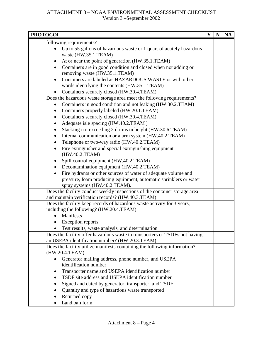| <b>PROTOCOL</b>                                                                                       | Y | N | <b>NA</b> |
|-------------------------------------------------------------------------------------------------------|---|---|-----------|
| following requirements?                                                                               |   |   |           |
| Up to 55 gallons of hazardous waste or 1 quart of acutely hazardous<br>waste (HW.35.1.TEAM)           |   |   |           |
| At or near the point of generation (HW.35.1.TEAM)<br>$\bullet$                                        |   |   |           |
| Containers are in good condition and closed when not adding or<br>$\bullet$                           |   |   |           |
| removing waste (HW.35.1.TEAM)                                                                         |   |   |           |
| Containers are labeled as HAZARDOUS WASTE or with other                                               |   |   |           |
| words identifying the contents (HW.35.1.TEAM)                                                         |   |   |           |
| Containers securely closed (HW.30.4.TEAM)                                                             |   |   |           |
| Does the hazardous waste storage area meet the following requirements?                                |   |   |           |
| Containers in good condition and not leaking (HW.30.2.TEAM)                                           |   |   |           |
| Containers properly labeled (HW.20.1.TEAM)<br>$\bullet$                                               |   |   |           |
| Containers securely closed (HW.30.4.TEAM)<br>$\bullet$                                                |   |   |           |
| Adequate isle spacing (HW.40.2.TEAM)<br>$\bullet$                                                     |   |   |           |
| Stacking not exceeding 2 drums in height (HW.30.6.TEAM)<br>$\bullet$                                  |   |   |           |
| Internal communication or alarm system (HW.40.2.TEAM)<br>$\bullet$                                    |   |   |           |
| Telephone or two-way radio (HW.40.2.TEAM)<br>$\bullet$                                                |   |   |           |
| Fire extinguisher and special extinguishing equipment<br>$\bullet$                                    |   |   |           |
| (HW.40.2.TEAM)                                                                                        |   |   |           |
| Spill control equipment (HW.40.2.TEAM)                                                                |   |   |           |
| Decontamination equipment (HW.40.2.TEAM)<br>$\bullet$                                                 |   |   |           |
| Fire hydrants or other sources of water of adequate volume and<br>$\bullet$                           |   |   |           |
| pressure, foam producing equipment, automatic sprinklers or water                                     |   |   |           |
| spray systems (HW.40.2.TEAM).                                                                         |   |   |           |
| Does the facility conduct weekly inspections of the container storage area                            |   |   |           |
| and maintain verification records? (HW.40.3.TEAM)                                                     |   |   |           |
| Does the facility keep records of hazardous waste activity for 3 years,                               |   |   |           |
| including the following? (HW.20.4.TEAM)                                                               |   |   |           |
| Manifests                                                                                             |   |   |           |
| <b>Exception reports</b>                                                                              |   |   |           |
| Test results, waste analysis, and determination                                                       |   |   |           |
| Does the facility offer hazardous waste to transporters or TSDFs not having                           |   |   |           |
| an USEPA identification number? (HW.20.3.TEAM)                                                        |   |   |           |
| Does the facility utilize manifests containing the following information?                             |   |   |           |
| (HW.20.4.TEAM)                                                                                        |   |   |           |
| Generator mailing address, phone number, and USEPA<br>identification number                           |   |   |           |
|                                                                                                       |   |   |           |
| Transporter name and USEPA identification number<br>TSDF site address and USEPA identification number |   |   |           |
| Signed and dated by generator, transporter, and TSDF                                                  |   |   |           |
|                                                                                                       |   |   |           |
| Quantity and type of hazardous waste transported<br>Returned copy                                     |   |   |           |
| Land ban form                                                                                         |   |   |           |
|                                                                                                       |   |   |           |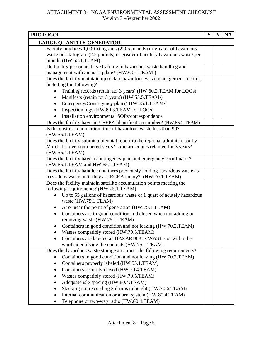| <b>PROTOCOL</b>                                                             | Y | N | <b>NA</b> |
|-----------------------------------------------------------------------------|---|---|-----------|
| <b>LARGE QUANTITY GENERATOR</b>                                             |   |   |           |
| Facility produces 1,000 kilograms (2205 pounds) or greater of hazardous     |   |   |           |
| waste or 1 kilogram (2.2 pounds) or greater of acutely hazardous waste per  |   |   |           |
| month. (HW.55.1.TEAM)                                                       |   |   |           |
| Do facility personnel have training in hazardous waste handling and         |   |   |           |
| management with annual update? (HW.60.1.TEAM)                               |   |   |           |
| Does the facility maintain up to date hazardous waste management records,   |   |   |           |
| including the following?                                                    |   |   |           |
| Training records (retain for 3 years) (HW.60.2.TEAM for LQGs)               |   |   |           |
| Manifests (retain for 3 years) (HW.55.5.TEAM\)<br>$\bullet$                 |   |   |           |
| Emergency/Contingency plan (\ HW.65.1.TEAM\)<br>$\bullet$                   |   |   |           |
| Inspection logs (HW.80.3.TEAM for LQGs)                                     |   |   |           |
| Installation environmental SOPs/correspondence                              |   |   |           |
| Does the facility have an USEPA identification number? (HW.55.2.TEAM)       |   |   |           |
| Is the onsite accumulation time of hazardous waste less than 90?            |   |   |           |
| (HW.55.1.TEAM)                                                              |   |   |           |
| Does the facility submit a biennial report to the regional administrator by |   |   |           |
| March 1 of even numbered years? And are copies retained for 3 years?        |   |   |           |
| (HW.55.4.TEAM)                                                              |   |   |           |
| Does the facility have a contingency plan and emergency coordinator?        |   |   |           |
| (HW.65.1.TEAM and HW.65.2.TEAM)                                             |   |   |           |
| Does the facility handle containers previously holding hazardous waste as   |   |   |           |
| hazardous waste until they are RCRA empty? (HW.70.1.TEAM)                   |   |   |           |
| Does the facility maintain satellite accumulation points meeting the        |   |   |           |
| following requirements? (HW.75.1.TEAM)                                      |   |   |           |
| Up to 55 gallons of hazardous waste or 1 quart of acutely hazardous         |   |   |           |
| waste (HW.75.1.TEAM)                                                        |   |   |           |
| At or near the point of generation (HW.75.1.TEAM)<br>٠                      |   |   |           |
| Containers are in good condition and closed when not adding or              |   |   |           |
| removing waste (HW.75.1.TEAM)                                               |   |   |           |
| Containers in good condition and not leaking (HW.70.2.TEAM)                 |   |   |           |
| Wastes compatibly stored (HW.70.5.TEAM)<br>$\bullet$                        |   |   |           |
| Containers are labeled as HAZARDOUS WASTE or with other                     |   |   |           |
| words identifying the contents (HW.75.1.TEAM)                               |   |   |           |
| Does the hazardous waste storage area meet the following requirements?      |   |   |           |
| Containers in good condition and not leaking (HW.70.2.TEAM)                 |   |   |           |
| Containers properly labeled (HW.55.1.TEAM)<br>$\bullet$                     |   |   |           |
| Containers securely closed (HW.70.4.TEAM)<br>$\bullet$                      |   |   |           |
| Wastes compatibly stored (HW.70.5.TEAM)<br>$\bullet$                        |   |   |           |
| Adequate isle spacing (HW.80.4.TEAM)                                        |   |   |           |
| Stacking not exceeding 2 drums in height (HW.70.6.TEAM)                     |   |   |           |
| Internal communication or alarm system (HW.80.4.TEAM)                       |   |   |           |
| Telephone or two-way radio (HW.80.4.TEAM)                                   |   |   |           |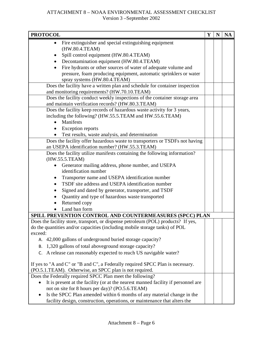| <b>PROTOCOL</b>                                                                                                                | Y | N | <b>NA</b> |
|--------------------------------------------------------------------------------------------------------------------------------|---|---|-----------|
| Fire extinguisher and special extinguishing equipment                                                                          |   |   |           |
| (HW.80.4.TEAM)                                                                                                                 |   |   |           |
| Spill control equipment (HW.80.4.TEAM)                                                                                         |   |   |           |
| Decontamination equipment (HW.80.4.TEAM)                                                                                       |   |   |           |
| Fire hydrants or other sources of water of adequate volume and                                                                 |   |   |           |
| pressure, foam producing equipment, automatic sprinklers or water                                                              |   |   |           |
| spray systems (HW.80.4.TEAM)                                                                                                   |   |   |           |
| Does the facility have a written plan and schedule for container inspection                                                    |   |   |           |
| and monitoring requirements? (HW.70.10.TEAM)                                                                                   |   |   |           |
| Does the facility conduct weekly inspections of the container storage area                                                     |   |   |           |
| and maintain verification records? (HW.80.3.TEAM)                                                                              |   |   |           |
| Does the facility keep records of hazardous waste activity for 3 years,                                                        |   |   |           |
| including the following? (HW.55.5.TEAM and HW.55.6.TEAM)<br>Manifests                                                          |   |   |           |
| <b>Exception reports</b>                                                                                                       |   |   |           |
|                                                                                                                                |   |   |           |
| Test results, waste analysis, and determination<br>Does the facility offer hazardous waste to transporters or TSDFs not having |   |   |           |
| an USEPA identification number? (HW.55.3.TEAM)                                                                                 |   |   |           |
| Does the facility utilize manifests containing the following information?                                                      |   |   |           |
| (HW.55.5.TEAM)                                                                                                                 |   |   |           |
| Generator mailing address, phone number, and USEPA                                                                             |   |   |           |
| identification number                                                                                                          |   |   |           |
| Transporter name and USEPA identification number<br>٠                                                                          |   |   |           |
| TSDF site address and USEPA identification number                                                                              |   |   |           |
| Signed and dated by generator, transporter, and TSDF                                                                           |   |   |           |
| Quantity and type of hazardous waste transported                                                                               |   |   |           |
| Returned copy                                                                                                                  |   |   |           |
| Land ban form                                                                                                                  |   |   |           |
| SPILL PREVENTION CONTROL AND COUNTERMEASURES (SPCC) PLAN                                                                       |   |   |           |
| Does the facility store, transport, or dispense petroleum (POL) products? If yes,                                              |   |   |           |
| do the quantities and/or capacities (including mobile storage tanks) of POL                                                    |   |   |           |
| exceed:                                                                                                                        |   |   |           |
| A. 42,000 gallons of underground buried storage capacity?                                                                      |   |   |           |
| 1,320 gallons of total aboveground storage capacity?<br>В.                                                                     |   |   |           |
| A release can reasonably expected to reach US navigable water?<br>C.                                                           |   |   |           |
| If yes to "A and C" or "B and C", a Federally required SPCC Plan is necessary.                                                 |   |   |           |
| (PO.5.1.TEAM). Otherwise, an SPCC plan is not required.                                                                        |   |   |           |
| Does the Federally required SPCC Plan meet the following?                                                                      |   |   |           |
| It is present at the facility (or at the nearest manned facility if personnel are                                              |   |   |           |
| not on site for 8 hours per day)? (PO.5.6.TEAM)                                                                                |   |   |           |
| Is the SPCC Plan amended within 6 months of any material change in the                                                         |   |   |           |
| facility design, construction, operations, or maintenance that alters the                                                      |   |   |           |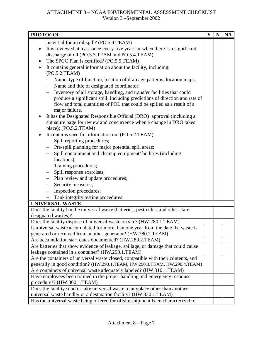| <b>PROTOCOL</b>                                                                                    | $\mathbf{Y}$ | $\mathbf N$ | <b>NA</b> |
|----------------------------------------------------------------------------------------------------|--------------|-------------|-----------|
| potential for an oil spill? (PO.5.4.TEAM)                                                          |              |             |           |
| It is reviewed at least once every five years or when there is a significant<br>$\bullet$          |              |             |           |
| discharge of oil (PO.5.3.TEAM and PO.5.4.TEAM)                                                     |              |             |           |
| The SPCC Plan is certified? (PO.5.5.TEAM)                                                          |              |             |           |
| It contains general information about the facility, including:<br>$\bullet$                        |              |             |           |
| (PO.5.2.TEAM)                                                                                      |              |             |           |
| Name, type of function, location of drainage patterns, location maps;                              |              |             |           |
| - Name and title of designated coordinator;                                                        |              |             |           |
| Inventory of all storage, handling, and transfer facilities that could<br>$\overline{\phantom{m}}$ |              |             |           |
| produce a significant spill, including predictions of direction and rate of                        |              |             |           |
| flow and total quantities of POL that could be spilled as a result of a                            |              |             |           |
| major failure.                                                                                     |              |             |           |
| It has the Designated Responsible Official (DRO) approval (including a                             |              |             |           |
| signature page for review and concurrence when a change in DRO takes                               |              |             |           |
| place); (PO.5.2.TEAM)                                                                              |              |             |           |
| It contains specific information on: (PO.5.2.TEAM)                                                 |              |             |           |
| Spill reporting procedures;                                                                        |              |             |           |
| - Pre-spill planning for major potential spill areas;                                              |              |             |           |
| Spill containment and cleanup equipment/facilities (including                                      |              |             |           |
| locations);                                                                                        |              |             |           |
| Training procedures;                                                                               |              |             |           |
| Spill response exercises;<br>$\overline{\phantom{0}}$                                              |              |             |           |
| - Plan review and update procedures;                                                               |              |             |           |
| Security measures;<br>$\overline{\phantom{0}}$                                                     |              |             |           |
| Inspection procedures;<br>-                                                                        |              |             |           |
| Tank integrity testing procedures.                                                                 |              |             |           |
| <b>UNIVERSAL WASTE</b>                                                                             |              |             |           |
| Does the facility handle universal waste (batteries, pesticides, and other state                   |              |             |           |
| designated wastes)?                                                                                |              |             |           |
| Does the facility dispose of universal waste on site? (HW.280.1.TEAM)                              |              |             |           |
| Is universal waste accumulated for more than one year from the date the waste is                   |              |             |           |
| generated or received from another generator? (HW.280.2.TEAM)                                      |              |             |           |
| Are accumulation start dates documented? (HW.280.2.TEAM)                                           |              |             |           |
| Are batteries that show evidence of leakage, spillage, or damage that could cause                  |              |             |           |
| leakage contained in a container? (HW.290.1.TEAM)                                                  |              |             |           |
| Are the containers of universal waste closed, compatible with their contents, and                  |              |             |           |
| generally in good condition? (HW.290.1.TEAM, HW.290.3.TEAM, HW.290.4.TEAM)                         |              |             |           |
| Are containers of universal waste adequately labeled? (HW.310.1.TEAM)                              |              |             |           |
| Have employees been trained in the proper handling and emergency response                          |              |             |           |
| procedures? (HW.300.1.TEAM)                                                                        |              |             |           |
| Does the facility send or take universal waste to anyplace other than another                      |              |             |           |
| universal waste handler or a destination facility? (HW.330.1.TEAM)                                 |              |             |           |
| Has the universal waste being offered for offsite shipment been characterized to                   |              |             |           |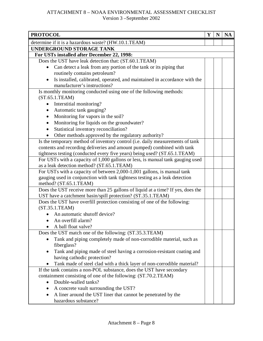| <b>PROTOCOL</b>                                                                                                                      | $\mathbf{Y}$ | $\mathbf N$ | <b>NA</b> |
|--------------------------------------------------------------------------------------------------------------------------------------|--------------|-------------|-----------|
| determine if it is a hazardous waste? (HW.10.1.TEAM)                                                                                 |              |             |           |
| <b>UNDERGROUND STORAGE TANK</b>                                                                                                      |              |             |           |
| For USTs installed after December 22, 1998:                                                                                          |              |             |           |
| Does the UST have leak detection that: (ST.60.1.TEAM)                                                                                |              |             |           |
| Can detect a leak from any portion of the tank or its piping that<br>$\bullet$                                                       |              |             |           |
| routinely contains petroleum?                                                                                                        |              |             |           |
| Is installed, calibrated, operated, and maintained in accordance with the<br>$\bullet$                                               |              |             |           |
| manufacturer's instructions?                                                                                                         |              |             |           |
| Is monthly monitoring conducted using one of the following methods:<br>(ST.65.1. TEAM)                                               |              |             |           |
| Interstitial monitoring?<br>$\bullet$                                                                                                |              |             |           |
| Automatic tank gauging?                                                                                                              |              |             |           |
| Monitoring for vapors in the soil?<br>$\bullet$                                                                                      |              |             |           |
| Monitoring for liquids on the groundwater?<br>$\bullet$                                                                              |              |             |           |
| Statistical inventory reconciliation?                                                                                                |              |             |           |
|                                                                                                                                      |              |             |           |
| Other methods approved by the regulatory authority?<br>Is the temporary method of inventory control (i.e. daily measurements of tank |              |             |           |
| contents and recording deliveries and amount pumped) combined with tank                                                              |              |             |           |
| tightness testing (conducted every five years) being used? (ST.65.1.TEAM)                                                            |              |             |           |
| For USTs with a capacity of 1,000 gallons or less, is manual tank gauging used                                                       |              |             |           |
| as a leak detection method? (ST.65.1.TEAM)                                                                                           |              |             |           |
| For USTs with a capacity of between 2,000-1,001 gallons, is manual tank                                                              |              |             |           |
| gauging used in conjunction with tank tightness testing as a leak detection                                                          |              |             |           |
| method? (ST.65.1.TEAM)                                                                                                               |              |             |           |
| Does the UST receive more than 25 gallons of liquid at a time? If yes, does the                                                      |              |             |           |
| UST have a catchment basin/spill protection? (ST.35.1.TEAM)                                                                          |              |             |           |
| Does the UST have overfill protection consisting of one of the following:                                                            |              |             |           |
| (ST.35.1. TEAM)                                                                                                                      |              |             |           |
| An automatic shutoff device?                                                                                                         |              |             |           |
| An overfill alarm?                                                                                                                   |              |             |           |
| A ball float valve?                                                                                                                  |              |             |           |
| Does the UST match one of the following: (ST.35.3.TEAM)                                                                              |              |             |           |
| Tank and piping completely made of non-corrodible material, such as                                                                  |              |             |           |
| fiberglass?                                                                                                                          |              |             |           |
| Tank and piping made of steel having a corrosion-resistant coating and                                                               |              |             |           |
| having cathodic protection?                                                                                                          |              |             |           |
| Tank made of steel clad with a thick layer of non-corrodible material?                                                               |              |             |           |
| If the tank contains a non-POL substance, does the UST have secondary                                                                |              |             |           |
| containment consisting of one of the following: (ST.70.2.TEAM)                                                                       |              |             |           |
| Double-walled tanks?                                                                                                                 |              |             |           |
| A concrete vault surrounding the UST?                                                                                                |              |             |           |
| A liner around the UST liner that cannot be penetrated by the                                                                        |              |             |           |
| hazardous substance?                                                                                                                 |              |             |           |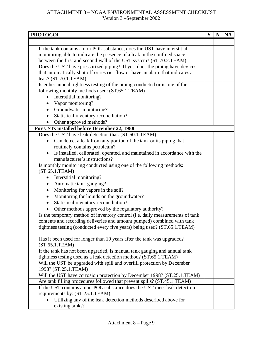| <b>PROTOCOL</b>                                                                                                                                          | Y | N | <b>NA</b> |
|----------------------------------------------------------------------------------------------------------------------------------------------------------|---|---|-----------|
|                                                                                                                                                          |   |   |           |
| If the tank contains a non-POL substance, does the UST have interstitial                                                                                 |   |   |           |
| monitoring able to indicate the presence of a leak in the confined space                                                                                 |   |   |           |
| between the first and second wall of the UST system? (ST.70.2.TEAM)                                                                                      |   |   |           |
| Does the UST have pressurized piping? If yes, does the piping have devices                                                                               |   |   |           |
| that automatically shut off or restrict flow or have an alarm that indicates a                                                                           |   |   |           |
| leak? (ST.70.1.TEAM)                                                                                                                                     |   |   |           |
| Is either annual tightness testing of the piping conducted or is one of the                                                                              |   |   |           |
| following monthly methods used: (ST.65.1.TEAM)                                                                                                           |   |   |           |
| Interstitial monitoring?                                                                                                                                 |   |   |           |
| Vapor monitoring?                                                                                                                                        |   |   |           |
| Groundwater monitoring?                                                                                                                                  |   |   |           |
| Statistical inventory reconciliation?                                                                                                                    |   |   |           |
| Other approved methods?                                                                                                                                  |   |   |           |
| For USTs installed before December 22, 1988                                                                                                              |   |   |           |
| Does the UST have leak detection that: (ST.60.1.TEAM)                                                                                                    |   |   |           |
| Can detect a leak from any portion of the tank or its piping that                                                                                        |   |   |           |
| routinely contains petroleum?                                                                                                                            |   |   |           |
| Is installed, calibrated, operated, and maintained in accordance with the                                                                                |   |   |           |
| manufacturer's instructions?                                                                                                                             |   |   |           |
| Is monthly monitoring conducted using one of the following methods:<br>(ST.65.1. TEAM)                                                                   |   |   |           |
|                                                                                                                                                          |   |   |           |
| Interstitial monitoring?                                                                                                                                 |   |   |           |
| Automatic tank gauging?<br>$\bullet$                                                                                                                     |   |   |           |
| Monitoring for vapors in the soil?<br>$\bullet$                                                                                                          |   |   |           |
| Monitoring for liquids on the groundwater?<br>$\bullet$                                                                                                  |   |   |           |
| Statistical inventory reconciliation?                                                                                                                    |   |   |           |
| Other methods approved by the regulatory authority?                                                                                                      |   |   |           |
| Is the temporary method of inventory control (i.e. daily measurements of tank<br>contents and recording deliveries and amount pumped) combined with tank |   |   |           |
| tightness testing (conducted every five years) being used? (ST.65.1.TEAM)                                                                                |   |   |           |
|                                                                                                                                                          |   |   |           |
| Has it been used for longer than 10 years after the tank was upgraded?                                                                                   |   |   |           |
| (ST.65.1. TEAM)                                                                                                                                          |   |   |           |
| If the tank has not been upgraded, is manual tank gauging and annual tank                                                                                |   |   |           |
| tightness testing used as a leak detection method? (ST.65.1.TEAM)                                                                                        |   |   |           |
| Will the UST be upgraded with spill and overfill protection by December                                                                                  |   |   |           |
| 1998? (ST.25.1.TEAM)                                                                                                                                     |   |   |           |
| Will the UST have corrosion protection by December 1998? (ST.25.1.TEAM)                                                                                  |   |   |           |
| Are tank filling procedures followed that prevent spills? (ST.45.1.TEAM)                                                                                 |   |   |           |
| If the UST contains a non-POL substance does the UST meet leak detection                                                                                 |   |   |           |
| requirements by: (ST.25.1.TEAM)                                                                                                                          |   |   |           |
| Utilizing any of the leak detection methods described above for                                                                                          |   |   |           |
| existing tanks?                                                                                                                                          |   |   |           |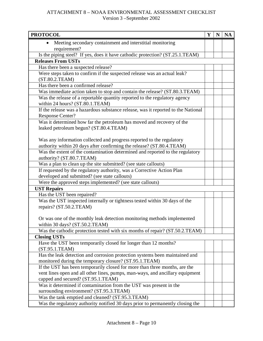| <b>PROTOCOL</b>                                                                              | $\mathbf{Y}$ | N | <b>NA</b> |
|----------------------------------------------------------------------------------------------|--------------|---|-----------|
| Meeting secondary containment and interstitial monitoring                                    |              |   |           |
| requirement?                                                                                 |              |   |           |
| Is the piping steel? If yes, does it have cathodic protection? (ST.25.1.TEAM)                |              |   |           |
| <b>Releases From USTs</b>                                                                    |              |   |           |
| Has there been a suspected release?                                                          |              |   |           |
| Were steps taken to confirm if the suspected release was an actual leak?                     |              |   |           |
| (ST.80.2.TEAM)                                                                               |              |   |           |
| Has there been a confirmed release?                                                          |              |   |           |
| Was immediate action taken to stop and contain the release? (ST.80.3.TEAM)                   |              |   |           |
| Was the release of a reportable quantity reported to the regulatory agency                   |              |   |           |
| within 24 hours? (ST.80.1.TEAM)                                                              |              |   |           |
| If the release was a hazardous substance release, was it reported to the National            |              |   |           |
| <b>Response Center?</b>                                                                      |              |   |           |
| Was it determined how far the petroleum has moved and recovery of the                        |              |   |           |
| leaked petroleum begun? (ST.80.4.TEAM)                                                       |              |   |           |
|                                                                                              |              |   |           |
| Was any information collected and progress reported to the regulatory                        |              |   |           |
| authority within 20 days after confirming the release? (ST.80.4.TEAM)                        |              |   |           |
| Was the extent of the contamination determined and reported to the regulatory                |              |   |           |
| authority? (ST.80.7.TEAM)<br>Was a plan to clean up the site submitted? (see state callouts) |              |   |           |
| If requested by the regulatory authority, was a Corrective Action Plan                       |              |   |           |
| developed and submitted? (see state callouts)                                                |              |   |           |
| Were the approved steps implemented? (see state callouts)                                    |              |   |           |
| <b>UST Repairs</b>                                                                           |              |   |           |
| Has the UST been repaired?                                                                   |              |   |           |
| Was the UST inspected internally or tightness tested within 30 days of the                   |              |   |           |
| repairs? (ST.50.2.TEAM)                                                                      |              |   |           |
|                                                                                              |              |   |           |
| Or was one of the monthly leak detection monitoring methods implemented                      |              |   |           |
| within 30 days? (ST.50.2.TEAM)                                                               |              |   |           |
| Was the cathodic protection tested with six months of repair? (ST.50.2.TEAM)                 |              |   |           |
| <b>Closing USTs</b>                                                                          |              |   |           |
| Have the UST been temporarily closed for longer than 12 months?                              |              |   |           |
| (ST.95.1. TEAM)                                                                              |              |   |           |
| Has the leak detection and corrosion protection systems been maintained and                  |              |   |           |
| monitored during the temporary closure? (ST.95.1.TEAM)                                       |              |   |           |
| If the UST has been temporarily closed for more than three months, are the                   |              |   |           |
| vent lines open and all other lines, pumps, man-ways, and ancillary equipment                |              |   |           |
| capped and secured? (ST.95.1.TEAM)                                                           |              |   |           |
| Was it determined if contamination from the UST was present in the                           |              |   |           |
| surrounding environment? (ST.95.3.TEAM)                                                      |              |   |           |
| Was the tank emptied and cleaned? (ST.95.3.TEAM)                                             |              |   |           |
| Was the regulatory authority notified 30 days prior to permanently closing the               |              |   |           |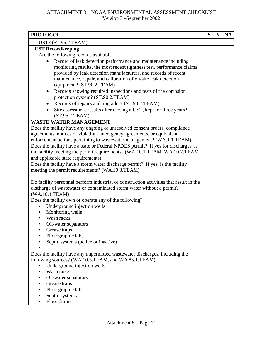| <b>PROTOCOL</b>                                                                        | Y | N | <b>NA</b> |
|----------------------------------------------------------------------------------------|---|---|-----------|
| $UST?$ (ST.95.2.TEAM)                                                                  |   |   |           |
| <b>UST Recordkeeping</b>                                                               |   |   |           |
| Are the following records available                                                    |   |   |           |
| Record of leak detection performance and maintenance including                         |   |   |           |
| monitoring results, the most recent tightness test, performance claims                 |   |   |           |
| provided by leak detection manufacturers, and records of recent                        |   |   |           |
| maintenance, repair, and calibration of on-site leak detection                         |   |   |           |
| equipment? (ST.90.2.TEAM)                                                              |   |   |           |
| Records showing required inspections and tests of the corrosion                        |   |   |           |
| protection system? (ST.90.2.TEAM)                                                      |   |   |           |
| Records of repairs and upgrades? (ST.90.2.TEAM)                                        |   |   |           |
| Site assessment results after closing a UST, kept for three years?                     |   |   |           |
| (ST.95.7.TEAM)                                                                         |   |   |           |
| <b>WASTE WATER MANAGEMENT</b>                                                          |   |   |           |
| Does the facility have any ongoing or unresolved consent orders, compliance            |   |   |           |
| agreements, notices of violation, interagency agreements, or equivalent                |   |   |           |
| enforcement actions pertaining to wastewater management? (WA.1.1.TEAM)                 |   |   |           |
| Does the facility have a state or Federal NPDES permit? If yes for discharges, is      |   |   |           |
| the facility meeting the permit requirements? (WA.10.1.TEAM, WA.10.2.TEAM              |   |   |           |
| and applicable state requirements)                                                     |   |   |           |
| Does the facility have a storm water discharge permit? If yes, is the facility         |   |   |           |
| meeting the permit requirements? (WA.10.3.TEAM)                                        |   |   |           |
|                                                                                        |   |   |           |
| Do facility personnel perform industrial or construction activities that result in the |   |   |           |
| discharge of wastewater or contaminated storm water without a permit?                  |   |   |           |
| (WA.10.4.TEAM)                                                                         |   |   |           |
| Does the facility own or operate any of the following?                                 |   |   |           |
| Underground injection wells                                                            |   |   |           |
| Monitoring wells                                                                       |   |   |           |
| Wash racks                                                                             |   |   |           |
| Oil/water separators                                                                   |   |   |           |
| Grease traps<br>Photographic labs                                                      |   |   |           |
| Septic systems (active or inactive)                                                    |   |   |           |
|                                                                                        |   |   |           |
| Does the facility have any unpermitted wastewater discharges, including the            |   |   |           |
| following sources? (WA.10.3.TEAM, and WA.85.1.TEAM)                                    |   |   |           |
| Underground injection wells                                                            |   |   |           |
| Wash racks                                                                             |   |   |           |
| Oil/water separators                                                                   |   |   |           |
| Grease traps                                                                           |   |   |           |
| Photographic labs                                                                      |   |   |           |
| Septic systems                                                                         |   |   |           |
| Floor drains                                                                           |   |   |           |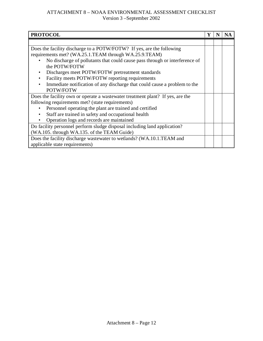| <b>PROTOCOL</b>                                                                                                                                                                                                                                                                                                                                                                                                                                           | Y |  |
|-----------------------------------------------------------------------------------------------------------------------------------------------------------------------------------------------------------------------------------------------------------------------------------------------------------------------------------------------------------------------------------------------------------------------------------------------------------|---|--|
|                                                                                                                                                                                                                                                                                                                                                                                                                                                           |   |  |
| Does the facility discharge to a POTW/FOTW? If yes, are the following<br>requirements met? (WA.25.1.TEAM through WA.25.9.TEAM)<br>No discharge of pollutants that could cause pass through or interference of<br>the POTW/FOTW<br>Discharges meet POTW/FOTW pretreatment standards<br>$\bullet$<br>Facility meets POTW/FOTW reporting requirements<br>Immediate notification of any discharge that could cause a problem to the<br>$\bullet$<br>POTW/FOTW |   |  |
| Does the facility own or operate a wastewater treatment plant? If yes, are the<br>following requirements met? (state requirements)<br>Personnel operating the plant are trained and certified<br>Staff are trained in safety and occupational health<br>Operation logs and records are maintained                                                                                                                                                         |   |  |
| Do facility personnel perform sludge disposal including land application?<br>(WA.105. through WA.135. of the TEAM Guide)                                                                                                                                                                                                                                                                                                                                  |   |  |
| Does the facility discharge was tewater to wetlands? (WA.10.1.TEAM and<br>applicable state requirements)                                                                                                                                                                                                                                                                                                                                                  |   |  |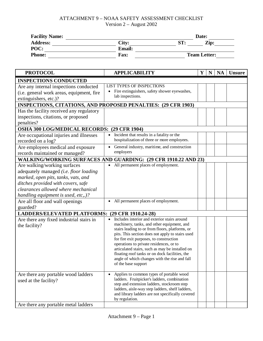<span id="page-55-0"></span>

| <b>Facility Name:</b> |               | Date:               |  |
|-----------------------|---------------|---------------------|--|
| <b>Address:</b>       | City:         | ST:<br>Zip:         |  |
| POC:                  | <b>Email:</b> |                     |  |
| <b>Phone:</b>         | <b>Fax:</b>   | <b>Team Letter:</b> |  |

| <b>PROTOCOL</b>                                 | <b>APPLICABILITY</b>                                                                                | Y | ${\bf N}$ | <b>NA</b> | <b>Unsure</b> |
|-------------------------------------------------|-----------------------------------------------------------------------------------------------------|---|-----------|-----------|---------------|
| <b>INSPECTIONS CONDUCTED</b>                    |                                                                                                     |   |           |           |               |
| Are any internal inspections conducted          | <b>LIST TYPES OF INSPECTIONS</b>                                                                    |   |           |           |               |
| (i.e. general work areas, equipment, fire       | Fire extinguishers, safety shower eyewashes,<br>$\bullet$                                           |   |           |           |               |
| extinguishers, etc.)?                           | lab inspections.                                                                                    |   |           |           |               |
|                                                 | <b>INSPECTIONS, CITATIONS, AND PROPOSED PENALTIES: (29 CFR 1903)</b>                                |   |           |           |               |
| Has the facility received any regulatory        |                                                                                                     |   |           |           |               |
| inspections, citations, or proposed             |                                                                                                     |   |           |           |               |
| penalties?                                      |                                                                                                     |   |           |           |               |
| <b>OSHA 300 LOG/MEDICAL RECORDS:</b>            | (29 CFR 1904)                                                                                       |   |           |           |               |
| Are occupational injuries and illnesses         | Incident that results in a fatality or the<br>$\bullet$                                             |   |           |           |               |
| recorded on a log?                              | hospitalization of three or more employees.                                                         |   |           |           |               |
| Are employees medical and exposure              | General industry, maritime, and construction                                                        |   |           |           |               |
| records maintained or managed?                  | employers                                                                                           |   |           |           |               |
|                                                 | WALKING/WORKING SURFACES AND GUARDING: (29 CFR 1910.22 AND 23)                                      |   |           |           |               |
| Are walking/working surfaces                    | All permanent places of employment.                                                                 |   |           |           |               |
| adequately managed (i.e. floor loading          |                                                                                                     |   |           |           |               |
| marked, open pits, tanks, vats, and             |                                                                                                     |   |           |           |               |
| ditches provided with covers, safe              |                                                                                                     |   |           |           |               |
| clearances allowed where mechanical             |                                                                                                     |   |           |           |               |
| handling equipment is used, etc,.)?             |                                                                                                     |   |           |           |               |
| Are all floor and wall openings                 | All permanent places of employment.                                                                 |   |           |           |               |
| guarded?                                        |                                                                                                     |   |           |           |               |
| LADDERS/ELEVATED PLATFORMS: (29 CFR 1910.24-28) |                                                                                                     |   |           |           |               |
| Are there any fixed industrial stairs in        | Includes interior and exterior stairs around<br>$\bullet$                                           |   |           |           |               |
| the facility?                                   | machinery, tanks, and other equipment, and                                                          |   |           |           |               |
|                                                 | stairs leading to or from floors, platforms, or<br>pits. This section does not apply to stairs used |   |           |           |               |
|                                                 | for fire exit purposes, to construction                                                             |   |           |           |               |
|                                                 | operations to private residences, or to                                                             |   |           |           |               |
|                                                 | articulated stairs, such as may be installed on                                                     |   |           |           |               |
|                                                 | floating roof tanks or on dock facilities, the                                                      |   |           |           |               |
|                                                 | angle of which changes with the rise and fall                                                       |   |           |           |               |
|                                                 | of the base support                                                                                 |   |           |           |               |
| Are there any portable wood ladders             | Applies to common types of portable wood                                                            |   |           |           |               |
| used at the facility?                           | ladders. Fruitpicker's ladders, combination                                                         |   |           |           |               |
|                                                 | step and extension ladders, stockroom step                                                          |   |           |           |               |
|                                                 | ladders, aisle-way step ladders, shelf ladders,                                                     |   |           |           |               |
|                                                 | and library ladders are not specifically covered<br>by regulation.                                  |   |           |           |               |
| Are there any portable metal ladders            |                                                                                                     |   |           |           |               |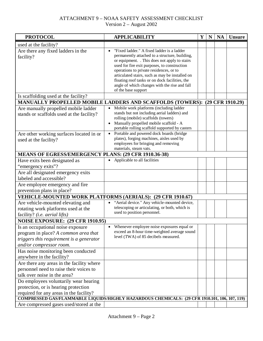| <b>PROTOCOL</b>                                                                                                                                  | <b>APPLICABILITY</b>                                                                                                                                                                                                                                                                                                                                                                                                | Y | $\mathbf N$ | NA | <b>Unsure</b> |
|--------------------------------------------------------------------------------------------------------------------------------------------------|---------------------------------------------------------------------------------------------------------------------------------------------------------------------------------------------------------------------------------------------------------------------------------------------------------------------------------------------------------------------------------------------------------------------|---|-------------|----|---------------|
| used at the facility?                                                                                                                            |                                                                                                                                                                                                                                                                                                                                                                                                                     |   |             |    |               |
| Are there any fixed ladders in the<br>facility?                                                                                                  | "Fixed ladder." A fixed ladder is a ladder<br>permanently attached to a structure, building,<br>or equipment. This does not apply to stairs<br>used for fire exit purposes, to construction<br>operations to private residences, or to<br>articulated stairs, such as may be installed on<br>floating roof tanks or on dock facilities, the<br>angle of which changes with the rise and fall<br>of the base support |   |             |    |               |
| Is scaffolding used at the facility?                                                                                                             |                                                                                                                                                                                                                                                                                                                                                                                                                     |   |             |    |               |
|                                                                                                                                                  | MANUALLY PROPELLED MOBILE LADDERS AND SCAFFOLDS (TOWERS): (29 CFR 1910.29)                                                                                                                                                                                                                                                                                                                                          |   |             |    |               |
| Are manually propelled mobile ladder<br>stands or scaffolds used at the facility?                                                                | Mobile work platforms (including ladder<br>stands but not including aerial ladders) and<br>rolling (mobile) scaffolds (towers)<br>Manually propelled mobile scaffold - A<br>portable rolling scaffold supported by casters                                                                                                                                                                                          |   |             |    |               |
| Are other working surfaces located in or<br>used at the facility?                                                                                | Portable and powered dock boards (bridge<br>plates), forging machines, aisles used by<br>employees for bringing and removing<br>materials, steam vats.                                                                                                                                                                                                                                                              |   |             |    |               |
| MEANS OF EGRESS/EMERGENCY PLANS: (29 CFR 1910.36-38)                                                                                             |                                                                                                                                                                                                                                                                                                                                                                                                                     |   |             |    |               |
| Have exits been designated as<br>"emergency exits"?                                                                                              | Applicable to all facilities                                                                                                                                                                                                                                                                                                                                                                                        |   |             |    |               |
| Are all designated emergency exits<br>labeled and accessible?<br>Are employee emergency and fire<br>prevention plans in place?                   |                                                                                                                                                                                                                                                                                                                                                                                                                     |   |             |    |               |
|                                                                                                                                                  | <b>VEHICLE-MOUNTED WORK PLATFORMS (AERIALS): (29 CFR 1910.67)</b>                                                                                                                                                                                                                                                                                                                                                   |   |             |    |               |
| Are vehicle-mounted elevating and<br>rotating work platforms used at the<br>facility? (i.e. aerial lifts)                                        | "Aerial device." Any vehicle-mounted device,<br>$\bullet$<br>telescoping or articulating, or both, which is<br>used to position personnel.                                                                                                                                                                                                                                                                          |   |             |    |               |
| <b>NOISE EXPOSURE: (29 CFR 1910.95)</b>                                                                                                          |                                                                                                                                                                                                                                                                                                                                                                                                                     |   |             |    |               |
| Is an occupational noise exposure<br>program in place? A common area that<br>triggers this requirement is a generator<br>and/or compressor room. | Whenever employee noise exposures equal or<br>exceed an 8-hour time-weighted average sound<br>level (TWA) of 85 decibels measured.                                                                                                                                                                                                                                                                                  |   |             |    |               |
| Has noise monitoring been conducted<br>anywhere in the facility?                                                                                 |                                                                                                                                                                                                                                                                                                                                                                                                                     |   |             |    |               |
| Are there any areas in the facility where<br>personnel need to raise their voices to<br>talk over noise in the area?                             |                                                                                                                                                                                                                                                                                                                                                                                                                     |   |             |    |               |
| Do employees voluntarily wear hearing<br>protection, or is hearing protection<br>required for any areas in the facility?                         | COMPRESSED GAS/FLAMMABLE LIQUIDS/HIGHLY HAZARDOUS CHEMICALS: (29 CFR 1910.101, 106, 107, 119)                                                                                                                                                                                                                                                                                                                       |   |             |    |               |
| Are compressed gases used/stored at the                                                                                                          |                                                                                                                                                                                                                                                                                                                                                                                                                     |   |             |    |               |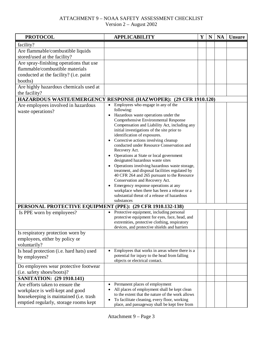| <b>PROTOCOL</b>                                            | <b>APPLICABILITY</b>                                                                                          | Y | ${\bf N}$ | <b>NA</b> | <b>Unsure</b> |
|------------------------------------------------------------|---------------------------------------------------------------------------------------------------------------|---|-----------|-----------|---------------|
| facility?                                                  |                                                                                                               |   |           |           |               |
| Are flammable/combustible liquids                          |                                                                                                               |   |           |           |               |
| stored/used at the facility?                               |                                                                                                               |   |           |           |               |
| Are spray-finishing operations that use                    |                                                                                                               |   |           |           |               |
| flammable/combustible materials                            |                                                                                                               |   |           |           |               |
| conducted at the facility? (i.e. paint                     |                                                                                                               |   |           |           |               |
| booths)                                                    |                                                                                                               |   |           |           |               |
| Are highly hazardous chemicals used at                     |                                                                                                               |   |           |           |               |
| the facility?                                              |                                                                                                               |   |           |           |               |
|                                                            | HAZARDOUS WASTE/EMERGENCY RESPONSE (HAZWOPER): (29 CFR 1910.120)                                              |   |           |           |               |
| Are employees involved in hazardous                        | • Employees who engage in any of the<br>following:                                                            |   |           |           |               |
| waste operations?                                          | Hazardous waste operations under the<br>$\bullet$                                                             |   |           |           |               |
|                                                            | Comprehensive Environmental Response                                                                          |   |           |           |               |
|                                                            | Compensation and Liability Act, including any                                                                 |   |           |           |               |
|                                                            | initial investigations of the site prior to<br>identification of exposures.                                   |   |           |           |               |
|                                                            | Corrective actions involving cleanup<br>$\bullet$                                                             |   |           |           |               |
|                                                            | conducted under Resource Conservation and                                                                     |   |           |           |               |
|                                                            | Recovery Act.                                                                                                 |   |           |           |               |
|                                                            | Operations at State or local government<br>$\bullet$<br>designated hazardous waste sites                      |   |           |           |               |
|                                                            | Operations involving hazardous waste storage,                                                                 |   |           |           |               |
|                                                            | treatment, and disposal facilities regulated by                                                               |   |           |           |               |
|                                                            | 40 CFR 264 and 265 pursuant to the Resource                                                                   |   |           |           |               |
|                                                            | Conservation and Recovery Act.                                                                                |   |           |           |               |
|                                                            | Emergency response operations at any<br>workplace when there has been a release or a                          |   |           |           |               |
|                                                            | substantial threat of a release of hazardous                                                                  |   |           |           |               |
|                                                            | substances                                                                                                    |   |           |           |               |
| PERSONAL PROTECTIVE EQUIPMENT (PPE): (29 CFR 1910.132-138) |                                                                                                               |   |           |           |               |
| Is PPE worn by employees?                                  | Protective equipment, including personal<br>protective equipment for eyes, face, head, and                    |   |           |           |               |
|                                                            | extremities, protective clothing, respiratory                                                                 |   |           |           |               |
|                                                            | devices, and protective shields and barriers                                                                  |   |           |           |               |
| Is respiratory protection worn by                          |                                                                                                               |   |           |           |               |
| employees, either by policy or                             |                                                                                                               |   |           |           |               |
| voluntarily?                                               |                                                                                                               |   |           |           |               |
| Is head protection (i.e. hard hats) used                   | Employees that works in areas where there is a                                                                |   |           |           |               |
| by employees?                                              | potential for injury to the head from falling<br>objects or electrical contact.                               |   |           |           |               |
| Do employees wear protective footwear                      |                                                                                                               |   |           |           |               |
| (i.e. safety shoes/boots)?                                 |                                                                                                               |   |           |           |               |
| <b>SANITATION: (29 1910.141)</b>                           |                                                                                                               |   |           |           |               |
| Are efforts taken to ensure the                            | Permanent places of employment                                                                                |   |           |           |               |
| workplace is well-kept and good                            | All places of employment shall be kept clean                                                                  |   |           |           |               |
| housekeeping is maintained (i.e. trash                     | to the extent that the nature of the work allows<br>To facilitate cleaning, every floor, working<br>$\bullet$ |   |           |           |               |
| emptied regularly, storage rooms kept                      | place, and passageway shall be kept free from                                                                 |   |           |           |               |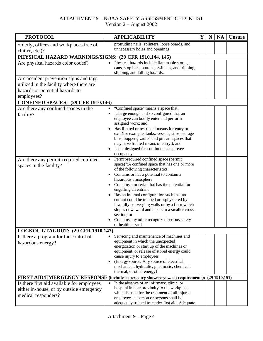| <b>PROTOCOL</b>                                        | <b>APPLICABILITY</b>                                                                              | $\mathbf Y$ | ${\bf N}$ | NA | <b>Unsure</b> |
|--------------------------------------------------------|---------------------------------------------------------------------------------------------------|-------------|-----------|----|---------------|
| orderly, offices and workplaces free of                | protruding nails, splinters, loose boards, and                                                    |             |           |    |               |
| clutter, etc.)?                                        | unnecessary holes and openings                                                                    |             |           |    |               |
| PHYSICAL HAZARD WARNINGS/SIGNS: (29 CFR 1910.144, 145) |                                                                                                   |             |           |    |               |
| Are physical hazards color coded?                      | Physical hazards include flammable storage                                                        |             |           |    |               |
|                                                        | cans, stop bars, buttons, switches, and tripping,<br>slipping, and falling hazards.               |             |           |    |               |
| Are accident prevention signs and tags                 |                                                                                                   |             |           |    |               |
| utilized in the facility where there are               |                                                                                                   |             |           |    |               |
| hazards or potential hazards to                        |                                                                                                   |             |           |    |               |
| employees?                                             |                                                                                                   |             |           |    |               |
| <b>CONFINED SPACES: (29 CFR 1910.146)</b>              |                                                                                                   |             |           |    |               |
| Are there any confined spaces in the                   | "Confined space" means a space that:                                                              |             |           |    |               |
| facility?                                              | Is large enough and so configured that an                                                         |             |           |    |               |
|                                                        | employee can bodily enter and perform                                                             |             |           |    |               |
|                                                        | assigned work; and                                                                                |             |           |    |               |
|                                                        | Has limited or restricted means for entry or<br>exit (for example, tanks, vessels, silos, storage |             |           |    |               |
|                                                        | bins, hoppers, vaults, and pits are spaces that                                                   |             |           |    |               |
|                                                        | may have limited means of entry.); and                                                            |             |           |    |               |
|                                                        | Is not designed for continuous employee                                                           |             |           |    |               |
|                                                        | occupancy.                                                                                        |             |           |    |               |
| Are there any permit-required confined                 | Permit-required confined space (permit<br>space)": A confined space that has one or more          |             |           |    |               |
| spaces in the facility?                                | of the following characteristics                                                                  |             |           |    |               |
|                                                        | • Contains or has a potential to contain a                                                        |             |           |    |               |
|                                                        | hazardous atmosphere                                                                              |             |           |    |               |
|                                                        | • Contains a material that has the potential for                                                  |             |           |    |               |
|                                                        | engulfing an entrant<br>• Has an internal configuration such that an                              |             |           |    |               |
|                                                        | entrant could be trapped or asphyxiated by                                                        |             |           |    |               |
|                                                        | inwardly converging walls or by a floor which                                                     |             |           |    |               |
|                                                        | slopes downward and tapers to a smaller cross-                                                    |             |           |    |               |
|                                                        | section; or                                                                                       |             |           |    |               |
|                                                        | Contains any other recognized serious safety<br>or health hazard                                  |             |           |    |               |
| LOCKOUT/TAGOUT: (29 CFR 1910.147)                      |                                                                                                   |             |           |    |               |
| Is there a program for the control of                  | Servicing and maintenance of machines and<br>$\bullet$                                            |             |           |    |               |
| hazardous energy?                                      | equipment in which the unexpected                                                                 |             |           |    |               |
|                                                        | energization or start up of the machines or                                                       |             |           |    |               |
|                                                        | equipment, or release of stored energy could<br>cause injury to employees                         |             |           |    |               |
|                                                        | (Energy source. Any source of electrical,                                                         |             |           |    |               |
|                                                        | mechanical, hydraulic, pneumatic, chemical,                                                       |             |           |    |               |
|                                                        | thermal, or other energy)                                                                         |             |           |    |               |
|                                                        | FIRST AID/EMERGENCY RESPONSE (includes emergency shower/eyewash requirements): (29 1910.151)      |             |           |    |               |
| Is there first aid available for employees             | In the absence of an infirmary, clinic, or                                                        |             |           |    |               |
| either in-house, or by outside emergency               | hospital in near proximity to the workplace<br>which is used for the treatment of all injured     |             |           |    |               |
| medical responders?                                    | employees, a person or persons shall be                                                           |             |           |    |               |
|                                                        | adequately trained to render first aid. Adequate                                                  |             |           |    |               |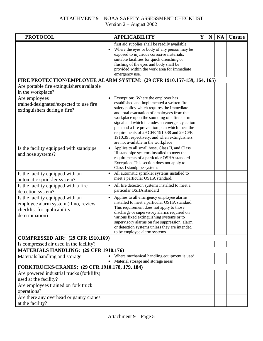| <b>PROTOCOL</b>                                                                                                                                                                                                       | <b>APPLICABILITY</b>                                                                                                                                                                                                                                                                                                                                                                                                                                             | Y | ${\bf N}$ | <b>NA</b> | <b>Unsure</b> |
|-----------------------------------------------------------------------------------------------------------------------------------------------------------------------------------------------------------------------|------------------------------------------------------------------------------------------------------------------------------------------------------------------------------------------------------------------------------------------------------------------------------------------------------------------------------------------------------------------------------------------------------------------------------------------------------------------|---|-----------|-----------|---------------|
|                                                                                                                                                                                                                       | first aid supplies shall be readily available.<br>Where the eyes or body of any person may be<br>exposed to injurious corrosive materials,<br>suitable facilities for quick drenching or<br>flushing of the eyes and body shall be<br>provided within the work area for immediate<br>emergency use.<br>FIRE PROTECTION/EMPLOYEE ALARM SYSTEM: (29 CFR 1910.157-159, 164, 165)                                                                                    |   |           |           |               |
| Are portable fire extinguishers available                                                                                                                                                                             |                                                                                                                                                                                                                                                                                                                                                                                                                                                                  |   |           |           |               |
| in the workplace?                                                                                                                                                                                                     |                                                                                                                                                                                                                                                                                                                                                                                                                                                                  |   |           |           |               |
| Are employees<br>trained/designated/expected to use fire<br>extinguishers during a fire?                                                                                                                              | Exemption: Where the employer has<br>established and implemented a written fire<br>safety policy which requires the immediate<br>and total evacuation of employees from the<br>workplace upon the sounding of a fire alarm<br>signal and which includes an emergency action<br>plan and a fire prevention plan which meet the<br>requirements of 29 CFR 1910.38 and 29 CFR<br>1910.39 respectively, and when extinguishers<br>are not available in the workplace |   |           |           |               |
| Is the facility equipped with standpipe<br>and hose systems?                                                                                                                                                          | Applies to all small hose, Class II, and Class<br>$\bullet$<br>III standpipe systems installed to meet the<br>requirements of a particular OSHA standard.<br>Exception. This section does not apply to<br>Class I standpipe systems                                                                                                                                                                                                                              |   |           |           |               |
| Is the facility equipped with an<br>automatic sprinkler system?                                                                                                                                                       | All automatic sprinkler systems installed to<br>$\bullet$<br>meet a particular OSHA standard.                                                                                                                                                                                                                                                                                                                                                                    |   |           |           |               |
| Is the facility equipped with a fire<br>detection system?                                                                                                                                                             | All fire detection systems installed to meet a<br>particular OSHA standard                                                                                                                                                                                                                                                                                                                                                                                       |   |           |           |               |
| Is the facility equipped with an<br>employee alarm system (if no, review<br>checklist for applicability<br>determination)                                                                                             | Applies to all emergency employee alarms<br>installed to meet a particular OSHA standard.<br>This requirement does not apply to those<br>discharge or supervisory alarms required on<br>various fixed extinguishing systems or to<br>supervisory alarms on fire suppression, alarm<br>or detection systems unless they are intended<br>to be employee alarm systems                                                                                              |   |           |           |               |
| <b>COMPRESSED AIR: (29 CFR 1910.169)</b>                                                                                                                                                                              |                                                                                                                                                                                                                                                                                                                                                                                                                                                                  |   |           |           |               |
| Is compressed air used in the facility?                                                                                                                                                                               |                                                                                                                                                                                                                                                                                                                                                                                                                                                                  |   |           |           |               |
| <b>MATERIALS HANDLING: (29 CFR 1910.176)</b>                                                                                                                                                                          |                                                                                                                                                                                                                                                                                                                                                                                                                                                                  |   |           |           |               |
| Materials handling and storage                                                                                                                                                                                        | Where mechanical handling equipment is used<br>$\bullet$<br>Material storage and storage areas<br>$\bullet$                                                                                                                                                                                                                                                                                                                                                      |   |           |           |               |
| FORKTRUCKS/CRANES: (29 CFR 1910.178, 179, 184)<br>Are powered industrial trucks (forklifts)<br>used at the facility?<br>Are employees trained on fork truck<br>operations?<br>Are there any overhead or gantry cranes |                                                                                                                                                                                                                                                                                                                                                                                                                                                                  |   |           |           |               |
| at the facility?                                                                                                                                                                                                      |                                                                                                                                                                                                                                                                                                                                                                                                                                                                  |   |           |           |               |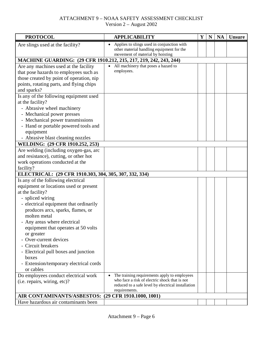| <b>PROTOCOL</b>                                                      | <b>APPLICABILITY</b>                                                                          | Y | $\mathbf N$ | <b>NA</b> | <b>Unsure</b> |
|----------------------------------------------------------------------|-----------------------------------------------------------------------------------------------|---|-------------|-----------|---------------|
| Are slings used at the facility?                                     | Applies to slings used in conjunction with<br>$\bullet$                                       |   |             |           |               |
|                                                                      | other material handling equipment for the<br>movement of material by hoisting                 |   |             |           |               |
| MACHINE GUARDING: (29 CFR 1910.212, 215, 217, 219, 242, 243, 244)    |                                                                                               |   |             |           |               |
| Are any machines used at the facility                                | All machinery that poses a hazard to                                                          |   |             |           |               |
| that pose hazards to employees such as                               | employees.                                                                                    |   |             |           |               |
| those created by point of operation, nip                             |                                                                                               |   |             |           |               |
| points, rotating parts, and flying chips                             |                                                                                               |   |             |           |               |
| and sparks?                                                          |                                                                                               |   |             |           |               |
| Is any of the following equipment used                               |                                                                                               |   |             |           |               |
| at the facility?                                                     |                                                                                               |   |             |           |               |
| - Abrasive wheel machinery                                           |                                                                                               |   |             |           |               |
| - Mechanical power presses                                           |                                                                                               |   |             |           |               |
| - Mechanical power transmissions                                     |                                                                                               |   |             |           |               |
| - Hand or portable powered tools and                                 |                                                                                               |   |             |           |               |
| equipment                                                            |                                                                                               |   |             |           |               |
| - Abrasive blast cleaning nozzles<br>WELDING: (29 CFR 1910.252, 253) |                                                                                               |   |             |           |               |
| Are welding (including oxygen-gas, arc                               |                                                                                               |   |             |           |               |
| and resistance), cutting, or other hot                               |                                                                                               |   |             |           |               |
| work operations conducted at the                                     |                                                                                               |   |             |           |               |
| facility?                                                            |                                                                                               |   |             |           |               |
| ELECTRICAL: (29 CFR 1910.303, 304, 305, 307, 332, 334)               |                                                                                               |   |             |           |               |
| Is any of the following electrical                                   |                                                                                               |   |             |           |               |
| equipment or locations used or present                               |                                                                                               |   |             |           |               |
| at the facility?                                                     |                                                                                               |   |             |           |               |
| - spliced wiring                                                     |                                                                                               |   |             |           |               |
| - electrical equipment that ordinarily                               |                                                                                               |   |             |           |               |
| produces arcs, sparks, flames, or                                    |                                                                                               |   |             |           |               |
| molten metal                                                         |                                                                                               |   |             |           |               |
| - Any areas where electrical                                         |                                                                                               |   |             |           |               |
| equipment that operates at 50 volts                                  |                                                                                               |   |             |           |               |
| or greater                                                           |                                                                                               |   |             |           |               |
| - Over-current devices                                               |                                                                                               |   |             |           |               |
| - Circuit breakers                                                   |                                                                                               |   |             |           |               |
| - Electrical pull boxes and junction                                 |                                                                                               |   |             |           |               |
| boxes                                                                |                                                                                               |   |             |           |               |
| - Extension/temporary electrical cords                               |                                                                                               |   |             |           |               |
| or cables                                                            |                                                                                               |   |             |           |               |
| Do employees conduct electrical work                                 | The training requirements apply to employees<br>who face a risk of electric shock that is not |   |             |           |               |
| (i.e. repairs, wiring, etc)?                                         | reduced to a safe level by electrical installation                                            |   |             |           |               |
|                                                                      | requirements.                                                                                 |   |             |           |               |
| AIR CONTAMINANTS/ASBESTOS:                                           | (29 CFR 1910.1000, 1001)                                                                      |   |             |           |               |
| Have hazardous air contaminants been                                 |                                                                                               |   |             |           |               |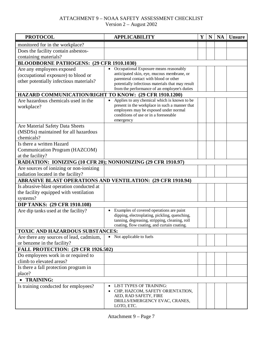| <b>PROTOCOL</b>                                                            | <b>APPLICABILITY</b>                                                                 | Y | $\mathbf N$ | NA | <b>Unsure</b> |
|----------------------------------------------------------------------------|--------------------------------------------------------------------------------------|---|-------------|----|---------------|
| monitored for in the workplace?                                            |                                                                                      |   |             |    |               |
| Does the facility contain asbestos-                                        |                                                                                      |   |             |    |               |
| containing materials?                                                      |                                                                                      |   |             |    |               |
| <b>BLOODBORNE PATHOGENS: (29 CFR 1910.1030)</b>                            |                                                                                      |   |             |    |               |
| Are any employees exposed                                                  | Occupational Exposure means reasonably                                               |   |             |    |               |
| (occupational exposure) to blood or                                        | anticipated skin, eye, mucous membrane, or<br>parenteral contact with blood or other |   |             |    |               |
| other potentially infectious materials?                                    | potentially infectious materials that may result                                     |   |             |    |               |
|                                                                            | from the performance of an employee's duties                                         |   |             |    |               |
| HAZARD COMMUNICATION/RIGHT TO KNOW: (29 CFR 1910.1200)                     |                                                                                      |   |             |    |               |
| Are hazardous chemicals used in the                                        | Applies to any chemical which is known to be                                         |   |             |    |               |
| workplace?                                                                 | present in the workplace in such a manner that                                       |   |             |    |               |
|                                                                            | employees may be exposed under normal<br>conditions of use or in a foreseeable       |   |             |    |               |
|                                                                            | emergency                                                                            |   |             |    |               |
| Are Material Safety Data Sheets                                            |                                                                                      |   |             |    |               |
| (MSDSs) maintained for all hazardous                                       |                                                                                      |   |             |    |               |
| chemicals?                                                                 |                                                                                      |   |             |    |               |
| Is there a written Hazard                                                  |                                                                                      |   |             |    |               |
| Communication Program (HAZCOM)                                             |                                                                                      |   |             |    |               |
| at the facility?                                                           |                                                                                      |   |             |    |               |
| RADIATION: IONIZING (10 CFR 20); NONIONIZING (29 CFR 1910.97)              |                                                                                      |   |             |    |               |
| Are sources of ionizing or non-ionizing                                    |                                                                                      |   |             |    |               |
| radiation located in the facility?                                         |                                                                                      |   |             |    |               |
|                                                                            | <b>ABRASIVE BLAST OPERATIONS AND VENTILATION: (29 CFR 1910.94)</b>                   |   |             |    |               |
| Is abrasive-blast operation conducted at                                   |                                                                                      |   |             |    |               |
| the facility equipped with ventilation                                     |                                                                                      |   |             |    |               |
| systems?                                                                   |                                                                                      |   |             |    |               |
| <b>DIP TANKS: (29 CFR 1910.108)</b><br>Are dip tanks used at the facility? | Examples of covered operations are paint<br>$\bullet$                                |   |             |    |               |
|                                                                            | dipping, electroplating, pickling, quenching,                                        |   |             |    |               |
|                                                                            | tanning, degreasing, stripping, cleaning, roll                                       |   |             |    |               |
|                                                                            | coating, flow coating, and curtain coating.                                          |   |             |    |               |
| TOXIC AND HAZARDOUS SUBSTANCES:                                            |                                                                                      |   |             |    |               |
| Are there any sources of lead, cadmium,                                    | Not applicable to fuels<br>$\bullet$                                                 |   |             |    |               |
| or benzene in the facility?                                                |                                                                                      |   |             |    |               |
| <b>FALL PROTECTION: (29 CFR 1926.502)</b>                                  |                                                                                      |   |             |    |               |
| Do employees work in or required to                                        |                                                                                      |   |             |    |               |
| climb to elevated areas?                                                   |                                                                                      |   |             |    |               |
| Is there a fall protection program in                                      |                                                                                      |   |             |    |               |
| place?                                                                     |                                                                                      |   |             |    |               |
| <b>TRAINING:</b>                                                           |                                                                                      |   |             |    |               |
| Is training conducted for employees?                                       | LIST TYPES OF TRAINING:<br>CHP, HAZCOM, SAFETY ORIENTATION,                          |   |             |    |               |
|                                                                            | AED, RAD SAFETY, FIRE                                                                |   |             |    |               |
|                                                                            | DRILLS/EMERGENCY EVAC, CRANES,                                                       |   |             |    |               |
|                                                                            | LOTO, ETC.                                                                           |   |             |    |               |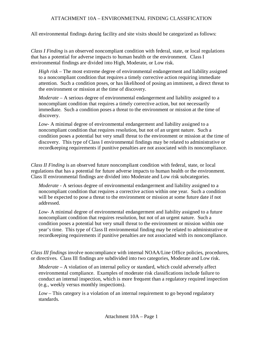#### ATTACHMENT 10A – ENVIRONMETNAL FINDING CLASSIFICATION

<span id="page-62-0"></span>All environmental findings during facility and site visits should be categorized as follows:

*Class I Finding* is an observed noncompliant condition with federal, state, or local regulations that has a potential for adverse impacts to human health or the environment. Class I environmental findings are divided into High, Moderate, or Low risk.

*High risk* – The most extreme degree of environmental endangerment and liability assigned to a noncompliant condition that requires a timely corrective action requiring immediate attention. Such a condition poses, or has likelihood of posing an imminent, a direct threat to the environment or mission at the time of discovery.

*Moderate* – A serious degree of environmental endangerment and liability assigned to a noncompliant condition that requires a timely corrective action, but not necessarily immediate. Such a condition poses a threat to the environment or mission at the time of discovery.

*Low*- A minimal degree of environmental endangerment and liability assigned to a noncompliant condition that requires resolution, but not of an urgent nature. Such a condition poses a potential but very small threat to the environment or mission at the time of discovery. This type of Class I environmental findings may be related to administrative or recordkeeping requirements if punitive penalties are not associated with its noncompliance.

*Class II Finding* is an observed future noncompliant condition with federal, state, or local regulations that has a potential for future adverse impacts to human health or the environment. Class II environmental findings are divided into Moderate and Low risk subcategories.

*Moderate* - A serious degree of environmental endangerment and liability assigned to a noncompliant condition that requires a corrective action within one year. Such a condition will be expected to pose a threat to the environment or mission at some future date if not addressed.

*Low*- A minimal degree of environmental endangerment and liability assigned to a future noncompliant condition that requires resolution, but not of an urgent nature. Such a condition poses a potential but very small threat to the environment or mission within one year's time. This type of Class II environmental finding may be related to administrative or recordkeeping requirements if punitive penalties are not associated with its noncompliance.

*Class III findings* involve noncompliance with internal NOAA/Line Office policies, procedures, or directives. Class III findings are subdivided into two categories, Moderate and Low risk.

*Moderate* – A violation of an internal policy or standard, which could adversely affect environmental compliance. Examples of moderate risk classifications include failure to conduct an internal inspection, which is more frequent than a regulatory required inspection (e.g., weekly versus monthly inspections).

*Low* – This category is a violation of an internal requirement to go beyond regulatory standards.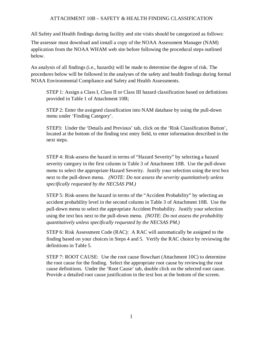#### ATTACHMENT 10B – SAFETY & HEALTH FINDING CLASSIFICATION

<span id="page-63-0"></span>All Safety and Health findings during facility and site visits should be categorized as follows:

The assessor must download and install a copy of the NOAA Assessment Manager (NAM) application from the NOAA WHAM web site before following the procedural steps outlined below.

An analysis of all findings (i.e., hazards) will be made to determine the degree of risk. The procedures below will be followed in the analyses of the safety and health findings during formal NOAA Environmental Compliance and Safety and Health Assessments.

STEP 1: Assign a Class I, Class II or Class III hazard classification based on definitions provided in Table 1 of Attachment 10B;

STEP 2: Enter the assigned classification into NAM database by using the pull-down menu under 'Finding Category'.

STEP3: Under the 'Details and Previous' tab, click on the 'Risk Classification Button', located at the bottom of the finding text entry field, to enter information described in the next steps.

STEP 4: Risk-assess the hazard in terms of "Hazard Severity" by selecting a hazard severity category in the first column in Table 3 of Attachment 10B. Use the pull-down menu to select the appropriate Hazard Severity. Justify your selection using the text box next to the pull-down menu. *(NOTE: Do not assess the severity quantitatively unless specifically requested by the NECSAS PM.)*

STEP 5: Risk-assess the hazard in terms of the "Accident Probability" by selecting an accident probability level in the second column in Table 3 of Attachment 10B. Use the pull-down menu to select the appropriate Accident Probability. Justify your selection using the text box next to the pull-down menu. *(NOTE: Do not assess the probability quantitatively unless specifically requested by the NECSAS PM.)*

STEP 6: Risk Assessment Code (RAC): A RAC will automatically be assigned to the finding based on your choices in Steps 4 and 5. Verify the RAC choice by reviewing the definitions in Table 5.

STEP 7: ROOT CAUSE: Use the root cause flowchart (Attachment 10C) to determine the root cause for the finding. Select the appropriate root cause by reviewing the root cause definitions. Under the 'Root Cause' tab, double click on the selected root cause. Provide a detailed root cause justification in the text box at the bottom of the screen.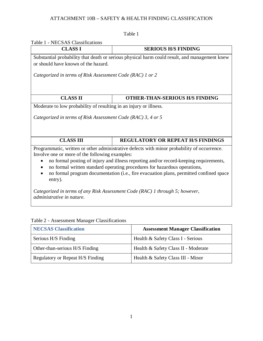### ATTACHMENT 10B – SAFETY & HEALTH FINDING CLASSIFICATION

Table 1

| <b>CLASS I</b>                                                    | <b>SERIOUS H/S FINDING</b>                                                                                                                                          |
|-------------------------------------------------------------------|---------------------------------------------------------------------------------------------------------------------------------------------------------------------|
|                                                                   | Substantial probability that death or serious physical harm could result, and management knew                                                                       |
| or should have known of the hazard.                               |                                                                                                                                                                     |
| Categorized in terms of Risk Assessment Code (RAC) 1 or 2         |                                                                                                                                                                     |
| <b>CLASS II</b>                                                   | <b>OTHER-THAN-SERIOUS H/S FINDING</b>                                                                                                                               |
| Moderate to low probability of resulting in an injury or illness. |                                                                                                                                                                     |
|                                                                   |                                                                                                                                                                     |
| Categorized in terms of Risk Assessment Code (RAC) 3, 4 or 5      |                                                                                                                                                                     |
| <b>CLASS III</b>                                                  | <b>REGULATORY OR REPEAT H/S FINDINGS</b>                                                                                                                            |
|                                                                   | Programmatic, written or other administrative defects with minor probability of occurrence.                                                                         |
| Involve one or more of the following examples:                    |                                                                                                                                                                     |
|                                                                   | no formal posting of injury and illness reporting and/or record-keeping requirements,                                                                               |
| entry).                                                           | no formal written standard operating procedures for hazardous operations,<br>no formal program documentation (i.e., fire evacuation plans, permitted confined space |

| <b>NECSAS Classification</b>     | <b>Assessment Manager Classification</b> |
|----------------------------------|------------------------------------------|
| Serious H/S Finding              | Health & Safety Class I - Serious        |
| Other-than-serious H/S Finding   | Health & Safety Class II - Moderate      |
| Regulatory or Repeat H/S Finding | Health & Safety Class III - Minor        |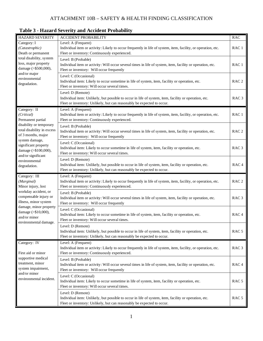### ATTACHMENT 10B – SAFETY & HEALTH FINDING CLASSIFICATION

### **Table 3 - Hazard Severity and Accident Probability**

| <b>HAZARD SEVERITY</b>                                                                                                                                                                                                | <b>ACCIDENT PROBABILITY</b>                                                                                                                                                                          | <b>RAC</b>       |  |  |  |  |
|-----------------------------------------------------------------------------------------------------------------------------------------------------------------------------------------------------------------------|------------------------------------------------------------------------------------------------------------------------------------------------------------------------------------------------------|------------------|--|--|--|--|
| Category: I<br>(Catastrophic)<br>Death or permanent<br>total disability, system<br>loss, major property<br>damage (>\$500,000),<br>and/or major<br>environmental<br>degradation.                                      | Level: A (Frequent)<br>Individual item or activity: Likely to occur frequently in life of system, item, facility, or operation, etc.<br>Fleet or inventory: Continuously experienced.                |                  |  |  |  |  |
|                                                                                                                                                                                                                       | Level: B (Probable)<br>Individual item or activity: Will occur several times in life of system, item, facility or operation, etc.<br>Fleet or inventory: Will occur frequently                       |                  |  |  |  |  |
|                                                                                                                                                                                                                       | Level: C (Occasional)<br>Individual item: Likely to occur sometime in life of system, item, facility or operation, etc.<br>Fleet or inventory: Will occur several times.                             | RAC <sub>2</sub> |  |  |  |  |
|                                                                                                                                                                                                                       | Level: D (Remote)<br>Individual item: Unlikely, but possible to occur in life of system, item, facility or operation, etc.<br>Fleet or inventory: Unlikely, but can reasonably be expected to occur. | RAC <sub>3</sub> |  |  |  |  |
| Category: II<br>(Critical)<br>Permanent partial                                                                                                                                                                       | Level: A (Frequent)<br>Individual item or activity: Likely to occur frequently in life of system, item, facility, or operation, etc.<br>Fleet or inventory: Continuously experienced.                | RAC <sub>1</sub> |  |  |  |  |
| disability or temporary<br>total disability in excess<br>of 3 months, major                                                                                                                                           | Level: B (Probable)<br>Individual item or activity: Will occur several times in life of system, item, facility or operation, etc.<br>Fleet or inventory: Will occur frequently                       |                  |  |  |  |  |
| system damage,<br>significant property<br>damage (>\$100,000),<br>and/or significant<br>environmental<br>degradation.                                                                                                 | Level: C (Occasional)<br>Individual item: Likely to occur sometime in life of system, item, facility or operation, etc.<br>Fleet or inventory: Will occur several times.                             |                  |  |  |  |  |
|                                                                                                                                                                                                                       | Level: D (Remote)<br>Individual item: Unlikely, but possible to occur in life of system, item, facility or operation, etc.<br>Fleet or inventory: Unlikely, but can reasonably be expected to occur. | RAC <sub>4</sub> |  |  |  |  |
| Category: III<br>(Marginal)<br>Minor injury, lost<br>workday accident, or<br>compensable injury or<br>illness, minor system<br>damage, minor property<br>damage (>\$10,000),<br>and/or minor<br>environmental damage. | Level: A (Frequent)<br>Individual item or activity: Likely to occur frequently in life of system, item, facility, or operation, etc.<br>Fleet or inventory: Continuously experienced.                | RAC <sub>2</sub> |  |  |  |  |
|                                                                                                                                                                                                                       | Level: B (Probable)<br>Individual item or activity: Will occur several times in life of system, item, facility or operation, etc.<br>Fleet or inventory: Will occur frequently                       | RAC <sub>3</sub> |  |  |  |  |
|                                                                                                                                                                                                                       | Level: C (Occasional)<br>Individual item: Likely to occur sometime in life of system, item, facility or operation, etc.<br>Fleet or inventory: Will occur several times.                             | RAC <sub>4</sub> |  |  |  |  |
|                                                                                                                                                                                                                       | Level: D (Remote)<br>Individual item: Unlikely, but possible to occur in life of system, item, facility or operation, etc.<br>Fleet or inventory: Unlikely, but can reasonably be expected to occur. | RAC <sub>5</sub> |  |  |  |  |
| Category: IV<br>First aid or minor<br>supportive medical<br>treatment, minor<br>system impairment,<br>and/or minor<br>environmental incident.                                                                         | Level: A (Frequent)<br>Individual item or activity: Likely to occur frequently in life of system, item, facility, or operation, etc.<br>Fleet or inventory: Continuously experienced.                |                  |  |  |  |  |
|                                                                                                                                                                                                                       | Level: B (Probable)<br>Individual item or activity: Will occur several times in life of system, item, facility or operation, etc.<br>Fleet or inventory: Will occur frequently                       | RAC <sub>4</sub> |  |  |  |  |
|                                                                                                                                                                                                                       | Level: C (Occasional)<br>Individual item: Likely to occur sometime in life of system, item, facility or operation, etc.<br>Fleet or inventory: Will occur several times.                             | RAC <sub>5</sub> |  |  |  |  |
|                                                                                                                                                                                                                       | Level: D (Remote)<br>Individual item: Unlikely, but possible to occur in life of system, item, facility or operation, etc.<br>Fleet or inventory: Unlikely, but can reasonably be expected to occur. | RAC <sub>5</sub> |  |  |  |  |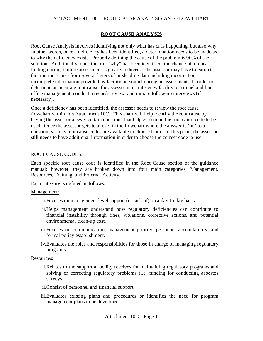#### **ROOT CAUSE ANALYSIS**

Root Cause Analysis involves identifying not only what has or is happening, but also why. In other words, once a deficiency has been identified, a determination needs to be made as to why the deficiency exists. Properly defining the cause of the problem is 90% of the solution. Additionally, once the true "why" has been identified, the chance of a repeat finding during a future assessment is greatly reduced. The assessor may have to extract the true root cause from several layers of misleading data including incorrect or incomplete information provided by facility personnel during an assessment. In order to determine an accurate root cause, the assessor must interview facility personnel and line office management, conduct a records review, and initiate follow-up interviews (if necessary).

Once a deficiency has been identified, the assessor needs to review the root cause flowchart within this Attachment 10C. This chart will help identify the root cause by having the assessor answer certain questions that help zero in on the root cause code to be used. Once the assessor gets to a level in the flowchart where the answer is 'no' to a question, various root cause codes are available to choose from. At this point, the assessor still needs to have additional information in order to choose the correct code to use.

#### ROOT CAUSE CODES:

Each specific root cause code is identified in the Root Cause section of the guidance manual; however, they are broken down into four main categories; Management, Resources, Training, and External Activity.

Each category is defined as follows:

#### Management:

- i.Focuses on management level support (or lack of) on a day-to-day basis.
- ii.Helps management understand how regulatory deficiencies can contribute to financial instability through fines, violations, corrective actions, and potential environmental clean-up cost.
- iii.Focuses on communication, management priority, personnel accountability, and formal policy establishment.
- iv.Evaluates the roles and responsibilities for those in charge of managing regulatory programs.

#### Resources:

- i.Relates to the support a facility receives for maintaining regulatory programs and solving or correcting regulatory problems (i.e. funding for conducting asbestos surveys)
- ii.Consist of personnel and financial support.
- iii.Evaluates existing plans and procedures or identifies the need for program management plans to be developed.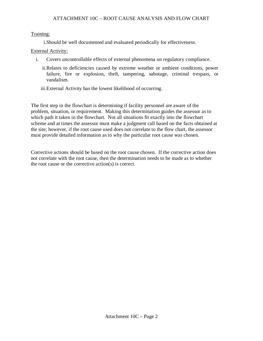Training:

i.Should be well documented and evaluated periodically for effectiveness.

#### External Activity:

- i. Covers uncontrollable effects of external phenomena on regulatory compliance.
	- ii.Relates to deficiencies caused by extreme weather or ambient conditions, power failure, fire or explosion, theft, tampering, sabotage, criminal trespass, or vandalism.
	- iii.External Activity has the lowest likelihood of occurring.

The first step in the flowchart is determining if facility personnel are aware of the problem, situation, or requirement. Making this determination guides the assessor as to which path it taken in the flowchart. Not all situations fit exactly into the flowchart scheme and at times the assessor must make a judgment call based on the facts obtained at the site; however, if the root cause used does not correlate to the flow chart, the assessor must provide detailed information as to why the particular root cause was chosen.

Corrective actions should be based on the root cause chosen. If the corrective action does not correlate with the root cause, then the determination needs to be made as to whether the root cause or the corrective action(s) is correct.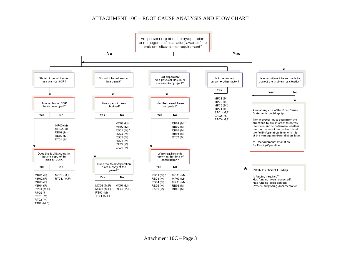<span id="page-68-0"></span>

TT01 (M,F)

Attachment 10C – Page 3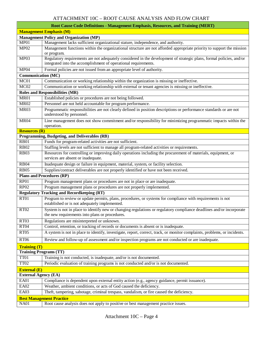| <b>Root Cause Code Definitions - Management Emphasis, Resources, and Training (MERT)</b> |                                                                                                                                                                        |  |  |  |  |  |  |
|------------------------------------------------------------------------------------------|------------------------------------------------------------------------------------------------------------------------------------------------------------------------|--|--|--|--|--|--|
|                                                                                          | <b>Management Emphasis (M)</b>                                                                                                                                         |  |  |  |  |  |  |
|                                                                                          | <b>Management Policy and Organization (MP)</b>                                                                                                                         |  |  |  |  |  |  |
| MP01                                                                                     | Management lacks sufficient organizational stature, independence, and authority.                                                                                       |  |  |  |  |  |  |
| MP02                                                                                     | Management functions within the organizational structure are not afforded appropriate priority to support the mission                                                  |  |  |  |  |  |  |
| MP03                                                                                     | or program.<br>Regulatory requirements are not adequately considered in the development of strategic plans, formal policies, and/or                                    |  |  |  |  |  |  |
|                                                                                          | integrated into the accomplishment of operational requirements.                                                                                                        |  |  |  |  |  |  |
| MP04                                                                                     | Formal policies are not issued from an appropriate level of authority.                                                                                                 |  |  |  |  |  |  |
| <b>Communication</b> (MC)                                                                |                                                                                                                                                                        |  |  |  |  |  |  |
| MC01                                                                                     | Communication or working relationship within the organization is missing or ineffective.                                                                               |  |  |  |  |  |  |
| MC02                                                                                     | Communication or working relationship with external or tenant agencies is missing or ineffective.                                                                      |  |  |  |  |  |  |
|                                                                                          | <b>Roles and Responsibilities (MR)</b>                                                                                                                                 |  |  |  |  |  |  |
| <b>MR01</b>                                                                              | Established policies or procedures are not being followed.                                                                                                             |  |  |  |  |  |  |
| <b>MR02</b>                                                                              | Personnel are not held accountable for program performance.                                                                                                            |  |  |  |  |  |  |
| MR03                                                                                     | Programmatic responsibilities are not clearly defined in position descriptions or performance standards or are not<br>understood by personnel.                         |  |  |  |  |  |  |
| <b>MR04</b>                                                                              | Line management does not show commitment and/or responsibility for minimizing programmatic impacts within the<br>operation.                                            |  |  |  |  |  |  |
| <b>Resources (R)</b>                                                                     |                                                                                                                                                                        |  |  |  |  |  |  |
|                                                                                          | Programming, Budgeting, and Deliverables (RB)                                                                                                                          |  |  |  |  |  |  |
| <b>RB01</b>                                                                              | Funds for program-related activities are not sufficient.                                                                                                               |  |  |  |  |  |  |
| <b>RB02</b>                                                                              | Staffing levels are not sufficient to manage all program-related activities or requirements.                                                                           |  |  |  |  |  |  |
| <b>RB03</b>                                                                              | Resources for controlling or improving daily operations including the procurement of materials, equipment, or<br>services are absent or inadequate.                    |  |  |  |  |  |  |
| <b>RB04</b>                                                                              | Inadequate design or failure in equipment, material, system, or facility selection.                                                                                    |  |  |  |  |  |  |
| <b>RB05</b>                                                                              | Supplies/contract deliverables are not properly identified or have not been received.                                                                                  |  |  |  |  |  |  |
|                                                                                          | <b>Plans and Procedures (RP)</b>                                                                                                                                       |  |  |  |  |  |  |
| <b>RP01</b>                                                                              | Program management plans or procedures are not in place or are inadequate.                                                                                             |  |  |  |  |  |  |
| <b>RP02</b>                                                                              | Program management plans or procedures are not properly implemented.                                                                                                   |  |  |  |  |  |  |
|                                                                                          | <b>Regulatory Tracking and Recordkeeping (RT)</b>                                                                                                                      |  |  |  |  |  |  |
| <b>RT01</b>                                                                              | Program to review or update permits, plans, procedures, or systems for compliance with requirements is not<br>established or is not adequately implemented.            |  |  |  |  |  |  |
| <b>RT02</b>                                                                              | System is not in place to identify new or changing regulations or regulatory compliance deadlines and/or incorporate<br>the new requirements into plans or procedures. |  |  |  |  |  |  |
| <b>RT03</b>                                                                              | Regulations are misinterpreted or unknown.                                                                                                                             |  |  |  |  |  |  |
| <b>RT04</b>                                                                              | Control, retention, or tracking of records or documents is absent or is inadequate.                                                                                    |  |  |  |  |  |  |
| <b>RT05</b>                                                                              | A system is not in place to identify, investigate, report, correct, track, or monitor complaints, problems, or incidents.                                              |  |  |  |  |  |  |
| <b>RT06</b>                                                                              | Review and follow-up of assessment and/or inspection programs are not conducted or are inadequate.                                                                     |  |  |  |  |  |  |
| <b>Training (T)</b>                                                                      |                                                                                                                                                                        |  |  |  |  |  |  |
|                                                                                          | <b>Training Programs (TT)</b>                                                                                                                                          |  |  |  |  |  |  |
| <b>TT01</b>                                                                              | Training is not conducted, is inadequate, and/or is not documented.                                                                                                    |  |  |  |  |  |  |
| TT02                                                                                     | Periodic evaluation of training programs is not conducted and/or is not documented.                                                                                    |  |  |  |  |  |  |
| <b>External (E)</b>                                                                      |                                                                                                                                                                        |  |  |  |  |  |  |
| <b>External Agency (EA)</b>                                                              |                                                                                                                                                                        |  |  |  |  |  |  |
| EA01                                                                                     | Compliance is dependent upon external entity action (e.g., agency guidance, permit issuance).                                                                          |  |  |  |  |  |  |
| <b>EA02</b>                                                                              | Weather, ambient conditions, or acts of God caused the deficiency.                                                                                                     |  |  |  |  |  |  |
| EA03                                                                                     | Theft, tampering, sabotage, criminal trespass, vandalism, or fire caused the deficiency.                                                                               |  |  |  |  |  |  |
|                                                                                          |                                                                                                                                                                        |  |  |  |  |  |  |
| <b>NA01</b>                                                                              | <b>Best Management Practice</b><br>Root cause analysis does not apply to positive or best management practice issues.                                                  |  |  |  |  |  |  |
|                                                                                          |                                                                                                                                                                        |  |  |  |  |  |  |